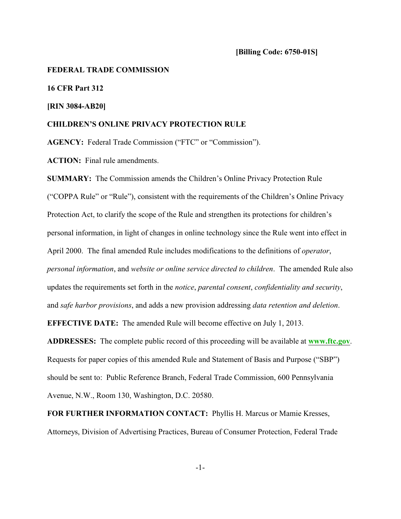#### **FEDERAL TRADE COMMISSION**

**16 CFR Part 312**

### **[RIN 3084-AB20]**

#### **CHILDREN'S ONLINE PRIVACY PROTECTION RULE**

**AGENCY:** Federal Trade Commission ("FTC" or "Commission").

**ACTION:** Final rule amendments.

**SUMMARY:** The Commission amends the Children's Online Privacy Protection Rule ("COPPA Rule" or "Rule"), consistent with the requirements of the Children's Online Privacy Protection Act, to clarify the scope of the Rule and strengthen its protections for children's personal information, in light of changes in online technology since the Rule went into effect in April 2000. The final amended Rule includes modifications to the definitions of *operator*, *personal information*, and *website or online service directed to children*. The amended Rule also updates the requirements set forth in the *notice*, *parental consent*, *confidentiality and security*, and *safe harbor provisions*, and adds a new provision addressing *data retention and deletion*.

**EFFECTIVE DATE:** The amended Rule will become effective on July 1, 2013.

**ADDRESSES:** The complete public record of this proceeding will be available at **[www.ftc.gov](http://www.ftc.gov)**. Requests for paper copies of this amended Rule and Statement of Basis and Purpose ("SBP") should be sent to: Public Reference Branch, Federal Trade Commission, 600 Pennsylvania Avenue, N.W., Room 130, Washington, D.C. 20580.

**FOR FURTHER INFORMATION CONTACT:** Phyllis H. Marcus or Mamie Kresses, Attorneys, Division of Advertising Practices, Bureau of Consumer Protection, Federal Trade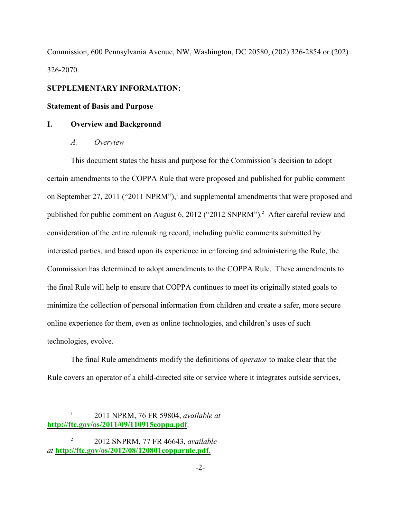Commission, 600 Pennsylvania Avenue, NW, Washington, DC 20580, (202) 326-2854 or (202) 326-2070.

### **SUPPLEMENTARY INFORMATION:**

### **Statement of Basis and Purpose**

### **I. Overview and Background**

*A. Overview*

This document states the basis and purpose for the Commission's decision to adopt certain amendments to the COPPA Rule that were proposed and published for public comment on September 27, 2011 ("2011 NPRM"),<sup>1</sup> and supplemental amendments that were proposed and published for public comment on August 6, 2012 ("2012 SNPRM").<sup>2</sup> After careful review and consideration of the entire rulemaking record, including public comments submitted by interested parties, and based upon its experience in enforcing and administering the Rule, the Commission has determined to adopt amendments to the COPPA Rule. These amendments to the final Rule will help to ensure that COPPA continues to meet its originally stated goals to minimize the collection of personal information from children and create a safer, more secure online experience for them, even as online technologies, and children's uses of such technologies, evolve.

The final Rule amendments modify the definitions of *operator* to make clear that the Rule covers an operator of a child-directed site or service where it integrates outside services,

<sup>2011</sup> NPRM, 76 FR 59804, *available at* <sup>1</sup> **<http://ftc.gov/os/2011/09/110915coppa.pdf>**.

<sup>2012</sup> SNPRM, 77 FR 46643, *available* <sup>2</sup> *at* **<http://ftc.gov/os/2012/08/120801copparule.pdf.>**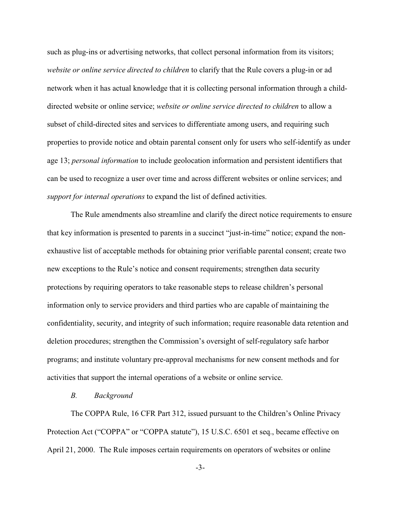such as plug-ins or advertising networks, that collect personal information from its visitors; *website or online service directed to children* to clarify that the Rule covers a plug-in or ad network when it has actual knowledge that it is collecting personal information through a childdirected website or online service; *website or online service directed to children* to allow a subset of child-directed sites and services to differentiate among users, and requiring such properties to provide notice and obtain parental consent only for users who self-identify as under age 13; *personal information* to include geolocation information and persistent identifiers that can be used to recognize a user over time and across different websites or online services; and *support for internal operations* to expand the list of defined activities.

The Rule amendments also streamline and clarify the direct notice requirements to ensure that key information is presented to parents in a succinct "just-in-time" notice; expand the nonexhaustive list of acceptable methods for obtaining prior verifiable parental consent; create two new exceptions to the Rule's notice and consent requirements; strengthen data security protections by requiring operators to take reasonable steps to release children's personal information only to service providers and third parties who are capable of maintaining the confidentiality, security, and integrity of such information; require reasonable data retention and deletion procedures; strengthen the Commission's oversight of self-regulatory safe harbor programs; and institute voluntary pre-approval mechanisms for new consent methods and for activities that support the internal operations of a website or online service.

#### *B. Background*

The COPPA Rule, 16 CFR Part 312, issued pursuant to the Children's Online Privacy Protection Act ("COPPA" or "COPPA statute"), 15 U.S.C. 6501 et seq., became effective on April 21, 2000. The Rule imposes certain requirements on operators of websites or online

-3-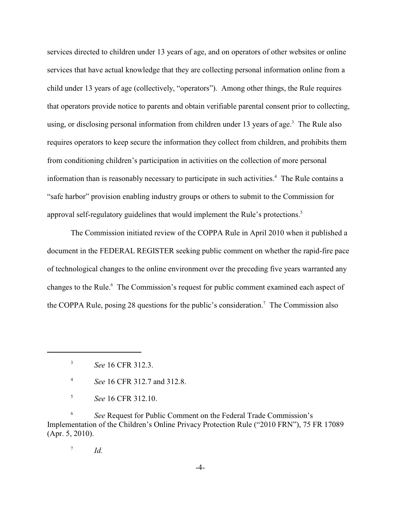services directed to children under 13 years of age, and on operators of other websites or online services that have actual knowledge that they are collecting personal information online from a child under 13 years of age (collectively, "operators"). Among other things, the Rule requires that operators provide notice to parents and obtain verifiable parental consent prior to collecting, using, or disclosing personal information from children under 13 years of age.<sup>3</sup> The Rule also requires operators to keep secure the information they collect from children, and prohibits them from conditioning children's participation in activities on the collection of more personal information than is reasonably necessary to participate in such activities.<sup>4</sup> The Rule contains a "safe harbor" provision enabling industry groups or others to submit to the Commission for approval self-regulatory guidelines that would implement the Rule's protections. 5

The Commission initiated review of the COPPA Rule in April 2010 when it published a document in the FEDERAL REGISTER seeking public comment on whether the rapid-fire pace of technological changes to the online environment over the preceding five years warranted any changes to the Rule.<sup>6</sup> The Commission's request for public comment examined each aspect of the COPPA Rule, posing 28 questions for the public's consideration.<sup>7</sup> The Commission also

<sup>6</sup> See Request for Public Comment on the Federal Trade Commission's Implementation of the Children's Online Privacy Protection Rule ("2010 FRN"), 75 FR 17089 (Apr. 5, 2010).

 $^7$  *Id.* 

<sup>&</sup>lt;sup>3</sup> *See* 16 CFR 312.3.

*See* 16 CFR 312.7 and 312.8. <sup>4</sup>

*See* 16 CFR 312.10. <sup>5</sup>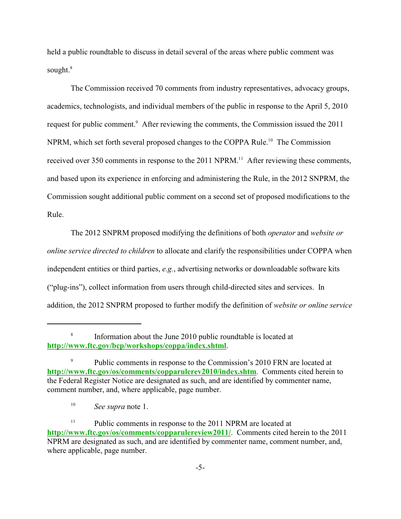held a public roundtable to discuss in detail several of the areas where public comment was sought.<sup>8</sup>

The Commission received 70 comments from industry representatives, advocacy groups, academics, technologists, and individual members of the public in response to the April 5, 2010 request for public comment.<sup>9</sup> After reviewing the comments, the Commission issued the 2011 NPRM, which set forth several proposed changes to the COPPA Rule.<sup>10</sup> The Commission received over 350 comments in response to the  $2011$  NPRM.<sup>11</sup> After reviewing these comments, and based upon its experience in enforcing and administering the Rule, in the 2012 SNPRM, the Commission sought additional public comment on a second set of proposed modifications to the Rule.

The 2012 SNPRM proposed modifying the definitions of both *operator* and *website or online service directed to children* to allocate and clarify the responsibilities under COPPA when independent entities or third parties, *e.g.*, advertising networks or downloadable software kits ("plug-ins"), collect information from users through child-directed sites and services. In addition, the 2012 SNPRM proposed to further modify the definition of *website or online service*

<sup>&</sup>lt;sup>8</sup> Information about the June 2010 public roundtable is located at **<http://www.ftc.gov/bcp/workshops/coppa/index.shtml>**.

Public comments in response to the Commission's 2010 FRN are located at 9 **<http://www.ftc.gov/os/comments/copparulerev2010/index.shtm>**. Comments cited herein to the Federal Register Notice are designated as such, and are identified by commenter name, comment number, and, where applicable, page number.

<sup>&</sup>lt;sup>10</sup> *See supra* note 1.

Public comments in response to the 2011 NPRM are located at 11 **<http://www.ftc.gov/os/comments/copparulereview2011/>**. Comments cited herein to the 2011 NPRM are designated as such, and are identified by commenter name, comment number, and, where applicable, page number.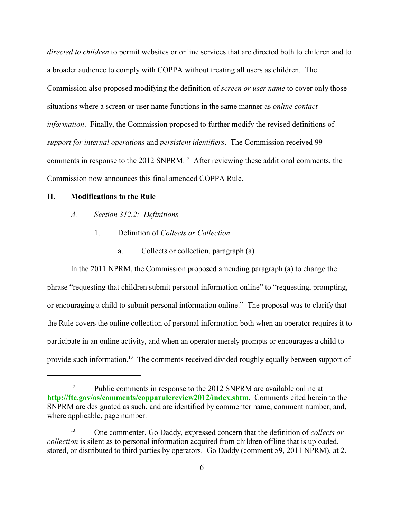*directed to children* to permit websites or online services that are directed both to children and to a broader audience to comply with COPPA without treating all users as children. The Commission also proposed modifying the definition of *screen or user name* to cover only those situations where a screen or user name functions in the same manner as *online contact information*. Finally, the Commission proposed to further modify the revised definitions of *support for internal operations* and *persistent identifiers*. The Commission received 99 comments in response to the 2012 SNPRM.<sup>12</sup> After reviewing these additional comments, the Commission now announces this final amended COPPA Rule.

### **II. Modifications to the Rule**

- *A. Section 312.2: Definitions*
	- 1. Definition of *Collects or Collection*
		- a. Collects or collection, paragraph (a)

In the 2011 NPRM, the Commission proposed amending paragraph (a) to change the phrase "requesting that children submit personal information online" to "requesting, prompting, or encouraging a child to submit personal information online." The proposal was to clarify that the Rule covers the online collection of personal information both when an operator requires it to participate in an online activity, and when an operator merely prompts or encourages a child to provide such information.<sup>13</sup> The comments received divided roughly equally between support of

Public comments in response to the 2012 SNPRM are available online at 12 **<http://ftc.gov/os/comments/copparulereview2012/index.shtm>**. Comments cited herein to the SNPRM are designated as such, and are identified by commenter name, comment number, and, where applicable, page number.

<sup>&</sup>lt;sup>13</sup> One commenter, Go Daddy, expressed concern that the definition of *collects or collection* is silent as to personal information acquired from children offline that is uploaded, stored, or distributed to third parties by operators. Go Daddy (comment 59, 2011 NPRM), at 2.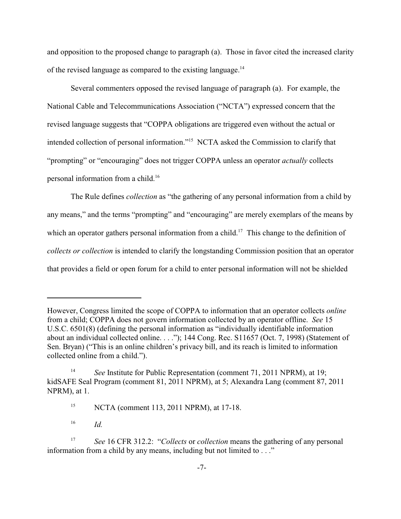and opposition to the proposed change to paragraph (a). Those in favor cited the increased clarity of the revised language as compared to the existing language.<sup>14</sup>

Several commenters opposed the revised language of paragraph (a). For example, the National Cable and Telecommunications Association ("NCTA") expressed concern that the revised language suggests that "COPPA obligations are triggered even without the actual or intended collection of personal information."<sup>15</sup> NCTA asked the Commission to clarify that "prompting" or "encouraging" does not trigger COPPA unless an operator *actually* collects personal information from a child. 16

The Rule defines *collection* as "the gathering of any personal information from a child by any means," and the terms "prompting" and "encouraging" are merely exemplars of the means by which an operator gathers personal information from a child.<sup>17</sup> This change to the definition of *collects or collection* is intended to clarify the longstanding Commission position that an operator that provides a field or open forum for a child to enter personal information will not be shielded

However, Congress limited the scope of COPPA to information that an operator collects *online* from a child; COPPA does not govern information collected by an operator offline. *See* 15 U.S.C. 6501(8) (defining the personal information as "individually identifiable information about an individual collected online. . . ."); 144 Cong. Rec. S11657 (Oct. 7, 1998) (Statement of Sen. Bryan) ("This is an online children's privacy bill, and its reach is limited to information collected online from a child.").

<sup>&</sup>lt;sup>14</sup> See Institute for Public Representation (comment 71, 2011 NPRM), at 19; kidSAFE Seal Program (comment 81, 2011 NPRM), at 5; Alexandra Lang (comment 87, 2011 NPRM), at 1.

<sup>&</sup>lt;sup>15</sup> NCTA (comment 113, 2011 NPRM), at 17-18.

 $^{16}$  *Id.* 

*See* 16 CFR 312.2: "*Collects* or *collection* means the gathering of any personal 17 information from a child by any means, including but not limited to . . ."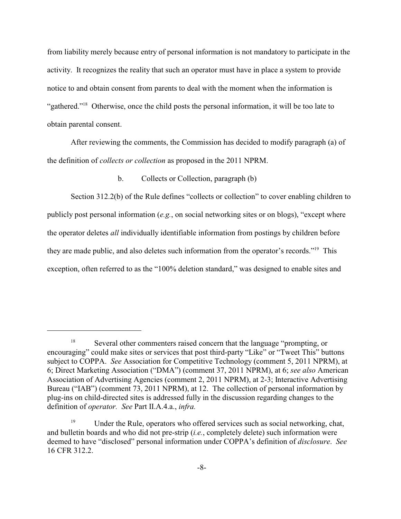from liability merely because entry of personal information is not mandatory to participate in the activity. It recognizes the reality that such an operator must have in place a system to provide notice to and obtain consent from parents to deal with the moment when the information is "gathered."<sup>18</sup> Otherwise, once the child posts the personal information, it will be too late to obtain parental consent.

After reviewing the comments, the Commission has decided to modify paragraph (a) of the definition of *collects or collection* as proposed in the 2011 NPRM.

### b. Collects or Collection, paragraph (b)

Section 312.2(b) of the Rule defines "collects or collection" to cover enabling children to publicly post personal information (*e.g.*, on social networking sites or on blogs), "except where the operator deletes *all* individually identifiable information from postings by children before they are made public, and also deletes such information from the operator's records."<sup>19</sup> This exception, often referred to as the "100% deletion standard," was designed to enable sites and

<sup>&</sup>lt;sup>18</sup> Several other commenters raised concern that the language "prompting, or encouraging" could make sites or services that post third-party "Like" or "Tweet This" buttons subject to COPPA. *See* Association for Competitive Technology (comment 5, 2011 NPRM), at 6; Direct Marketing Association ("DMA") (comment 37, 2011 NPRM), at 6; *see also* American Association of Advertising Agencies (comment 2, 2011 NPRM), at 2-3; Interactive Advertising Bureau ("IAB") (comment 73, 2011 NPRM), at 12. The collection of personal information by plug-ins on child-directed sites is addressed fully in the discussion regarding changes to the definition of *operator. See* Part II.A.4.a., *infra.*

<sup>&</sup>lt;sup>19</sup> Under the Rule, operators who offered services such as social networking, chat, and bulletin boards and who did not pre-strip (*i.e.*, completely delete) such information were deemed to have "disclosed" personal information under COPPA's definition of *disclosure*. *See* 16 CFR 312.2.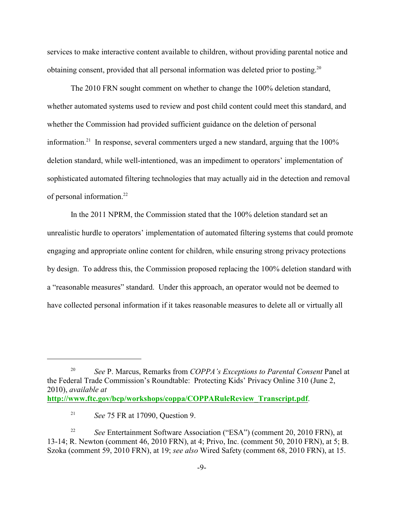services to make interactive content available to children, without providing parental notice and obtaining consent, provided that all personal information was deleted prior to posting.<sup>20</sup>

The 2010 FRN sought comment on whether to change the 100% deletion standard, whether automated systems used to review and post child content could meet this standard, and whether the Commission had provided sufficient guidance on the deletion of personal information.<sup>21</sup> In response, several commenters urged a new standard, arguing that the  $100\%$ deletion standard, while well-intentioned, was an impediment to operators' implementation of sophisticated automated filtering technologies that may actually aid in the detection and removal of personal information.<sup>22</sup>

In the 2011 NPRM, the Commission stated that the 100% deletion standard set an unrealistic hurdle to operators' implementation of automated filtering systems that could promote engaging and appropriate online content for children, while ensuring strong privacy protections by design. To address this, the Commission proposed replacing the 100% deletion standard with a "reasonable measures" standard. Under this approach, an operator would not be deemed to have collected personal information if it takes reasonable measures to delete all or virtually all

<sup>&</sup>lt;sup>20</sup> See P. Marcus, Remarks from *COPPA's Exceptions to Parental Consent* Panel at the Federal Trade Commission's Roundtable: Protecting Kids' Privacy Online 310 (June 2, 2010), *available at* **[http://www.ftc.gov/bcp/workshops/coppa/COPPARuleReview\\_Transcript.pdf](#page-81-0)**.

<sup>&</sup>lt;sup>21</sup> *See* 75 FR at 17090, Question 9.

*See* Entertainment Software Association ("ESA") (comment 20, 2010 FRN), at 22 13-14; R. Newton (comment 46, 2010 FRN), at 4; Privo, Inc. (comment 50, 2010 FRN), at 5; B. Szoka (comment 59, 2010 FRN), at 19; *see also* Wired Safety (comment 68, 2010 FRN), at 15.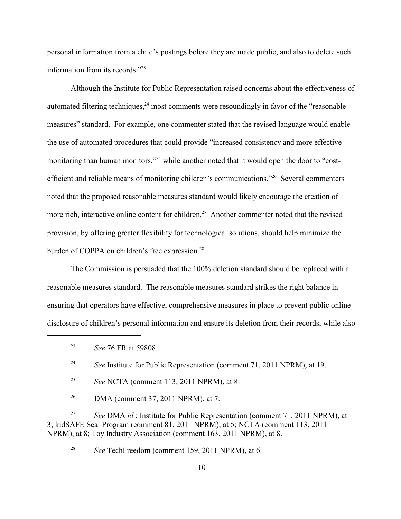personal information from a child's postings before they are made public, and also to delete such information from its records."<sup>23</sup>

Although the Institute for Public Representation raised concerns about the effectiveness of automated filtering techniques,  $24$  most comments were resoundingly in favor of the "reasonable" measures" standard. For example, one commenter stated that the revised language would enable the use of automated procedures that could provide "increased consistency and more effective monitoring than human monitors,"<sup>25</sup> while another noted that it would open the door to "costefficient and reliable means of monitoring children's communications." Several commenters noted that the proposed reasonable measures standard would likely encourage the creation of more rich, interactive online content for children.<sup>27</sup> Another commenter noted that the revised provision, by offering greater flexibility for technological solutions, should help minimize the burden of COPPA on children's free expression.<sup>28</sup>

The Commission is persuaded that the 100% deletion standard should be replaced with a reasonable measures standard. The reasonable measures standard strikes the right balance in ensuring that operators have effective, comprehensive measures in place to prevent public online disclosure of children's personal information and ensure its deletion from their records, while also

<sup>26</sup> DMA (comment 37, 2011 NPRM), at 7.

<sup>27</sup> See DMA *id.*; Institute for Public Representation (comment 71, 2011 NPRM), at 3; kidSAFE Seal Program (comment 81, 2011 NPRM), at 5; NCTA (comment 113, 2011 NPRM), at 8; Toy Industry Association (comment 163, 2011 NPRM), at 8.

<sup>28</sup> See TechFreedom (comment 159, 2011 NPRM), at 6.

*See* 76 FR at 59808. <sup>23</sup>

<sup>&</sup>lt;sup>24</sup> See Institute for Public Representation (comment 71, 2011 NPRM), at 19.

<sup>&</sup>lt;sup>25</sup> *See* NCTA (comment 113, 2011 NPRM), at 8.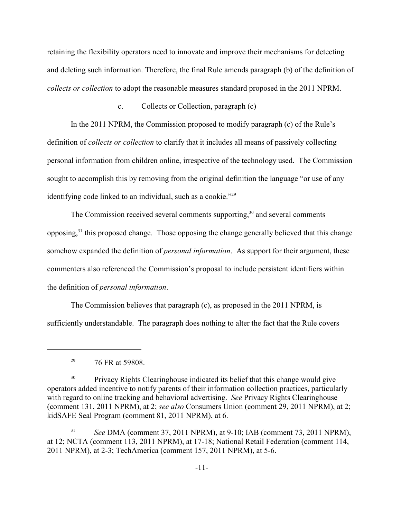retaining the flexibility operators need to innovate and improve their mechanisms for detecting and deleting such information. Therefore, the final Rule amends paragraph (b) of the definition of *collects or collection* to adopt the reasonable measures standard proposed in the 2011 NPRM.

c. Collects or Collection, paragraph (c)

In the 2011 NPRM, the Commission proposed to modify paragraph (c) of the Rule's definition of *collects or collection* to clarify that it includes all means of passively collecting personal information from children online, irrespective of the technology used. The Commission sought to accomplish this by removing from the original definition the language "or use of any identifying code linked to an individual, such as a cookie."<sup>29</sup>

The Commission received several comments supporting,  $30$  and several comments opposing, $31$  this proposed change. Those opposing the change generally believed that this change somehow expanded the definition of *personal information*. As support for their argument, these commenters also referenced the Commission's proposal to include persistent identifiers within the definition of *personal information*.

The Commission believes that paragraph (c), as proposed in the 2011 NPRM, is sufficiently understandable. The paragraph does nothing to alter the fact that the Rule covers

<sup>&</sup>lt;sup>29</sup>  $76$  FR at 59808.

<sup>&</sup>lt;sup>30</sup> Privacy Rights Clearinghouse indicated its belief that this change would give operators added incentive to notify parents of their information collection practices, particularly with regard to online tracking and behavioral advertising. *See* Privacy Rights Clearinghouse (comment 131, 2011 NPRM), at 2; *see also* Consumers Union (comment 29, 2011 NPRM), at 2; kidSAFE Seal Program (comment 81, 2011 NPRM), at 6.

<sup>&</sup>lt;sup>31</sup> *See* DMA (comment 37, 2011 NPRM), at 9-10; IAB (comment 73, 2011 NPRM), at 12; NCTA (comment 113, 2011 NPRM), at 17-18; National Retail Federation (comment 114, 2011 NPRM), at 2-3; TechAmerica (comment 157, 2011 NPRM), at 5-6.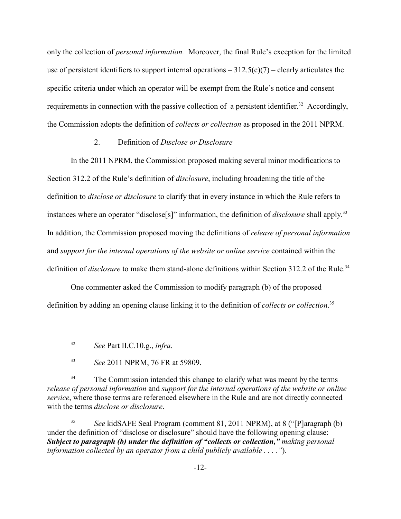only the collection of *personal information.* Moreover, the final Rule's exception for the limited use of persistent identifiers to support internal operations  $-312.5(c)(7)$  – clearly articulates the specific criteria under which an operator will be exempt from the Rule's notice and consent requirements in connection with the passive collection of a persistent identifier.<sup>32</sup> Accordingly, the Commission adopts the definition of *collects or collection* as proposed in the 2011 NPRM.

### 2. Definition of *Disclose or Disclosure*

In the 2011 NPRM, the Commission proposed making several minor modifications to Section 312.2 of the Rule's definition of *disclosure*, including broadening the title of the definition to *disclose or disclosure* to clarify that in every instance in which the Rule refers to instances where an operator "disclose<sup>[s]"</sup> information, the definition of *disclosure* shall apply.<sup>33</sup> In addition, the Commission proposed moving the definitions of *release of personal information* and *support for the internal operations of the website or online service* contained within the definition of *disclosure* to make them stand-alone definitions within Section 312.2 of the Rule.<sup>34</sup>

One commenter asked the Commission to modify paragraph (b) of the proposed definition by adding an opening clause linking it to the definition of *collects or collection*. 35

The Commission intended this change to clarify what was meant by the terms 34 *release of personal information* and *support for the internal operations of the website or online service*, where those terms are referenced elsewhere in the Rule and are not directly connected with the terms *disclose or disclosure*.

<sup>35</sup> See kidSAFE Seal Program (comment 81, 2011 NPRM), at 8 ("[P]aragraph (b) under the definition of "disclose or disclosure" should have the following opening clause: *Subject to paragraph (b) under the definition of "collects or collection," making personal information collected by an operator from a child publicly available . . . ."*).

*See* Part II.C.10.g., *infra*. 32

*See* 2011 NPRM, 76 FR at 59809. <sup>33</sup>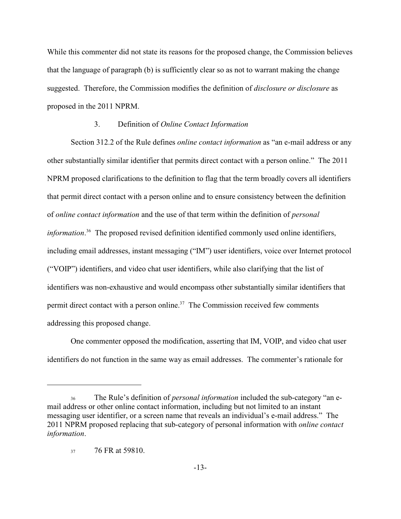While this commenter did not state its reasons for the proposed change, the Commission believes that the language of paragraph (b) is sufficiently clear so as not to warrant making the change suggested. Therefore, the Commission modifies the definition of *disclosure or disclosure* as proposed in the 2011 NPRM.

### 3. Definition of *Online Contact Information*

Section 312.2 of the Rule defines *online contact information* as "an e-mail address or any other substantially similar identifier that permits direct contact with a person online." The 2011 NPRM proposed clarifications to the definition to flag that the term broadly covers all identifiers that permit direct contact with a person online and to ensure consistency between the definition of *online contact information* and the use of that term within the definition of *personal* information.<sup>36</sup> The proposed revised definition identified commonly used online identifiers, including email addresses, instant messaging ("IM") user identifiers, voice over Internet protocol ("VOIP") identifiers, and video chat user identifiers, while also clarifying that the list of identifiers was non-exhaustive and would encompass other substantially similar identifiers that permit direct contact with a person online.<sup>37</sup> The Commission received few comments addressing this proposed change.

One commenter opposed the modification, asserting that IM, VOIP, and video chat user identifiers do not function in the same way as email addresses. The commenter's rationale for

<sup>36</sup> The Rule's definition of *personal information* included the sub-category "an email address or other online contact information, including but not limited to an instant messaging user identifier, or a screen name that reveals an individual's e-mail address." The 2011 NPRM proposed replacing that sub-category of personal information with *online contact information*.

<sup>37</sup> 76 FR at 59810.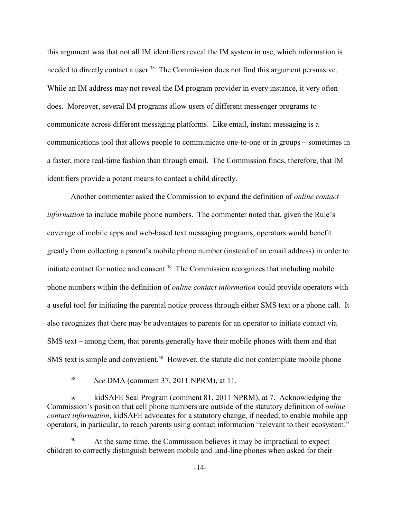this argument was that not all IM identifiers reveal the IM system in use, which information is needed to directly contact a user.<sup>38</sup> The Commission does not find this argument persuasive. While an IM address may not reveal the IM program provider in every instance, it very often does. Moreover, several IM programs allow users of different messenger programs to communicate across different messaging platforms. Like email, instant messaging is a communications tool that allows people to communicate one-to-one or in groups – sometimes in a faster, more real-time fashion than through email. The Commission finds, therefore, that IM identifiers provide a potent means to contact a child directly.

Another commenter asked the Commission to expand the definition of *online contact information* to include mobile phone numbers. The commenter noted that, given the Rule's coverage of mobile apps and web-based text messaging programs, operators would benefit greatly from collecting a parent's mobile phone number (instead of an email address) in order to initiate contact for notice and consent.<sup> $39$ </sup> The Commission recognizes that including mobile phone numbers within the definition of *online contact information* could provide operators with a useful tool for initiating the parental notice process through either SMS text or a phone call. It also recognizes that there may be advantages to parents for an operator to initiate contact via SMS text – among them, that parents generally have their mobile phones with them and that SMS text is simple and convenient.<sup>40</sup> However, the statute did not contemplate mobile phone

kidSAFE Seal Program (comment 81, 2011 NPRM), at 7. Acknowledging the Commission's position that cell phone numbers are outside of the statutory definition of *online contact information*, kidSAFE advocates for a statutory change, if needed, to enable mobile app operators, in particular, to reach parents using contact information "relevant to their ecosystem."

<sup>&</sup>lt;sup>38</sup> See DMA (comment 37, 2011 NPRM), at 11.

At the same time, the Commission believes it may be impractical to expect children to correctly distinguish between mobile and land-line phones when asked for their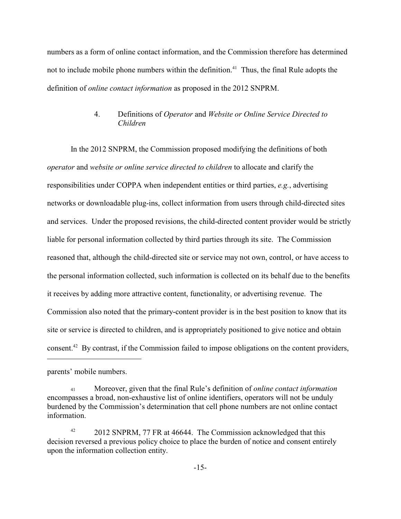numbers as a form of online contact information, and the Commission therefore has determined not to include mobile phone numbers within the definition.<sup> $41$ </sup> Thus, the final Rule adopts the definition of *online contact information* as proposed in the 2012 SNPRM.

## 4. Definitions of *Operator* and *Website or Online Service Directed to Children*

In the 2012 SNPRM, the Commission proposed modifying the definitions of both *operator* and *website or online service directed to children* to allocate and clarify the responsibilities under COPPA when independent entities or third parties, *e.g.*, advertising networks or downloadable plug-ins, collect information from users through child-directed sites and services. Under the proposed revisions, the child-directed content provider would be strictly liable for personal information collected by third parties through its site. The Commission reasoned that, although the child-directed site or service may not own, control, or have access to the personal information collected, such information is collected on its behalf due to the benefits it receives by adding more attractive content, functionality, or advertising revenue. The Commission also noted that the primary-content provider is in the best position to know that its site or service is directed to children, and is appropriately positioned to give notice and obtain consent.<sup>42</sup> By contrast, if the Commission failed to impose obligations on the content providers,

parents' mobile numbers.

<sup>41</sup> Moreover, given that the final Rule's definition of *online contact information* encompasses a broad, non-exhaustive list of online identifiers, operators will not be unduly burdened by the Commission's determination that cell phone numbers are not online contact information.

<sup>&</sup>lt;sup>42</sup> 2012 SNPRM, 77 FR at 46644. The Commission acknowledged that this decision reversed a previous policy choice to place the burden of notice and consent entirely upon the information collection entity.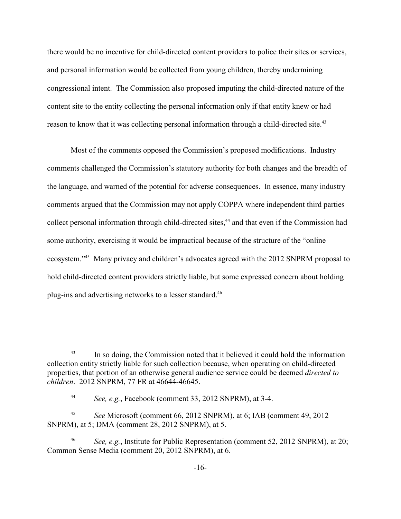there would be no incentive for child-directed content providers to police their sites or services, and personal information would be collected from young children, thereby undermining congressional intent. The Commission also proposed imputing the child-directed nature of the content site to the entity collecting the personal information only if that entity knew or had reason to know that it was collecting personal information through a child-directed site.<sup>43</sup>

Most of the comments opposed the Commission's proposed modifications. Industry comments challenged the Commission's statutory authority for both changes and the breadth of the language, and warned of the potential for adverse consequences. In essence, many industry comments argued that the Commission may not apply COPPA where independent third parties collect personal information through child-directed sites,<sup>44</sup> and that even if the Commission had some authority, exercising it would be impractical because of the structure of the "online" ecosystem."<sup>45</sup> Many privacy and children's advocates agreed with the 2012 SNPRM proposal to hold child-directed content providers strictly liable, but some expressed concern about holding plug-ins and advertising networks to a lesser standard.<sup>46</sup>

 $\frac{43}{10}$  In so doing, the Commission noted that it believed it could hold the information collection entity strictly liable for such collection because, when operating on child-directed properties, that portion of an otherwise general audience service could be deemed *directed to children*. 2012 SNPRM, 77 FR at 46644-46645.

<sup>&</sup>lt;sup>44</sup> See, e.g., Facebook (comment 33, 2012 SNPRM), at 3-4.

<sup>&</sup>lt;sup>45</sup> See Microsoft (comment 66, 2012 SNPRM), at 6; IAB (comment 49, 2012) SNPRM), at 5; DMA (comment 28, 2012 SNPRM), at 5.

*See, e.g.*, Institute for Public Representation (comment 52, 2012 SNPRM), at 20; Common Sense Media (comment 20, 2012 SNPRM), at 6.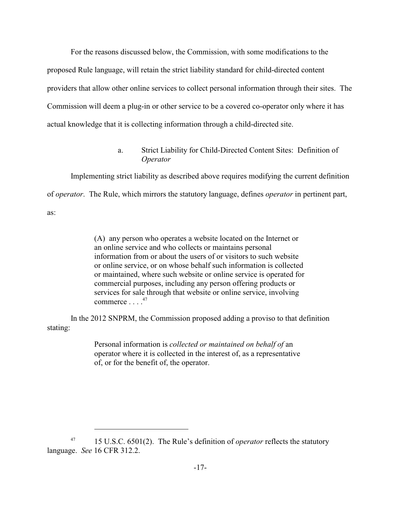For the reasons discussed below, the Commission, with some modifications to the proposed Rule language, will retain the strict liability standard for child-directed content providers that allow other online services to collect personal information through their sites. The Commission will deem a plug-in or other service to be a covered co-operator only where it has actual knowledge that it is collecting information through a child-directed site.

> a. Strict Liability for Child-Directed Content Sites: Definition of *Operator*

Implementing strict liability as described above requires modifying the current definition of *operator*. The Rule, which mirrors the statutory language, defines *operator* in pertinent part, as:

> (A) any person who operates a website located on the Internet or an online service and who collects or maintains personal information from or about the users of or visitors to such website or online service, or on whose behalf such information is collected or maintained, where such website or online service is operated for commercial purposes, including any person offering products or services for sale through that website or online service, involving commerce  $\ldots$  .  $47$

In the 2012 SNPRM, the Commission proposed adding a proviso to that definition stating:

> Personal information is *collected or maintained on behalf of* an operator where it is collected in the interest of, as a representative of, or for the benefit of, the operator.

<sup>&</sup>lt;sup>47</sup> 15 U.S.C. 6501(2). The Rule's definition of *operator* reflects the statutory language. *See* 16 CFR 312.2.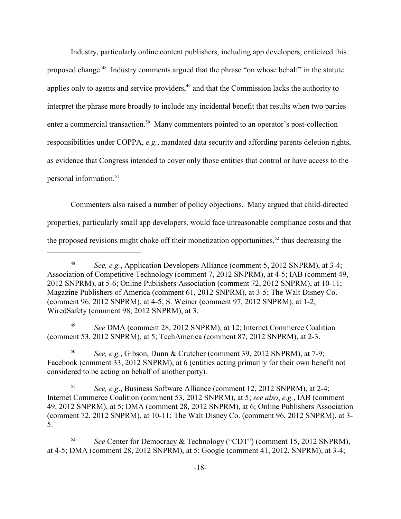Industry, particularly online content publishers, including app developers, criticized this proposed change.<sup>48</sup> Industry comments argued that the phrase "on whose behalf" in the statute applies only to agents and service providers, $49$  and that the Commission lacks the authority to interpret the phrase more broadly to include any incidental benefit that results when two parties enter a commercial transaction.<sup>50</sup> Many commenters pointed to an operator's post-collection responsibilities under COPPA, *e.g.*, mandated data security and affording parents deletion rights, as evidence that Congress intended to cover only those entities that control or have access to the personal information. $51$ 

Commenters also raised a number of policy objections. Many argued that child-directed properties, particularly small app developers, would face unreasonable compliance costs and that the proposed revisions might choke off their monetization opportunities,  $52$  thus decreasing the

*See DMA* (comment 28, 2012 SNPRM), at 12; Internet Commerce Coalition (comment 53, 2012 SNPRM), at 5; TechAmerica (comment 87, 2012 SNPRM), at 2-3.

<sup>50</sup> *See, e.g.*, Gibson, Dunn & Crutcher (comment 39, 2012 SNPRM), at 7-9; Facebook (comment 33, 2012 SNPRM), at 6 (entities acting primarily for their own benefit not considered to be acting on behalf of another party).

<sup>51</sup> *See, e.g.*, Business Software Alliance (comment 12, 2012 SNPRM), at 2-4; Internet Commerce Coalition (comment 53, 2012 SNPRM), at 5; *see also*, *e.g.*, IAB (comment 49, 2012 SNPRM), at 5; DMA (comment 28, 2012 SNPRM), at 6; Online Publishers Association (comment 72, 2012 SNPRM), at 10-11; The Walt Disney Co. (comment 96, 2012 SNPRM), at 3- 5.

<sup>52</sup> *See* Center for Democracy & Technology ("CDT") (comment 15, 2012 SNPRM), at 4-5; DMA (comment 28, 2012 SNPRM), at 5; Google (comment 41, 2012, SNPRM), at 3-4;

<sup>&</sup>lt;sup>48</sup> *See, e.g.*, Application Developers Alliance (comment 5, 2012 SNPRM), at 3-4; Association of Competitive Technology (comment 7, 2012 SNPRM), at 4-5; IAB (comment 49, 2012 SNPRM), at 5-6; Online Publishers Association (comment 72, 2012 SNPRM), at 10-11; Magazine Publishers of America (comment 61, 2012 SNPRM), at 3-5; The Walt Disney Co. (comment 96, 2012 SNPRM), at 4-5; S. Weiner (comment 97, 2012 SNPRM), at 1-2; WiredSafety (comment 98, 2012 SNPRM), at 3.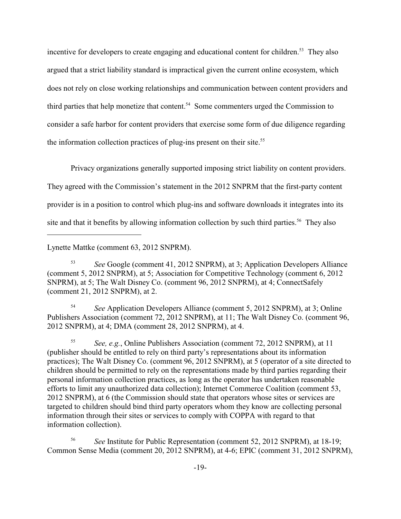incentive for developers to create engaging and educational content for children.<sup>53</sup> They also argued that a strict liability standard is impractical given the current online ecosystem, which does not rely on close working relationships and communication between content providers and third parties that help monetize that content.<sup>54</sup> Some commenters urged the Commission to consider a safe harbor for content providers that exercise some form of due diligence regarding the information collection practices of plug-ins present on their site.<sup>55</sup>

Privacy organizations generally supported imposing strict liability on content providers.

They agreed with the Commission's statement in the 2012 SNPRM that the first-party content

provider is in a position to control which plug-ins and software downloads it integrates into its

site and that it benefits by allowing information collection by such third parties.<sup>56</sup> They also

Lynette Mattke (comment 63, 2012 SNPRM).

<sup>53</sup> See Google (comment 41, 2012 SNPRM), at 3; Application Developers Alliance (comment 5, 2012 SNPRM), at 5; Association for Competitive Technology (comment 6, 2012 SNPRM), at 5; The Walt Disney Co. (comment 96, 2012 SNPRM), at 4; ConnectSafely (comment 21, 2012 SNPRM), at 2.

<sup>54</sup> *See* Application Developers Alliance (comment 5, 2012 SNPRM), at 3; Online Publishers Association (comment 72, 2012 SNPRM), at 11; The Walt Disney Co. (comment 96, 2012 SNPRM), at 4; DMA (comment 28, 2012 SNPRM), at 4.

<sup>55</sup> See, e.g., Online Publishers Association (comment 72, 2012 SNPRM), at 11 (publisher should be entitled to rely on third party's representations about its information practices); The Walt Disney Co. (comment 96, 2012 SNPRM), at 5 (operator of a site directed to children should be permitted to rely on the representations made by third parties regarding their personal information collection practices, as long as the operator has undertaken reasonable efforts to limit any unauthorized data collection); Internet Commerce Coalition (comment 53, 2012 SNPRM), at 6 (the Commission should state that operators whose sites or services are targeted to children should bind third party operators whom they know are collecting personal information through their sites or services to comply with COPPA with regard to that information collection).

<sup>56</sup> *See* Institute for Public Representation (comment 52, 2012 SNPRM), at 18-19; Common Sense Media (comment 20, 2012 SNPRM), at 4-6; EPIC (comment 31, 2012 SNPRM),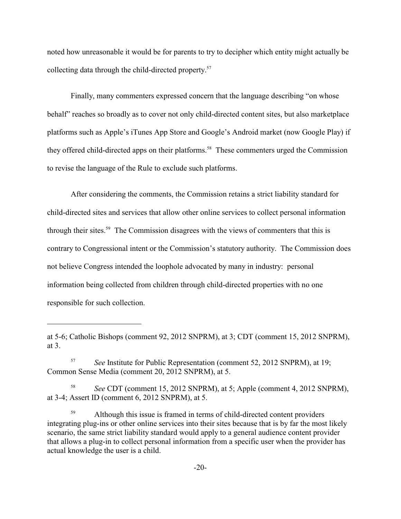noted how unreasonable it would be for parents to try to decipher which entity might actually be collecting data through the child-directed property.<sup>57</sup>

Finally, many commenters expressed concern that the language describing "on whose behalf" reaches so broadly as to cover not only child-directed content sites, but also marketplace platforms such as Apple's iTunes App Store and Google's Android market (now Google Play) if they offered child-directed apps on their platforms.<sup>58</sup> These commenters urged the Commission to revise the language of the Rule to exclude such platforms.

After considering the comments, the Commission retains a strict liability standard for child-directed sites and services that allow other online services to collect personal information through their sites.<sup>59</sup> The Commission disagrees with the views of commenters that this is contrary to Congressional intent or the Commission's statutory authority. The Commission does not believe Congress intended the loophole advocated by many in industry: personal information being collected from children through child-directed properties with no one responsible for such collection.

at 5-6; Catholic Bishops (comment 92, 2012 SNPRM), at 3; CDT (comment 15, 2012 SNPRM), at 3.

<sup>&</sup>lt;sup>57</sup> *See* Institute for Public Representation (comment 52, 2012 SNPRM), at 19; Common Sense Media (comment 20, 2012 SNPRM), at 5.

<sup>&</sup>lt;sup>58</sup> *See* CDT (comment 15, 2012 SNPRM), at 5; Apple (comment 4, 2012 SNPRM), at 3-4; Assert ID (comment 6, 2012 SNPRM), at 5.

<sup>&</sup>lt;sup>59</sup> Although this issue is framed in terms of child-directed content providers integrating plug-ins or other online services into their sites because that is by far the most likely scenario, the same strict liability standard would apply to a general audience content provider that allows a plug-in to collect personal information from a specific user when the provider has actual knowledge the user is a child.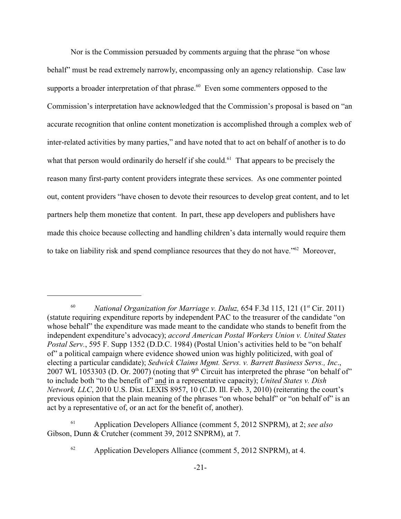Nor is the Commission persuaded by comments arguing that the phrase "on whose behalf" must be read extremely narrowly, encompassing only an agency relationship. Case law supports a broader interpretation of that phrase.<sup> $60$ </sup> Even some commenters opposed to the Commission's interpretation have acknowledged that the Commission's proposal is based on "an accurate recognition that online content monetization is accomplished through a complex web of inter-related activities by many parties," and have noted that to act on behalf of another is to do what that person would ordinarily do herself if she could.<sup> $61$ </sup> That appears to be precisely the reason many first-party content providers integrate these services. As one commenter pointed out, content providers "have chosen to devote their resources to develop great content, and to let partners help them monetize that content. In part, these app developers and publishers have made this choice because collecting and handling children's data internally would require them to take on liability risk and spend compliance resources that they do not have." $62$  Moreover,

Application Developers Alliance (comment 5, 2012 SNPRM), at 2; *see also* 61 Gibson, Dunn & Crutcher (comment 39, 2012 SNPRM), at 7.

<sup>&</sup>lt;sup>60</sup> National Organization for Marriage v. Daluz,  $654$  F.3d 115, 121 (1<sup>st</sup> Cir. 2011) (statute requiring expenditure reports by independent PAC to the treasurer of the candidate "on whose behalf" the expenditure was made meant to the candidate who stands to benefit from the independent expenditure's advocacy); *accord American Postal Workers Union v. United States Postal Serv.*, 595 F. Supp 1352 (D.D.C. 1984) (Postal Union's activities held to be "on behalf of" a political campaign where evidence showed union was highly politicized, with goal of electing a particular candidate); *Sedwick Claims Mgmt. Servs. v. Barrett Business Servs., Inc*., 2007 WL 1053303 (D. Or. 2007) (noting that  $9<sup>th</sup>$  Circuit has interpreted the phrase "on behalf of" to include both "to the benefit of" and in a representative capacity); *United States v. Dish Network, LLC*, 2010 U.S. Dist. LEXIS 8957, 10 (C.D. Ill. Feb. 3, 2010) (reiterating the court's previous opinion that the plain meaning of the phrases "on whose behalf" or "on behalf of" is an act by a representative of, or an act for the benefit of, another).

 $^{62}$  Application Developers Alliance (comment 5, 2012 SNPRM), at 4.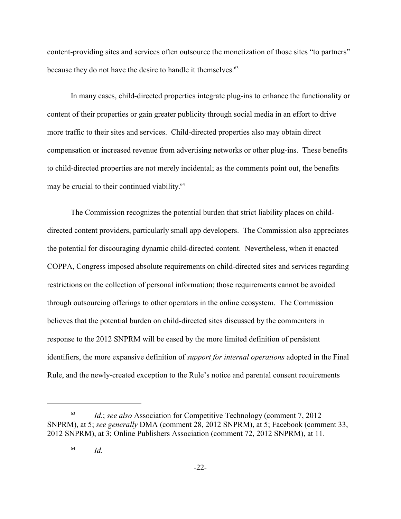content-providing sites and services often outsource the monetization of those sites "to partners" because they do not have the desire to handle it themselves.<sup>63</sup>

In many cases, child-directed properties integrate plug-ins to enhance the functionality or content of their properties or gain greater publicity through social media in an effort to drive more traffic to their sites and services. Child-directed properties also may obtain direct compensation or increased revenue from advertising networks or other plug-ins. These benefits to child-directed properties are not merely incidental; as the comments point out, the benefits may be crucial to their continued viability.<sup>64</sup>

The Commission recognizes the potential burden that strict liability places on childdirected content providers, particularly small app developers. The Commission also appreciates the potential for discouraging dynamic child-directed content. Nevertheless, when it enacted COPPA, Congress imposed absolute requirements on child-directed sites and services regarding restrictions on the collection of personal information; those requirements cannot be avoided through outsourcing offerings to other operators in the online ecosystem. The Commission believes that the potential burden on child-directed sites discussed by the commenters in response to the 2012 SNPRM will be eased by the more limited definition of persistent identifiers, the more expansive definition of *support for internal operations* adopted in the Final Rule, and the newly-created exception to the Rule's notice and parental consent requirements

*Id.*; *see also* Association for Competitive Technology (comment 7, 2012) SNPRM), at 5; *see generally* DMA (comment 28, 2012 SNPRM), at 5; Facebook (comment 33, 2012 SNPRM), at 3; Online Publishers Association (comment 72, 2012 SNPRM), at 11.

*Id.* <sup>64</sup>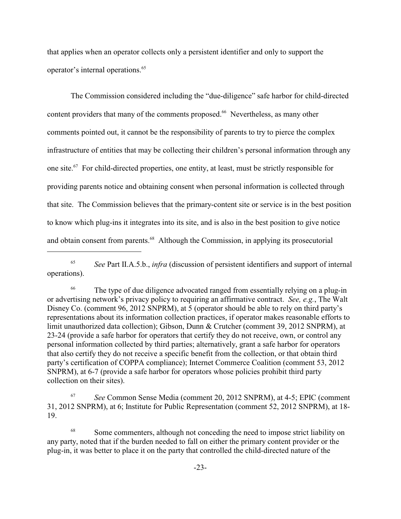that applies when an operator collects only a persistent identifier and only to support the operator's internal operations. 65

The Commission considered including the "due-diligence" safe harbor for child-directed content providers that many of the comments proposed.<sup>66</sup> Nevertheless, as many other comments pointed out, it cannot be the responsibility of parents to try to pierce the complex infrastructure of entities that may be collecting their children's personal information through any one site.  $67$  For child-directed properties, one entity, at least, must be strictly responsible for providing parents notice and obtaining consent when personal information is collected through that site. The Commission believes that the primary-content site or service is in the best position to know which plug-ins it integrates into its site, and is also in the best position to give notice and obtain consent from parents.<sup>68</sup> Although the Commission, in applying its prosecutorial

<sup>65</sup> See Part II.A.5.b., *infra* (discussion of persistent identifiers and support of internal operations).

The type of due diligence advocated ranged from essentially relying on a plug-in 66 or advertising network's privacy policy to requiring an affirmative contract. *See, e.g.*, The Walt Disney Co. (comment 96, 2012 SNPRM), at 5 (operator should be able to rely on third party's representations about its information collection practices, if operator makes reasonable efforts to limit unauthorized data collection); Gibson, Dunn & Crutcher (comment 39, 2012 SNPRM), at 23-24 (provide a safe harbor for operators that certify they do not receive, own, or control any personal information collected by third parties; alternatively, grant a safe harbor for operators that also certify they do not receive a specific benefit from the collection, or that obtain third party's certification of COPPA compliance); Internet Commerce Coalition (comment 53, 2012 SNPRM), at 6-7 (provide a safe harbor for operators whose policies prohibit third party collection on their sites).

*See* Common Sense Media (comment 20, 2012 SNPRM), at 4-5; EPIC (comment 31, 2012 SNPRM), at 6; Institute for Public Representation (comment 52, 2012 SNPRM), at 18- 19.

<sup>68</sup> Some commenters, although not conceding the need to impose strict liability on any party, noted that if the burden needed to fall on either the primary content provider or the plug-in, it was better to place it on the party that controlled the child-directed nature of the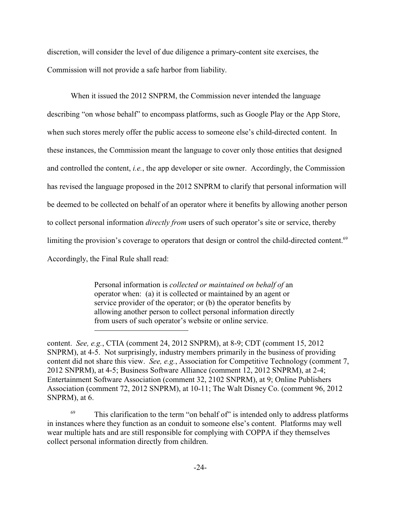discretion, will consider the level of due diligence a primary-content site exercises, the Commission will not provide a safe harbor from liability.

When it issued the 2012 SNPRM, the Commission never intended the language describing "on whose behalf" to encompass platforms, such as Google Play or the App Store, when such stores merely offer the public access to someone else's child-directed content. In these instances, the Commission meant the language to cover only those entities that designed and controlled the content, *i.e.*, the app developer or site owner. Accordingly, the Commission has revised the language proposed in the 2012 SNPRM to clarify that personal information will be deemed to be collected on behalf of an operator where it benefits by allowing another person to collect personal information *directly from* users of such operator's site or service, thereby limiting the provision's coverage to operators that design or control the child-directed content.<sup>69</sup> Accordingly, the Final Rule shall read:

> Personal information is *collected or maintained on behalf of* an operator when: (a) it is collected or maintained by an agent or service provider of the operator; or (b) the operator benefits by allowing another person to collect personal information directly from users of such operator's website or online service.

content. *See, e.g.*, CTIA (comment 24, 2012 SNPRM), at 8-9; CDT (comment 15, 2012 SNPRM), at 4-5. Not surprisingly, industry members primarily in the business of providing content did not share this view. *See, e.g.*, Association for Competitive Technology (comment 7, 2012 SNPRM), at 4-5; Business Software Alliance (comment 12, 2012 SNPRM), at 2-4; Entertainment Software Association (comment 32, 2102 SNPRM), at 9; Online Publishers Association (comment 72, 2012 SNPRM), at 10-11; The Walt Disney Co. (comment 96, 2012 SNPRM), at 6.

 $^{69}$  This clarification to the term "on behalf of" is intended only to address platforms in instances where they function as an conduit to someone else's content. Platforms may well wear multiple hats and are still responsible for complying with COPPA if they themselves collect personal information directly from children.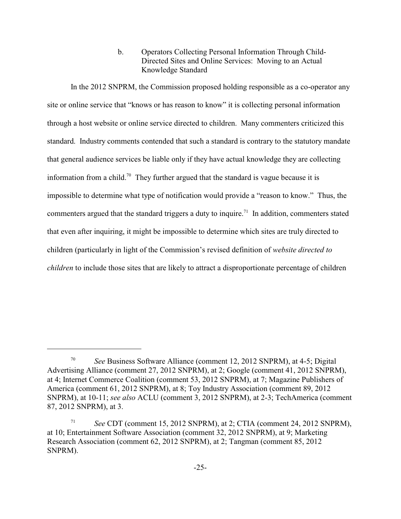b. Operators Collecting Personal Information Through Child-Directed Sites and Online Services: Moving to an Actual Knowledge Standard

In the 2012 SNPRM, the Commission proposed holding responsible as a co-operator any site or online service that "knows or has reason to know" it is collecting personal information through a host website or online service directed to children. Many commenters criticized this standard. Industry comments contended that such a standard is contrary to the statutory mandate that general audience services be liable only if they have actual knowledge they are collecting information from a child.<sup>70</sup> They further argued that the standard is vague because it is impossible to determine what type of notification would provide a "reason to know." Thus, the commenters argued that the standard triggers a duty to inquire.<sup>71</sup> In addition, commenters stated that even after inquiring, it might be impossible to determine which sites are truly directed to children (particularly in light of the Commission's revised definition of *website directed to children* to include those sites that are likely to attract a disproportionate percentage of children

<sup>&</sup>lt;sup>70</sup> See Business Software Alliance (comment 12, 2012 SNPRM), at 4-5; Digital Advertising Alliance (comment 27, 2012 SNPRM), at 2; Google (comment 41, 2012 SNPRM), at 4; Internet Commerce Coalition (comment 53, 2012 SNPRM), at 7; Magazine Publishers of America (comment 61, 2012 SNPRM), at 8; Toy Industry Association (comment 89, 2012 SNPRM), at 10-11; *see also* ACLU (comment 3, 2012 SNPRM), at 2-3; TechAmerica (comment 87, 2012 SNPRM), at 3.

<sup>&</sup>lt;sup>71</sup> *See* CDT (comment 15, 2012 SNPRM), at 2; CTIA (comment 24, 2012 SNPRM), at 10; Entertainment Software Association (comment 32, 2012 SNPRM), at 9; Marketing Research Association (comment 62, 2012 SNPRM), at 2; Tangman (comment 85, 2012 SNPRM).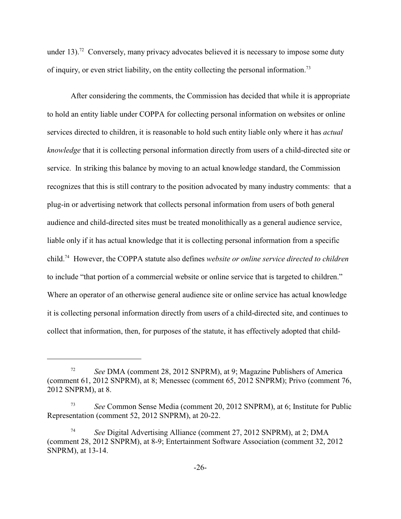under 13).<sup>72</sup> Conversely, many privacy advocates believed it is necessary to impose some duty of inquiry, or even strict liability, on the entity collecting the personal information.<sup>73</sup>

After considering the comments, the Commission has decided that while it is appropriate to hold an entity liable under COPPA for collecting personal information on websites or online services directed to children, it is reasonable to hold such entity liable only where it has *actual knowledge* that it is collecting personal information directly from users of a child-directed site or service. In striking this balance by moving to an actual knowledge standard, the Commission recognizes that this is still contrary to the position advocated by many industry comments: that a plug-in or advertising network that collects personal information from users of both general audience and child-directed sites must be treated monolithically as a general audience service, liable only if it has actual knowledge that it is collecting personal information from a specific child.<sup>74</sup> However, the COPPA statute also defines *website or online service directed to children* to include "that portion of a commercial website or online service that is targeted to children." Where an operator of an otherwise general audience site or online service has actual knowledge it is collecting personal information directly from users of a child-directed site, and continues to collect that information, then, for purposes of the statute, it has effectively adopted that child-

*See* DMA (comment 28, 2012 SNPRM), at 9; Magazine Publishers of America 72 (comment 61, 2012 SNPRM), at 8; Menessec (comment 65, 2012 SNPRM); Privo (comment 76, 2012 SNPRM), at 8.

*See* Common Sense Media (comment 20, 2012 SNPRM), at 6; Institute for Public <sup>73</sup> Representation (comment 52, 2012 SNPRM), at 20-22.

*See* Digital Advertising Alliance (comment 27, 2012 SNPRM), at 2; DMA 74 (comment 28, 2012 SNPRM), at 8-9; Entertainment Software Association (comment 32, 2012 SNPRM), at 13-14.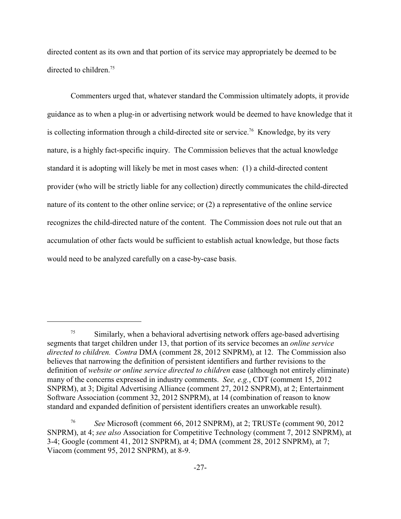directed content as its own and that portion of its service may appropriately be deemed to be directed to children.<sup>75</sup>

Commenters urged that, whatever standard the Commission ultimately adopts, it provide guidance as to when a plug-in or advertising network would be deemed to have knowledge that it is collecting information through a child-directed site or service.<sup>76</sup> Knowledge, by its very nature, is a highly fact-specific inquiry. The Commission believes that the actual knowledge standard it is adopting will likely be met in most cases when: (1) a child-directed content provider (who will be strictly liable for any collection) directly communicates the child-directed nature of its content to the other online service; or (2) a representative of the online service recognizes the child-directed nature of the content. The Commission does not rule out that an accumulation of other facts would be sufficient to establish actual knowledge, but those facts would need to be analyzed carefully on a case-by-case basis.

 $\frac{75}{10}$  Similarly, when a behavioral advertising network offers age-based advertising segments that target children under 13, that portion of its service becomes an *online service directed to children. Contra* DMA (comment 28, 2012 SNPRM), at 12. The Commission also believes that narrowing the definition of persistent identifiers and further revisions to the definition of *website or online service directed to children* ease (although not entirely eliminate) many of the concerns expressed in industry comments. *See, e.g.*, CDT (comment 15, 2012 SNPRM), at 3; Digital Advertising Alliance (comment 27, 2012 SNPRM), at 2; Entertainment Software Association (comment 32, 2012 SNPRM), at 14 (combination of reason to know standard and expanded definition of persistent identifiers creates an unworkable result).

*See* Microsoft (comment 66, 2012 SNPRM), at 2; TRUSTe (comment 90, 2012) SNPRM), at 4; *see also* Association for Competitive Technology (comment 7, 2012 SNPRM), at 3-4; Google (comment 41, 2012 SNPRM), at 4; DMA (comment 28, 2012 SNPRM), at 7; Viacom (comment 95, 2012 SNPRM), at 8-9.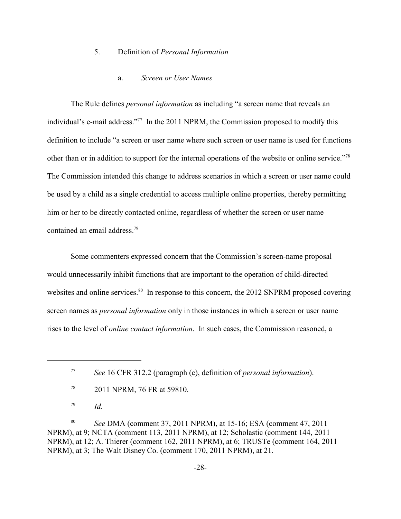### 5. Definition of *Personal Information*

### a. *Screen or User Names*

The Rule defines *personal information* as including "a screen name that reveals an individual's e-mail address."<sup>77</sup> In the 2011 NPRM, the Commission proposed to modify this definition to include "a screen or user name where such screen or user name is used for functions other than or in addition to support for the internal operations of the website or online service."<sup>78</sup> The Commission intended this change to address scenarios in which a screen or user name could be used by a child as a single credential to access multiple online properties, thereby permitting him or her to be directly contacted online, regardless of whether the screen or user name contained an email address.<sup>79</sup>

Some commenters expressed concern that the Commission's screen-name proposal would unnecessarily inhibit functions that are important to the operation of child-directed websites and online services. $80$  In response to this concern, the 2012 SNPRM proposed covering screen names as *personal information* only in those instances in which a screen or user name rises to the level of *online contact information*. In such cases, the Commission reasoned, a

 $^{79}$  *Id.* 

<sup>80</sup> *See* DMA (comment 37, 2011 NPRM), at 15-16; ESA (comment 47, 2011) NPRM), at 9; NCTA (comment 113, 2011 NPRM), at 12; Scholastic (comment 144, 2011 NPRM), at 12; A. Thierer (comment 162, 2011 NPRM), at 6; TRUSTe (comment 164, 2011 NPRM), at 3; The Walt Disney Co. (comment 170, 2011 NPRM), at 21.

*See* 16 CFR 312.2 (paragraph (c), definition of *personal information*). <sup>77</sup>

<sup>&</sup>lt;sup>78</sup> 2011 NPRM, 76 FR at 59810.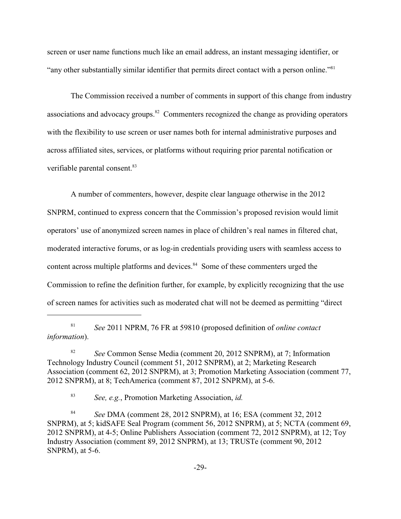screen or user name functions much like an email address, an instant messaging identifier, or "any other substantially similar identifier that permits direct contact with a person online."<sup>81</sup>

The Commission received a number of comments in support of this change from industry associations and advocacy groups. <sup>82</sup> Commenters recognized the change as providing operators with the flexibility to use screen or user names both for internal administrative purposes and across affiliated sites, services, or platforms without requiring prior parental notification or verifiable parental consent.<sup>83</sup>

A number of commenters, however, despite clear language otherwise in the 2012 SNPRM, continued to express concern that the Commission's proposed revision would limit operators' use of anonymized screen names in place of children's real names in filtered chat, moderated interactive forums, or as log-in credentials providing users with seamless access to content across multiple platforms and devices.<sup>84</sup> Some of these commenters urged the Commission to refine the definition further, for example, by explicitly recognizing that the use of screen names for activities such as moderated chat will not be deemed as permitting "direct

*See* 2011 NPRM, 76 FR at 59810 (proposed definition of *online contact* <sup>81</sup> *information*).

<sup>&</sup>lt;sup>82</sup> *See* Common Sense Media (comment 20, 2012 SNPRM), at 7; Information Technology Industry Council (comment 51, 2012 SNPRM), at 2; Marketing Research Association (comment 62, 2012 SNPRM), at 3; Promotion Marketing Association (comment 77, 2012 SNPRM), at 8; TechAmerica (comment 87, 2012 SNPRM), at 5-6.

*See, e.g.*, Promotion Marketing Association, *id.* <sup>83</sup>

<sup>&</sup>lt;sup>84</sup> *See* DMA (comment 28, 2012 SNPRM), at 16; ESA (comment 32, 2012) SNPRM), at 5; kidSAFE Seal Program (comment 56, 2012 SNPRM), at 5; NCTA (comment 69, 2012 SNPRM), at 4-5; Online Publishers Association (comment 72, 2012 SNPRM), at 12; Toy Industry Association (comment 89, 2012 SNPRM), at 13; TRUSTe (comment 90, 2012 SNPRM), at 5-6.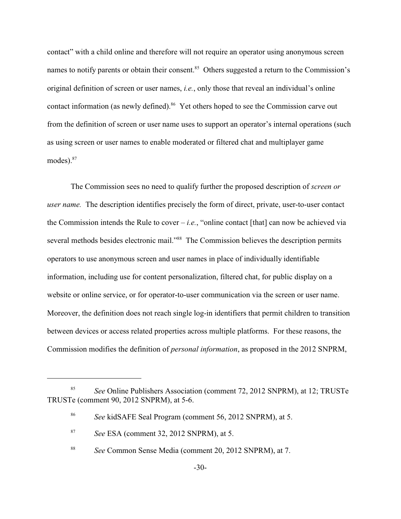contact" with a child online and therefore will not require an operator using anonymous screen names to notify parents or obtain their consent.<sup>85</sup> Others suggested a return to the Commission's original definition of screen or user names, *i.e.*, only those that reveal an individual's online contact information (as newly defined).<sup>86</sup> Yet others hoped to see the Commission carve out from the definition of screen or user name uses to support an operator's internal operations (such as using screen or user names to enable moderated or filtered chat and multiplayer game modes).<sup>87</sup>

The Commission sees no need to qualify further the proposed description of *screen or user name.* The description identifies precisely the form of direct, private, user-to-user contact the Commission intends the Rule to cover  $-i.e.,$  "online contact [that] can now be achieved via several methods besides electronic mail."<sup>88</sup> The Commission believes the description permits operators to use anonymous screen and user names in place of individually identifiable information, including use for content personalization, filtered chat, for public display on a website or online service, or for operator-to-user communication via the screen or user name. Moreover, the definition does not reach single log-in identifiers that permit children to transition between devices or access related properties across multiple platforms. For these reasons, the Commission modifies the definition of *personal information*, as proposed in the 2012 SNPRM,

<sup>&</sup>lt;sup>85</sup> See Online Publishers Association (comment 72, 2012 SNPRM), at 12; TRUSTe TRUSTe (comment 90, 2012 SNPRM), at 5-6.

*See* kidSAFE Seal Program (comment 56, 2012 SNPRM), at 5. <sup>86</sup>

<sup>&</sup>lt;sup>87</sup> *See* ESA (comment 32, 2012 SNPRM), at 5.

<sup>&</sup>lt;sup>88</sup> See Common Sense Media (comment 20, 2012 SNPRM), at 7.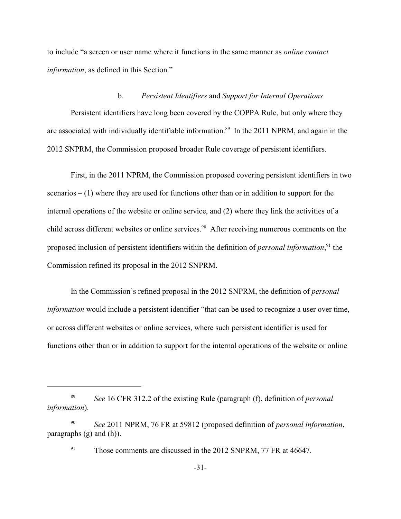to include "a screen or user name where it functions in the same manner as *online contact information*, as defined in this Section."

### b. *Persistent Identifiers* and *Support for Internal Operations*

Persistent identifiers have long been covered by the COPPA Rule, but only where they are associated with individually identifiable information.<sup>89</sup> In the 2011 NPRM, and again in the 2012 SNPRM, the Commission proposed broader Rule coverage of persistent identifiers.

First, in the 2011 NPRM, the Commission proposed covering persistent identifiers in two scenarios  $- (1)$  where they are used for functions other than or in addition to support for the internal operations of the website or online service, and (2) where they link the activities of a child across different websites or online services.<sup>90</sup> After receiving numerous comments on the proposed inclusion of persistent identifiers within the definition of *personal information*,<sup>91</sup> the Commission refined its proposal in the 2012 SNPRM.

In the Commission's refined proposal in the 2012 SNPRM, the definition of *personal information* would include a persistent identifier "that can be used to recognize a user over time, or across different websites or online services, where such persistent identifier is used for functions other than or in addition to support for the internal operations of the website or online

*See* 16 CFR 312.2 of the existing Rule (paragraph (f), definition of *personal* <sup>89</sup> *information*).

*See* 2011 NPRM, 76 FR at 59812 (proposed definition of *personal information*, 90 paragraphs (g) and (h)).

 $191$  Those comments are discussed in the 2012 SNPRM, 77 FR at 46647.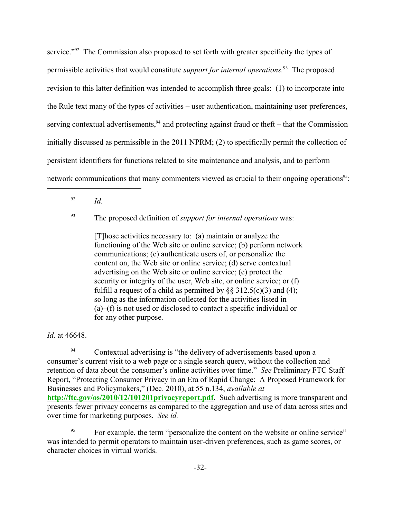service."<sup> $92$ </sup> The Commission also proposed to set forth with greater specificity the types of permissible activities that would constitute *support for internal operations*.<sup>93</sup> The proposed revision to this latter definition was intended to accomplish three goals: (1) to incorporate into the Rule text many of the types of activities – user authentication, maintaining user preferences, serving contextual advertisements,  $94$  and protecting against fraud or theft – that the Commission initially discussed as permissible in the 2011 NPRM; (2) to specifically permit the collection of persistent identifiers for functions related to site maintenance and analysis, and to perform network communications that many commenters viewed as crucial to their ongoing operations<sup>95</sup>;

 $\frac{92}{ld}$ .

<sup>93</sup> The proposed definition of *support for internal operations* was:

[T]hose activities necessary to: (a) maintain or analyze the functioning of the Web site or online service; (b) perform network communications; (c) authenticate users of, or personalize the content on, the Web site or online service; (d) serve contextual advertising on the Web site or online service; (e) protect the security or integrity of the user, Web site, or online service; or (f) fulfill a request of a child as permitted by  $\S$ § 312.5(c)(3) and (4); so long as the information collected for the activities listed in (a)–(f) is not used or disclosed to contact a specific individual or for any other purpose.

# *Id.* at 46648.

<sup>94</sup> Contextual advertising is "the delivery of advertisements based upon a consumer's current visit to a web page or a single search query, without the collection and retention of data about the consumer's online activities over time." *See* Preliminary FTC Staff Report, "Protecting Consumer Privacy in an Era of Rapid Change: A Proposed Framework for Businesses and Policymakers," (Dec. 2010), at 55 n.134, *available at* **<http://ftc.gov/os/2010/12/101201privacyreport.pdf>**. Such advertising is more transparent and presents fewer privacy concerns as compared to the aggregation and use of data across sites and over time for marketing purposes. *See id.*

For example, the term "personalize the content on the website or online service" 95 was intended to permit operators to maintain user-driven preferences, such as game scores, or character choices in virtual worlds.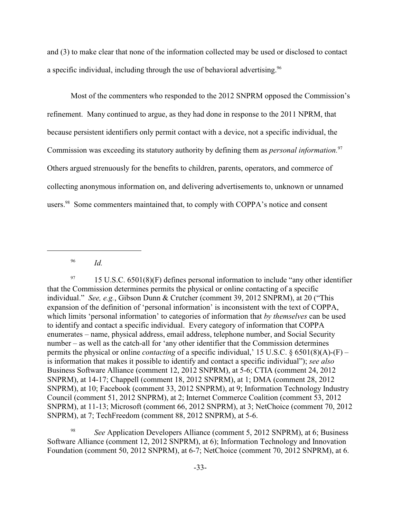and (3) to make clear that none of the information collected may be used or disclosed to contact a specific individual, including through the use of behavioral advertising.<sup>96</sup>

Most of the commenters who responded to the 2012 SNPRM opposed the Commission's refinement. Many continued to argue, as they had done in response to the 2011 NPRM, that because persistent identifiers only permit contact with a device, not a specific individual, the Commission was exceeding its statutory authority by defining them as *personal information.*<sup>97</sup> Others argued strenuously for the benefits to children, parents, operators, and commerce of collecting anonymous information on, and delivering advertisements to, unknown or unnamed users.<sup>98</sup> Some commenters maintained that, to comply with COPPA's notice and consent

<sup>97</sup> 15 U.S.C. 6501(8)(F) defines personal information to include "any other identifier that the Commission determines permits the physical or online contacting of a specific individual." *See, e.g.*, Gibson Dunn & Crutcher (comment 39, 2012 SNPRM), at 20 ("This expansion of the definition of 'personal information' is inconsistent with the text of COPPA, which limits 'personal information' to categories of information that *by themselves* can be used to identify and contact a specific individual. Every category of information that COPPA enumerates – name, physical address, email address, telephone number, and Social Security number – as well as the catch-all for 'any other identifier that the Commission determines permits the physical or online *contacting* of a specific individual,' 15 U.S.C. § 6501(8)(A)-(F) – is information that makes it possible to identify and contact a specific individual"); *see also* Business Software Alliance (comment 12, 2012 SNPRM), at 5-6; CTIA (comment 24, 2012 SNPRM), at 14-17; Chappell (comment 18, 2012 SNPRM), at 1; DMA (comment 28, 2012 SNPRM), at 10; Facebook (comment 33, 2012 SNPRM), at 9; Information Technology Industry Council (comment 51, 2012 SNPRM), at 2; Internet Commerce Coalition (comment 53, 2012 SNPRM), at 11-13; Microsoft (comment 66, 2012 SNPRM), at 3; NetChoice (comment 70, 2012 SNPRM), at 7; TechFreedom (comment 88, 2012 SNPRM), at 5-6.

<sup>98</sup> See Application Developers Alliance (comment 5, 2012 SNPRM), at 6; Business Software Alliance (comment 12, 2012 SNPRM), at 6); Information Technology and Innovation Foundation (comment 50, 2012 SNPRM), at 6-7; NetChoice (comment 70, 2012 SNPRM), at 6.

*Id.* <sup>96</sup>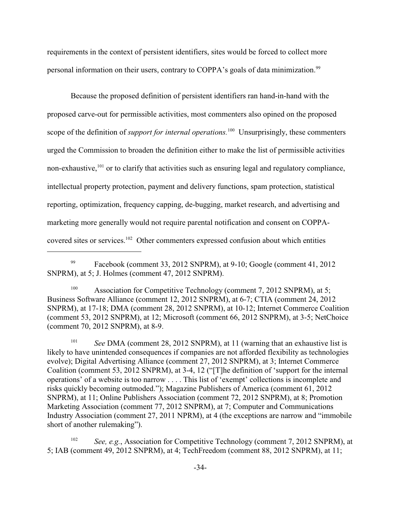requirements in the context of persistent identifiers, sites would be forced to collect more personal information on their users, contrary to COPPA's goals of data minimization.<sup>99</sup>

Because the proposed definition of persistent identifiers ran hand-in-hand with the proposed carve-out for permissible activities, most commenters also opined on the proposed scope of the definition of *support for internal operations*.<sup>100</sup> Unsurprisingly, these commenters urged the Commission to broaden the definition either to make the list of permissible activities non-exhaustive,<sup>101</sup> or to clarify that activities such as ensuring legal and regulatory compliance, intellectual property protection, payment and delivery functions, spam protection, statistical reporting, optimization, frequency capping, de-bugging, market research, and advertising and marketing more generally would not require parental notification and consent on COPPAcovered sites or services.  $102$  Other commenters expressed confusion about which entities

<sup>101</sup> See DMA (comment 28, 2012 SNPRM), at 11 (warning that an exhaustive list is likely to have unintended consequences if companies are not afforded flexibility as technologies evolve); Digital Advertising Alliance (comment 27, 2012 SNPRM), at 3; Internet Commerce Coalition (comment 53, 2012 SNPRM), at 3-4, 12 ("[T]he definition of 'support for the internal operations' of a website is too narrow . . . . This list of 'exempt' collections is incomplete and risks quickly becoming outmoded."); Magazine Publishers of America (comment 61, 2012 SNPRM), at 11; Online Publishers Association (comment 72, 2012 SNPRM), at 8; Promotion Marketing Association (comment 77, 2012 SNPRM), at 7; Computer and Communications Industry Association (comment 27, 2011 NPRM), at 4 (the exceptions are narrow and "immobile short of another rulemaking").

<sup>102</sup> *See, e.g.*, Association for Competitive Technology (comment 7, 2012 SNPRM), at 5; IAB (comment 49, 2012 SNPRM), at 4; TechFreedom (comment 88, 2012 SNPRM), at 11;

 $Fasebook$  (comment 33, 2012 SNPRM), at 9-10; Google (comment 41, 2012 SNPRM), at 5; J. Holmes (comment 47, 2012 SNPRM).

<sup>&</sup>lt;sup>100</sup> Association for Competitive Technology (comment 7, 2012 SNPRM), at 5; Business Software Alliance (comment 12, 2012 SNPRM), at 6-7; CTIA (comment 24, 2012 SNPRM), at 17-18; DMA (comment 28, 2012 SNPRM), at 10-12; Internet Commerce Coalition (comment 53, 2012 SNPRM), at 12; Microsoft (comment 66, 2012 SNPRM), at 3-5; NetChoice (comment 70, 2012 SNPRM), at 8-9.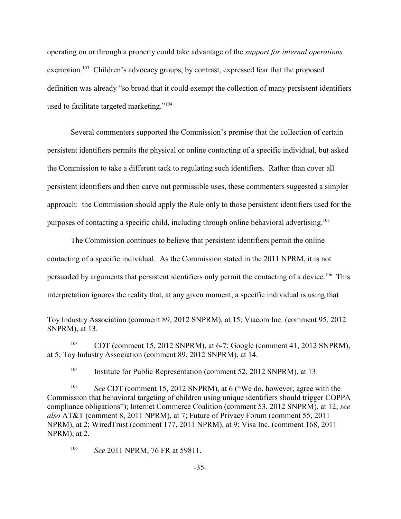operating on or through a property could take advantage of the *support for internal operations* exemption.<sup>103</sup> Children's advocacy groups, by contrast, expressed fear that the proposed definition was already "so broad that it could exempt the collection of many persistent identifiers used to facilitate targeted marketing."<sup>104</sup>

Several commenters supported the Commission's premise that the collection of certain persistent identifiers permits the physical or online contacting of a specific individual, but asked the Commission to take a different tack to regulating such identifiers. Rather than cover all persistent identifiers and then carve out permissible uses, these commenters suggested a simpler approach: the Commission should apply the Rule only to those persistent identifiers used for the purposes of contacting a specific child, including through online behavioral advertising.<sup>105</sup>

The Commission continues to believe that persistent identifiers permit the online contacting of a specific individual. As the Commission stated in the 2011 NPRM, it is not persuaded by arguments that persistent identifiers only permit the contacting of a device.  $106$  This interpretation ignores the reality that, at any given moment, a specific individual is using that

<sup>104</sup> Institute for Public Representation (comment 52, 2012 SNPRM), at 13.

Toy Industry Association (comment 89, 2012 SNPRM), at 15; Viacom Inc. (comment 95, 2012 SNPRM), at 13.

<sup>&</sup>lt;sup>103</sup> CDT (comment 15, 2012 SNPRM), at 6-7; Google (comment 41, 2012 SNPRM), at 5; Toy Industry Association (comment 89, 2012 SNPRM), at 14.

<sup>&</sup>lt;sup>105</sup> See CDT (comment 15, 2012 SNPRM), at 6 ("We do, however, agree with the Commission that behavioral targeting of children using unique identifiers should trigger COPPA compliance obligations"); Internet Commerce Coalition (comment 53, 2012 SNPRM), at 12; *see also* AT&T (comment 8, 2011 NPRM), at 7; Future of Privacy Forum (comment 55, 2011 NPRM), at 2; WiredTrust (comment 177, 2011 NPRM), at 9; Visa Inc. (comment 168, 2011 NPRM), at 2.

<sup>&</sup>lt;sup>106</sup> See 2011 NPRM, 76 FR at 59811.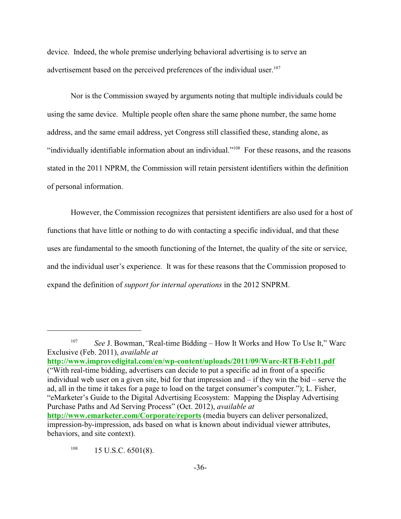device. Indeed, the whole premise underlying behavioral advertising is to serve an advertisement based on the perceived preferences of the individual user.<sup>107</sup>

Nor is the Commission swayed by arguments noting that multiple individuals could be using the same device. Multiple people often share the same phone number, the same home address, and the same email address, yet Congress still classified these, standing alone, as "individually identifiable information about an individual."<sup> $108$ </sup> For these reasons, and the reasons stated in the 2011 NPRM, the Commission will retain persistent identifiers within the definition of personal information.

However, the Commission recognizes that persistent identifiers are also used for a host of functions that have little or nothing to do with contacting a specific individual, and that these uses are fundamental to the smooth functioning of the Internet, the quality of the site or service, and the individual user's experience. It was for these reasons that the Commission proposed to expand the definition of *support for internal operations* in the 2012 SNPRM.

<sup>&</sup>lt;sup>107</sup> See J. Bowman, "Real-time Bidding – How It Works and How To Use It," Warc Exclusive (Feb. 2011), *available at* **[http://www.improvedigital.com/en/wp-content/uploads/2011/09/Warc-RTB-Feb11.pdf](#page-35-0)** ("With real-time bidding, advertisers can decide to put a specific ad in front of a specific individual web user on a given site, bid for that impression and – if they win the bid – serve the ad, all in the time it takes for a page to load on the target consumer's computer."); L. Fisher, "eMarketer's Guide to the Digital Advertising Ecosystem: Mapping the Display Advertising Purchase Paths and Ad Serving Process" (Oct. 2012), *available at* **<http://www.emarketer.com/Corporate/reports>** (media buyers can deliver personalized,

<span id="page-35-0"></span>impression-by-impression, ads based on what is known about individual viewer attributes, behaviors, and site context).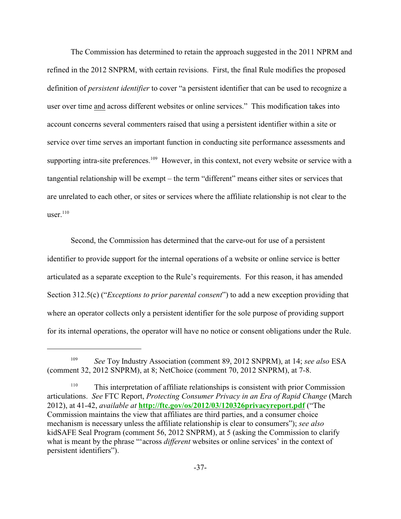The Commission has determined to retain the approach suggested in the 2011 NPRM and refined in the 2012 SNPRM, with certain revisions. First, the final Rule modifies the proposed definition of *persistent identifier* to cover "a persistent identifier that can be used to recognize a user over time and across different websites or online services." This modification takes into account concerns several commenters raised that using a persistent identifier within a site or service over time serves an important function in conducting site performance assessments and supporting intra-site preferences.<sup>109</sup> However, in this context, not every website or service with a tangential relationship will be exempt – the term "different" means either sites or services that are unrelated to each other, or sites or services where the affiliate relationship is not clear to the user. $110$ 

Second, the Commission has determined that the carve-out for use of a persistent identifier to provide support for the internal operations of a website or online service is better articulated as a separate exception to the Rule's requirements. For this reason, it has amended Section 312.5(c) ("*Exceptions to prior parental consent*") to add a new exception providing that where an operator collects only a persistent identifier for the sole purpose of providing support for its internal operations, the operator will have no notice or consent obligations under the Rule.

<sup>&</sup>lt;sup>109</sup> *See Toy Industry Association (comment 89, 2012 SNPRM), at 14; see also ESA* (comment 32, 2012 SNPRM), at 8; NetChoice (comment 70, 2012 SNPRM), at 7-8.

<sup>&</sup>lt;sup>110</sup> This interpretation of affiliate relationships is consistent with prior Commission articulations. *See* FTC Report, *Protecting Consumer Privacy in an Era of Rapid Change* (March 2012), at 41-42, *available at* **<http://ftc.gov/os/2012/03/120326privacyreport.pdf>** ("The Commission maintains the view that affiliates are third parties, and a consumer choice mechanism is necessary unless the affiliate relationship is clear to consumers"); *see also*  kidSAFE Seal Program (comment 56, 2012 SNPRM), at 5 (asking the Commission to clarify what is meant by the phrase "'across *different* websites or online services' in the context of persistent identifiers").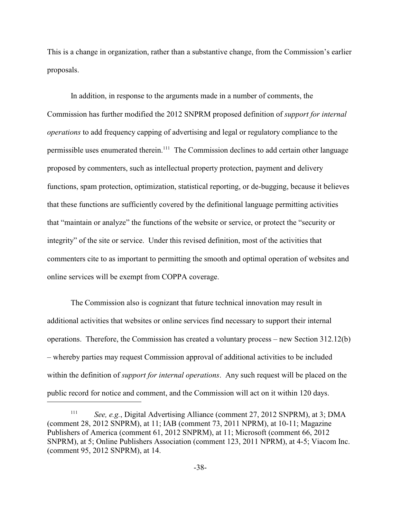This is a change in organization, rather than a substantive change, from the Commission's earlier proposals.

In addition, in response to the arguments made in a number of comments, the Commission has further modified the 2012 SNPRM proposed definition of *support for internal operations* to add frequency capping of advertising and legal or regulatory compliance to the permissible uses enumerated therein.<sup>111</sup> The Commission declines to add certain other language proposed by commenters, such as intellectual property protection, payment and delivery functions, spam protection, optimization, statistical reporting, or de-bugging, because it believes that these functions are sufficiently covered by the definitional language permitting activities that "maintain or analyze" the functions of the website or service, or protect the "security or integrity" of the site or service. Under this revised definition, most of the activities that commenters cite to as important to permitting the smooth and optimal operation of websites and online services will be exempt from COPPA coverage.

The Commission also is cognizant that future technical innovation may result in additional activities that websites or online services find necessary to support their internal operations. Therefore, the Commission has created a voluntary process – new Section 312.12(b) – whereby parties may request Commission approval of additional activities to be included within the definition of *support for internal operations*. Any such request will be placed on the public record for notice and comment, and the Commission will act on it within 120 days.

*See, e.g.*, Digital Advertising Alliance (comment 27, 2012 SNPRM), at 3; DMA 111 (comment 28, 2012 SNPRM), at 11; IAB (comment 73, 2011 NPRM), at 10-11; Magazine Publishers of America (comment 61, 2012 SNPRM), at 11; Microsoft (comment 66, 2012 SNPRM), at 5; Online Publishers Association (comment 123, 2011 NPRM), at 4-5; Viacom Inc. (comment 95, 2012 SNPRM), at 14.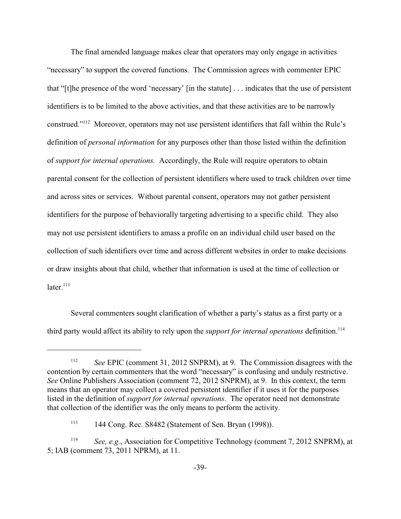The final amended language makes clear that operators may only engage in activities "necessary" to support the covered functions. The Commission agrees with commenter EPIC that "[t]he presence of the word 'necessary' [in the statute] . . . indicates that the use of persistent identifiers is to be limited to the above activities, and that these activities are to be narrowly construed."<sup>112</sup> Moreover, operators may not use persistent identifiers that fall within the Rule's definition of *personal information* for any purposes other than those listed within the definition of *support for internal operations.* Accordingly, the Rule will require operators to obtain parental consent for the collection of persistent identifiers where used to track children over time and across sites or services. Without parental consent, operators may not gather persistent identifiers for the purpose of behaviorally targeting advertising to a specific child. They also may not use persistent identifiers to amass a profile on an individual child user based on the collection of such identifiers over time and across different websites in order to make decisions or draw insights about that child, whether that information is used at the time of collection or later $113$ 

Several commenters sought clarification of whether a party's status as a first party or a third party would affect its ability to rely upon the *support for internal operations* definition.<sup>114</sup>

<sup>&</sup>lt;sup>112</sup> See EPIC (comment 31, 2012 SNPRM), at 9. The Commission disagrees with the contention by certain commenters that the word "necessary" is confusing and unduly restrictive. *See* Online Publishers Association (comment 72, 2012 SNPRM), at 9. In this context, the term means that an operator may collect a covered persistent identifier if it uses it for the purposes listed in the definition of *support for internal operations*. The operator need not demonstrate that collection of the identifier was the only means to perform the activity.

<sup>144</sup> Cong. Rec. S8482 (Statement of Sen. Bryan (1998)). <sup>113</sup>

<sup>&</sup>lt;sup>114</sup> See, e.g., Association for Competitive Technology (comment 7, 2012 SNPRM), at 5; IAB (comment 73, 2011 NPRM), at 11.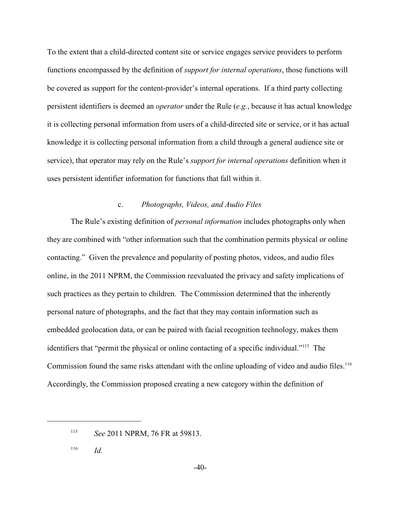To the extent that a child-directed content site or service engages service providers to perform functions encompassed by the definition of *support for internal operations*, those functions will be covered as support for the content-provider's internal operations. If a third party collecting persistent identifiers is deemed an *operator* under the Rule (*e.g.*, because it has actual knowledge it is collecting personal information from users of a child-directed site or service, or it has actual knowledge it is collecting personal information from a child through a general audience site or service), that operator may rely on the Rule's *support for internal operations* definition when it uses persistent identifier information for functions that fall within it.

## c. *Photographs, Videos, and Audio Files*

The Rule's existing definition of *personal information* includes photographs only when they are combined with "other information such that the combination permits physical or online contacting." Given the prevalence and popularity of posting photos, videos, and audio files online, in the 2011 NPRM, the Commission reevaluated the privacy and safety implications of such practices as they pertain to children. The Commission determined that the inherently personal nature of photographs, and the fact that they may contain information such as embedded geolocation data, or can be paired with facial recognition technology, makes them identifiers that "permit the physical or online contacting of a specific individual."<sup>115</sup> The Commission found the same risks attendant with the online uploading of video and audio files.<sup>116</sup> Accordingly, the Commission proposed creating a new category within the definition of

 $116$  *Id.* 

<sup>&</sup>lt;sup>115</sup> *See* 2011 NPRM, 76 FR at 59813.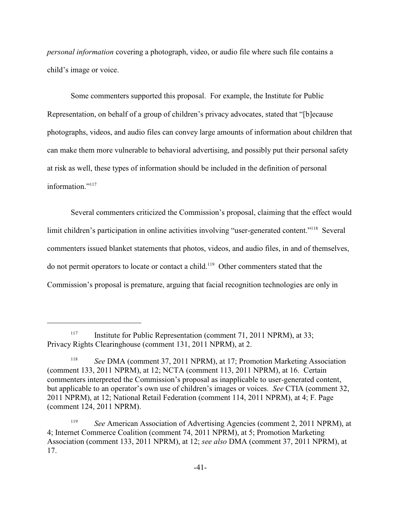*personal information* covering a photograph, video, or audio file where such file contains a child's image or voice.

Some commenters supported this proposal. For example, the Institute for Public Representation, on behalf of a group of children's privacy advocates, stated that "[b]ecause photographs, videos, and audio files can convey large amounts of information about children that can make them more vulnerable to behavioral advertising, and possibly put their personal safety at risk as well, these types of information should be included in the definition of personal information<sup>"117</sup>

Several commenters criticized the Commission's proposal, claiming that the effect would limit children's participation in online activities involving "user-generated content."<sup>118</sup> Several commenters issued blanket statements that photos, videos, and audio files, in and of themselves, do not permit operators to locate or contact a child.<sup>119</sup> Other commenters stated that the Commission's proposal is premature, arguing that facial recognition technologies are only in

Institute for Public Representation (comment 71, 2011 NPRM), at 33; Privacy Rights Clearinghouse (comment 131, 2011 NPRM), at 2.

<sup>&</sup>lt;sup>118</sup> See DMA (comment 37, 2011 NPRM), at 17; Promotion Marketing Association (comment 133, 2011 NPRM), at 12; NCTA (comment 113, 2011 NPRM), at 16. Certain commenters interpreted the Commission's proposal as inapplicable to user-generated content, but applicable to an operator's own use of children's images or voices. *See* CTIA (comment 32, 2011 NPRM), at 12; National Retail Federation (comment 114, 2011 NPRM), at 4; F. Page (comment 124, 2011 NPRM).

<sup>&</sup>lt;sup>119</sup> *See* American Association of Advertising Agencies (comment 2, 2011 NPRM), at 4; Internet Commerce Coalition (comment 74, 2011 NPRM), at 5; Promotion Marketing Association (comment 133, 2011 NPRM), at 12; *see also* DMA (comment 37, 2011 NPRM), at 17.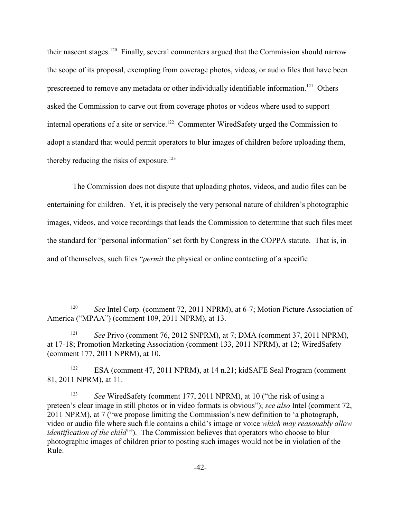their nascent stages.  $120$  Finally, several commenters argued that the Commission should narrow the scope of its proposal, exempting from coverage photos, videos, or audio files that have been prescreened to remove any metadata or other individually identifiable information.<sup>121</sup> Others asked the Commission to carve out from coverage photos or videos where used to support internal operations of a site or service.<sup>122</sup> Commenter WiredSafety urged the Commission to adopt a standard that would permit operators to blur images of children before uploading them, thereby reducing the risks of exposure.<sup>123</sup>

 The Commission does not dispute that uploading photos, videos, and audio files can be entertaining for children. Yet, it is precisely the very personal nature of children's photographic images, videos, and voice recordings that leads the Commission to determine that such files meet the standard for "personal information" set forth by Congress in the COPPA statute. That is, in and of themselves, such files "*permit* the physical or online contacting of a specific

<sup>121</sup> *See Privo (comment 76, 2012 SNPRM), at 7; DMA (comment 37, 2011 NPRM),* at 17-18; Promotion Marketing Association (comment 133, 2011 NPRM), at 12; WiredSafety (comment 177, 2011 NPRM), at 10.

<sup>122</sup> ESA (comment 47, 2011 NPRM), at 14 n.21; kidSAFE Seal Program (comment 81, 2011 NPRM), at 11.

<sup>&</sup>lt;sup>120</sup> See Intel Corp. (comment 72, 2011 NPRM), at 6-7; Motion Picture Association of America ("MPAA") (comment 109, 2011 NPRM), at 13.

<sup>&</sup>lt;sup>123</sup> *See* WiredSafety (comment 177, 2011 NPRM), at 10 ("the risk of using a preteen's clear image in still photos or in video formats is obvious"); *see also* Intel (comment 72, 2011 NPRM), at 7 ("we propose limiting the Commission's new definition to 'a photograph, video or audio file where such file contains a child's image or voice *which may reasonably allow identification of the child*'"). The Commission believes that operators who choose to blur photographic images of children prior to posting such images would not be in violation of the Rule.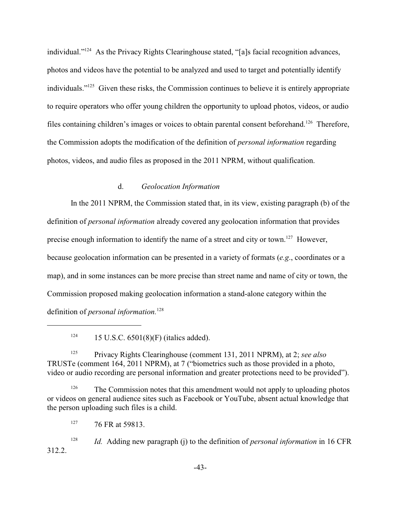individual." $124$  As the Privacy Rights Clearinghouse stated, "[a]s facial recognition advances, photos and videos have the potential to be analyzed and used to target and potentially identify individuals." $125$  Given these risks, the Commission continues to believe it is entirely appropriate to require operators who offer young children the opportunity to upload photos, videos, or audio files containing children's images or voices to obtain parental consent beforehand.<sup>126</sup> Therefore, the Commission adopts the modification of the definition of *personal information* regarding photos, videos, and audio files as proposed in the 2011 NPRM, without qualification.

# d. *Geolocation Information*

In the 2011 NPRM, the Commission stated that, in its view, existing paragraph (b) of the definition of *personal information* already covered any geolocation information that provides precise enough information to identify the name of a street and city or town.<sup>127</sup> However, because geolocation information can be presented in a variety of formats (*e.g*., coordinates or a map), and in some instances can be more precise than street name and name of city or town, the Commission proposed making geolocation information a stand-alone category within the definition of *personal information.*128

<sup>124</sup> 15 U.S.C.  $6501(8)$ (F) (italics added).

Privacy Rights Clearinghouse (comment 131, 2011 NPRM), at 2; *see also* 125 TRUSTe (comment 164, 2011 NPRM), at 7 ("biometrics such as those provided in a photo, video or audio recording are personal information and greater protections need to be provided").

 $126$  The Commission notes that this amendment would not apply to uploading photos or videos on general audience sites such as Facebook or YouTube, absent actual knowledge that the person uploading such files is a child.

 $127$  76 FR at 59813.

<sup>128</sup> *Id.* Adding new paragraph (j) to the definition of *personal information* in 16 CFR 312.2.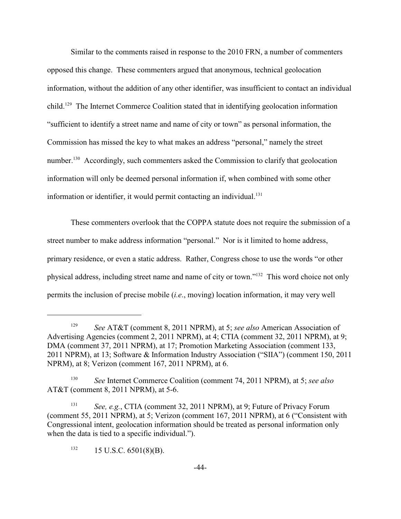Similar to the comments raised in response to the 2010 FRN, a number of commenters opposed this change. These commenters argued that anonymous, technical geolocation information, without the addition of any other identifier, was insufficient to contact an individual child.<sup>129</sup> The Internet Commerce Coalition stated that in identifying geolocation information "sufficient to identify a street name and name of city or town" as personal information, the Commission has missed the key to what makes an address "personal," namely the street number.<sup>130</sup> Accordingly, such commenters asked the Commission to clarify that geolocation information will only be deemed personal information if, when combined with some other information or identifier, it would permit contacting an individual.<sup>131</sup>

These commenters overlook that the COPPA statute does not require the submission of a street number to make address information "personal." Nor is it limited to home address, primary residence, or even a static address. Rather, Congress chose to use the words "or other physical address, including street name and name of city or town."<sup>132</sup> This word choice not only permits the inclusion of precise mobile (*i.e*., moving) location information, it may very well

<sup>&</sup>lt;sup>129</sup> See AT&T (comment 8, 2011 NPRM), at 5; see also American Association of Advertising Agencies (comment 2, 2011 NPRM), at 4; CTIA (comment 32, 2011 NPRM), at 9; DMA (comment 37, 2011 NPRM), at 17; Promotion Marketing Association (comment 133, 2011 NPRM), at 13; Software & Information Industry Association ("SIIA") (comment 150, 2011 NPRM), at 8; Verizon (comment 167, 2011 NPRM), at 6.

*See* Internet Commerce Coalition (comment 74, 2011 NPRM), at 5; *see also* 130 AT&T (comment 8, 2011 NPRM), at 5-6.

<sup>&</sup>lt;sup>131</sup> See, e.g., CTIA (comment 32, 2011 NPRM), at 9; Future of Privacy Forum (comment 55, 2011 NPRM), at 5; Verizon (comment 167, 2011 NPRM), at 6 ("Consistent with Congressional intent, geolocation information should be treated as personal information only when the data is tied to a specific individual.").

 $132$  15 U.S.C. 6501(8)(B).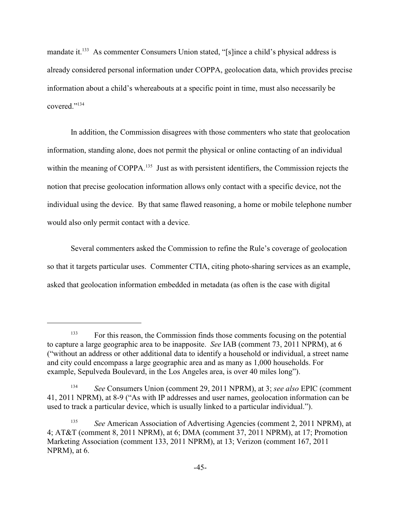mandate it.<sup>133</sup> As commenter Consumers Union stated, "[s]ince a child's physical address is already considered personal information under COPPA, geolocation data, which provides precise information about a child's whereabouts at a specific point in time, must also necessarily be covered<sup>"134</sup>

In addition, the Commission disagrees with those commenters who state that geolocation information, standing alone, does not permit the physical or online contacting of an individual within the meaning of COPPA.<sup>135</sup> Just as with persistent identifiers, the Commission rejects the notion that precise geolocation information allows only contact with a specific device, not the individual using the device. By that same flawed reasoning, a home or mobile telephone number would also only permit contact with a device.

Several commenters asked the Commission to refine the Rule's coverage of geolocation so that it targets particular uses. Commenter CTIA, citing photo-sharing services as an example, asked that geolocation information embedded in metadata (as often is the case with digital

<sup>&</sup>lt;sup>133</sup> For this reason, the Commission finds those comments focusing on the potential to capture a large geographic area to be inapposite. *See* IAB (comment 73, 2011 NPRM), at 6 ("without an address or other additional data to identify a household or individual, a street name and city could encompass a large geographic area and as many as 1,000 households. For example, Sepulveda Boulevard, in the Los Angeles area, is over 40 miles long").

<sup>&</sup>lt;sup>134</sup> See Consumers Union (comment 29, 2011 NPRM), at 3; *see also* EPIC (comment 41, 2011 NPRM), at 8-9 ("As with IP addresses and user names, geolocation information can be used to track a particular device, which is usually linked to a particular individual.").

<sup>&</sup>lt;sup>135</sup> See American Association of Advertising Agencies (comment 2, 2011 NPRM), at 4; AT&T (comment 8, 2011 NPRM), at 6; DMA (comment 37, 2011 NPRM), at 17; Promotion Marketing Association (comment 133, 2011 NPRM), at 13; Verizon (comment 167, 2011 NPRM), at 6.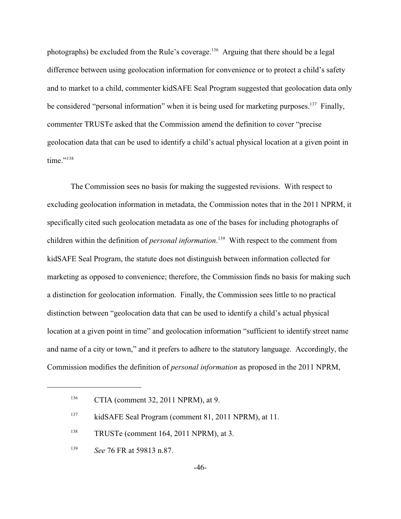photographs) be excluded from the Rule's coverage.<sup>136</sup> Arguing that there should be a legal difference between using geolocation information for convenience or to protect a child's safety and to market to a child, commenter kidSAFE Seal Program suggested that geolocation data only be considered "personal information" when it is being used for marketing purposes.  $137$  Finally, commenter TRUSTe asked that the Commission amend the definition to cover "precise geolocation data that can be used to identify a child's actual physical location at a given point in time."<sup>138</sup>

The Commission sees no basis for making the suggested revisions. With respect to excluding geolocation information in metadata, the Commission notes that in the 2011 NPRM, it specifically cited such geolocation metadata as one of the bases for including photographs of children within the definition of *personal information*.<sup>139</sup> With respect to the comment from kidSAFE Seal Program, the statute does not distinguish between information collected for marketing as opposed to convenience; therefore, the Commission finds no basis for making such a distinction for geolocation information. Finally, the Commission sees little to no practical distinction between "geolocation data that can be used to identify a child's actual physical location at a given point in time" and geolocation information "sufficient to identify street name and name of a city or town," and it prefers to adhere to the statutory language. Accordingly, the Commission modifies the definition of *personal information* as proposed in the 2011 NPRM,

 $CTIA$  (comment 32, 2011 NPRM), at 9.

 $kidSAFE$  Seal Program (comment 81, 2011 NPRM), at 11.

 $T$ TRUSTe (comment 164, 2011 NPRM), at 3.

<sup>&</sup>lt;sup>139</sup> *See* 76 FR at 59813 n.87.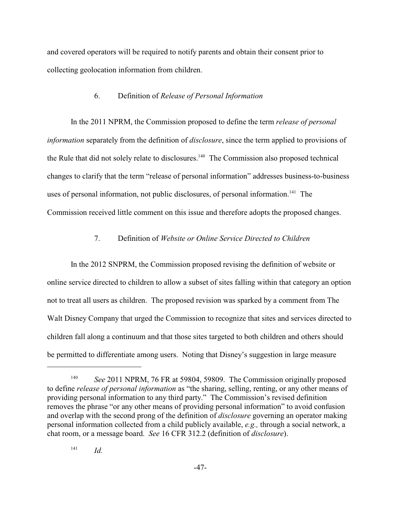and covered operators will be required to notify parents and obtain their consent prior to collecting geolocation information from children.

#### 6. Definition of *Release of Personal Information*

In the 2011 NPRM, the Commission proposed to define the term *release of personal information* separately from the definition of *disclosure*, since the term applied to provisions of the Rule that did not solely relate to disclosures.<sup>140</sup> The Commission also proposed technical changes to clarify that the term "release of personal information" addresses business-to-business uses of personal information, not public disclosures, of personal information.<sup>141</sup> The Commission received little comment on this issue and therefore adopts the proposed changes.

## 7. Definition of *Website or Online Service Directed to Children*

In the 2012 SNPRM, the Commission proposed revising the definition of website or online service directed to children to allow a subset of sites falling within that category an option not to treat all users as children. The proposed revision was sparked by a comment from The Walt Disney Company that urged the Commission to recognize that sites and services directed to children fall along a continuum and that those sites targeted to both children and others should be permitted to differentiate among users. Noting that Disney's suggestion in large measure

 $I^{41}$  *Id.* 

<sup>&</sup>lt;sup>140</sup> See 2011 NPRM, 76 FR at 59804, 59809. The Commission originally proposed to define *release of personal information* as "the sharing, selling, renting, or any other means of providing personal information to any third party." The Commission's revised definition removes the phrase "or any other means of providing personal information" to avoid confusion and overlap with the second prong of the definition of *disclosure* governing an operator making personal information collected from a child publicly available, *e.g.,* through a social network, a chat room, or a message board. *See* 16 CFR 312.2 (definition of *disclosure*).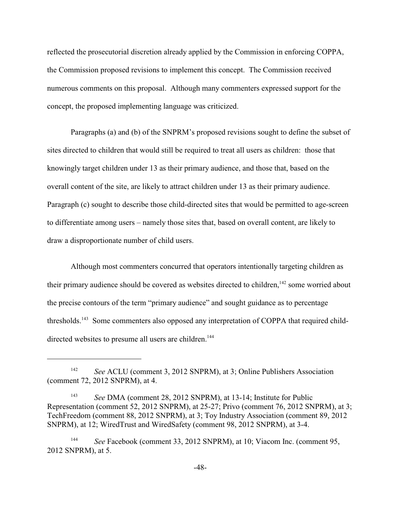reflected the prosecutorial discretion already applied by the Commission in enforcing COPPA, the Commission proposed revisions to implement this concept. The Commission received numerous comments on this proposal. Although many commenters expressed support for the concept, the proposed implementing language was criticized.

Paragraphs (a) and (b) of the SNPRM's proposed revisions sought to define the subset of sites directed to children that would still be required to treat all users as children: those that knowingly target children under 13 as their primary audience, and those that, based on the overall content of the site, are likely to attract children under 13 as their primary audience. Paragraph (c) sought to describe those child-directed sites that would be permitted to age-screen to differentiate among users – namely those sites that, based on overall content, are likely to draw a disproportionate number of child users.

Although most commenters concurred that operators intentionally targeting children as their primary audience should be covered as websites directed to children,  $142$  some worried about the precise contours of the term "primary audience" and sought guidance as to percentage thresholds.<sup>143</sup> Some commenters also opposed any interpretation of COPPA that required childdirected websites to presume all users are children.<sup>144</sup>

<sup>&</sup>lt;sup>142</sup> *See* ACLU (comment 3, 2012 SNPRM), at 3; Online Publishers Association (comment 72, 2012 SNPRM), at 4.

<sup>&</sup>lt;sup>143</sup> See DMA (comment 28, 2012 SNPRM), at 13-14; Institute for Public Representation (comment 52, 2012 SNPRM), at 25-27; Privo (comment 76, 2012 SNPRM), at 3; TechFreedom (comment 88, 2012 SNPRM), at 3; Toy Industry Association (comment 89, 2012 SNPRM), at 12; WiredTrust and WiredSafety (comment 98, 2012 SNPRM), at 3-4.

<sup>&</sup>lt;sup>144</sup> See Facebook (comment 33, 2012 SNPRM), at 10; Viacom Inc. (comment 95, 2012 SNPRM), at 5.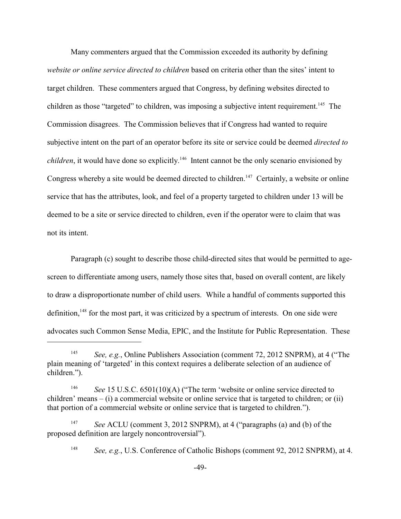Many commenters argued that the Commission exceeded its authority by defining *website or online service directed to children* based on criteria other than the sites' intent to target children. These commenters argued that Congress, by defining websites directed to children as those "targeted" to children, was imposing a subjective intent requirement.<sup>145</sup> The Commission disagrees. The Commission believes that if Congress had wanted to require subjective intent on the part of an operator before its site or service could be deemed *directed to children*, it would have done so explicitly.<sup>146</sup> Intent cannot be the only scenario envisioned by Congress whereby a site would be deemed directed to children.<sup>147</sup> Certainly, a website or online service that has the attributes, look, and feel of a property targeted to children under 13 will be deemed to be a site or service directed to children, even if the operator were to claim that was not its intent.

Paragraph (c) sought to describe those child-directed sites that would be permitted to agescreen to differentiate among users, namely those sites that, based on overall content, are likely to draw a disproportionate number of child users. While a handful of comments supported this definition,  $148$  for the most part, it was criticized by a spectrum of interests. On one side were advocates such Common Sense Media, EPIC, and the Institute for Public Representation. These

<sup>&</sup>lt;sup>145</sup> *See, e.g.*, Online Publishers Association (comment 72, 2012 SNPRM), at 4 ("The plain meaning of 'targeted' in this context requires a deliberate selection of an audience of children.").

<sup>&</sup>lt;sup>146</sup> See 15 U.S.C. 6501(10)(A) ("The term 'website or online service directed to children' means – (i) a commercial website or online service that is targeted to children; or (ii) that portion of a commercial website or online service that is targeted to children.").

<sup>&</sup>lt;sup>147</sup> *See* ACLU (comment 3, 2012 SNPRM), at 4 ("paragraphs (a) and (b) of the proposed definition are largely noncontroversial").

<sup>&</sup>lt;sup>148</sup> *See, e.g.*, U.S. Conference of Catholic Bishops (comment 92, 2012 SNPRM), at 4.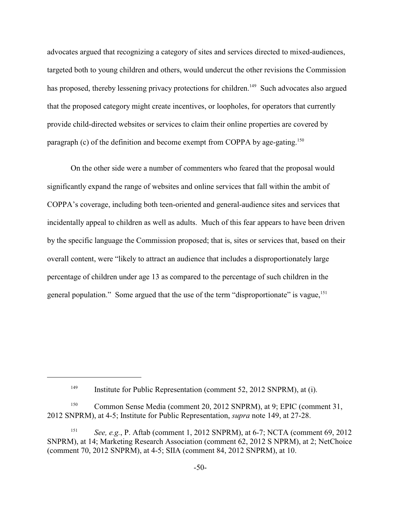advocates argued that recognizing a category of sites and services directed to mixed-audiences, targeted both to young children and others, would undercut the other revisions the Commission has proposed, thereby lessening privacy protections for children.<sup>149</sup> Such advocates also argued that the proposed category might create incentives, or loopholes, for operators that currently provide child-directed websites or services to claim their online properties are covered by paragraph (c) of the definition and become exempt from COPPA by age-gating.<sup>150</sup>

On the other side were a number of commenters who feared that the proposal would significantly expand the range of websites and online services that fall within the ambit of COPPA's coverage, including both teen-oriented and general-audience sites and services that incidentally appeal to children as well as adults. Much of this fear appears to have been driven by the specific language the Commission proposed; that is, sites or services that, based on their overall content, were "likely to attract an audience that includes a disproportionately large percentage of children under age 13 as compared to the percentage of such children in the general population." Some argued that the use of the term "disproportionate" is vague,<sup>151</sup>

Institute for Public Representation (comment 52, 2012 SNPRM), at (i). 149

<sup>&</sup>lt;sup>150</sup> Common Sense Media (comment 20, 2012 SNPRM), at 9; EPIC (comment 31, 2012 SNPRM), at 4-5; Institute for Public Representation, *supra* note 149, at 27-28.

<sup>&</sup>lt;sup>151</sup> *See, e.g., P. Aftab (comment 1, 2012 SNPRM), at 6-7; NCTA (comment 69, 2012)* SNPRM), at 14; Marketing Research Association (comment 62, 2012 S NPRM), at 2; NetChoice (comment 70, 2012 SNPRM), at 4-5; SIIA (comment 84, 2012 SNPRM), at 10.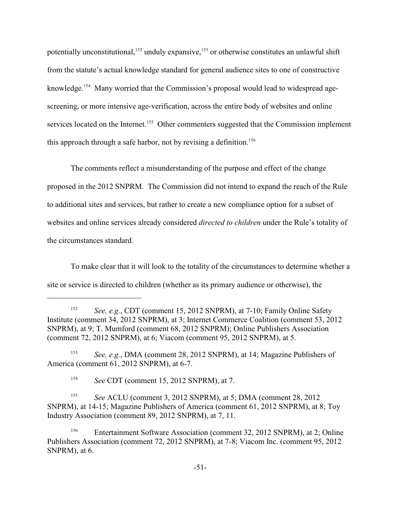potentially unconstitutional,  $152$  unduly expansive,  $153$  or otherwise constitutes an unlawful shift from the statute's actual knowledge standard for general audience sites to one of constructive knowledge.<sup> $154$ </sup> Many worried that the Commission's proposal would lead to widespread agescreening, or more intensive age-verification, across the entire body of websites and online services located on the Internet.<sup>155</sup> Other commenters suggested that the Commission implement this approach through a safe harbor, not by revising a definition.<sup>156</sup>

The comments reflect a misunderstanding of the purpose and effect of the change proposed in the 2012 SNPRM. The Commission did not intend to expand the reach of the Rule to additional sites and services, but rather to create a new compliance option for a subset of websites and online services already considered *directed to children* under the Rule's totality of the circumstances standard.

To make clear that it will look to the totality of the circumstances to determine whether a site or service is directed to children (whether as its primary audience or otherwise), the

<sup>153</sup> *See, e.g.*, DMA (comment 28, 2012 SNPRM), at 14; Magazine Publishers of America (comment 61, 2012 SNPRM), at 6-7.

<sup>154</sup> See CDT (comment 15, 2012 SNPRM), at 7.

<sup>155</sup> See ACLU (comment 3, 2012 SNPRM), at 5; DMA (comment 28, 2012) SNPRM), at 14-15; Magazine Publishers of America (comment 61, 2012 SNPRM), at 8; Toy Industry Association (comment 89, 2012 SNPRM), at 7, 11.

<sup>156</sup> Entertainment Software Association (comment 32, 2012 SNPRM), at 2; Online Publishers Association (comment 72, 2012 SNPRM), at 7-8; Viacom Inc. (comment 95, 2012 SNPRM), at 6.

<sup>&</sup>lt;sup>152</sup> *See, e.g.*, CDT (comment 15, 2012 SNPRM), at 7-10; Family Online Safety Institute (comment 34, 2012 SNPRM), at 3; Internet Commerce Coalition (comment 53, 2012 SNPRM), at 9; T. Mumford (comment 68, 2012 SNPRM); Online Publishers Association (comment 72, 2012 SNPRM), at 6; Viacom (comment 95, 2012 SNPRM), at 5.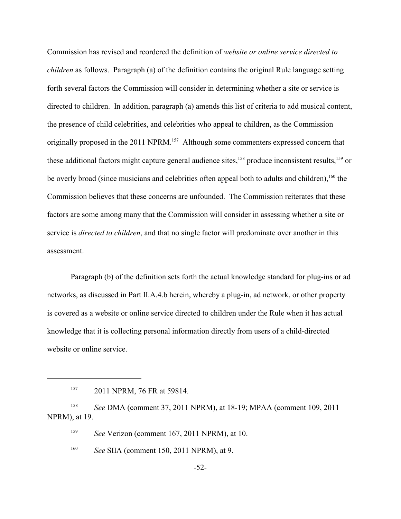Commission has revised and reordered the definition of *website or online service directed to children* as follows. Paragraph (a) of the definition contains the original Rule language setting forth several factors the Commission will consider in determining whether a site or service is directed to children. In addition, paragraph (a) amends this list of criteria to add musical content, the presence of child celebrities, and celebrities who appeal to children, as the Commission originally proposed in the 2011 NPRM.<sup>157</sup> Although some commenters expressed concern that these additional factors might capture general audience sites,  $158$  produce inconsistent results,  $159$  or be overly broad (since musicians and celebrities often appeal both to adults and children),  $160$  the Commission believes that these concerns are unfounded. The Commission reiterates that these factors are some among many that the Commission will consider in assessing whether a site or service is *directed to children*, and that no single factor will predominate over another in this assessment.

Paragraph (b) of the definition sets forth the actual knowledge standard for plug-ins or ad networks, as discussed in Part II.A.4.b herein, whereby a plug-in, ad network, or other property is covered as a website or online service directed to children under the Rule when it has actual knowledge that it is collecting personal information directly from users of a child-directed website or online service.

<sup>158</sup> See DMA (comment 37, 2011 NPRM), at 18-19; MPAA (comment 109, 2011 NPRM), at 19.

<sup>159</sup> See Verizon (comment 167, 2011 NPRM), at 10.

<sup>160</sup> See SIIA (comment 150, 2011 NPRM), at 9.

<sup>&</sup>lt;sup>157</sup> 2011 NPRM, 76 FR at 59814.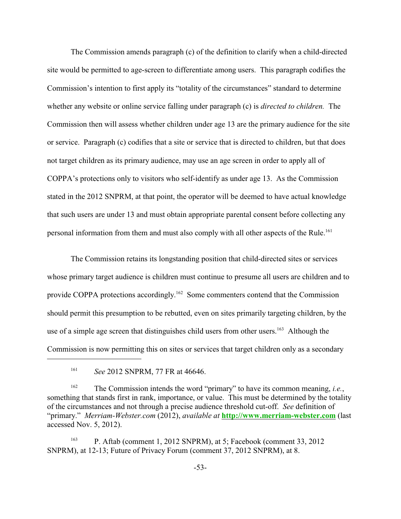The Commission amends paragraph (c) of the definition to clarify when a child-directed site would be permitted to age-screen to differentiate among users. This paragraph codifies the Commission's intention to first apply its "totality of the circumstances" standard to determine whether any website or online service falling under paragraph (c) is *directed to children.* The Commission then will assess whether children under age 13 are the primary audience for the site or service. Paragraph (c) codifies that a site or service that is directed to children, but that does not target children as its primary audience, may use an age screen in order to apply all of COPPA's protections only to visitors who self-identify as under age 13. As the Commission stated in the 2012 SNPRM, at that point, the operator will be deemed to have actual knowledge that such users are under 13 and must obtain appropriate parental consent before collecting any personal information from them and must also comply with all other aspects of the Rule.<sup>161</sup>

The Commission retains its longstanding position that child-directed sites or services whose primary target audience is children must continue to presume all users are children and to provide COPPA protections accordingly.<sup>162</sup> Some commenters contend that the Commission should permit this presumption to be rebutted, even on sites primarily targeting children, by the use of a simple age screen that distinguishes child users from other users.  $163$  Although the Commission is now permitting this on sites or services that target children only as a secondary

<sup>&</sup>lt;sup>161</sup> *See* 2012 SNPRM, 77 FR at 46646.

The Commission intends the word "primary" to have its common meaning, *i.e.*, 162 something that stands first in rank, importance, or value. This must be determined by the totality of the circumstances and not through a precise audience threshold cut-off. *See* definition of "primary." *Merriam-Webster.com* (2012), *available at* **<http://www.merriam-webster.com>** (last accessed Nov. 5, 2012).

P. Aftab (comment  $1, 2012$  SNPRM), at  $5$ ; Facebook (comment  $33, 2012$ ) SNPRM), at 12-13; Future of Privacy Forum (comment 37, 2012 SNPRM), at 8.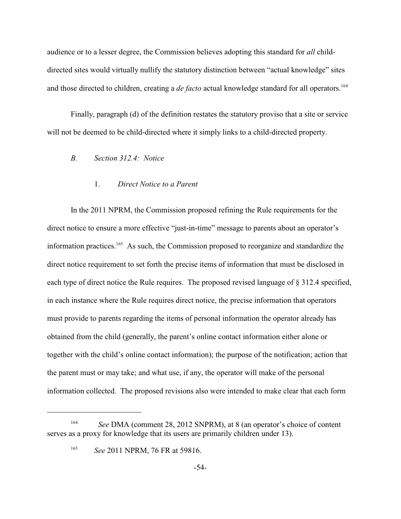audience or to a lesser degree, the Commission believes adopting this standard for *all* childdirected sites would virtually nullify the statutory distinction between "actual knowledge" sites and those directed to children, creating a *de facto* actual knowledge standard for all operators.<sup>164</sup>

Finally, paragraph (d) of the definition restates the statutory proviso that a site or service will not be deemed to be child-directed where it simply links to a child-directed property.

## *B. Section 312.4: Notice*

## 1. *Direct Notice to a Parent*

In the 2011 NPRM, the Commission proposed refining the Rule requirements for the direct notice to ensure a more effective "just-in-time" message to parents about an operator's information practices. <sup>165</sup> As such, the Commission proposed to reorganize and standardize the direct notice requirement to set forth the precise items of information that must be disclosed in each type of direct notice the Rule requires. The proposed revised language of § 312.4 specified, in each instance where the Rule requires direct notice, the precise information that operators must provide to parents regarding the items of personal information the operator already has obtained from the child (generally, the parent's online contact information either alone or together with the child's online contact information); the purpose of the notification; action that the parent must or may take; and what use, if any, the operator will make of the personal information collected. The proposed revisions also were intended to make clear that each form

<sup>&</sup>lt;sup>164</sup> See DMA (comment 28, 2012 SNPRM), at 8 (an operator's choice of content serves as a proxy for knowledge that its users are primarily children under 13).

<sup>&</sup>lt;sup>165</sup> See 2011 NPRM, 76 FR at 59816.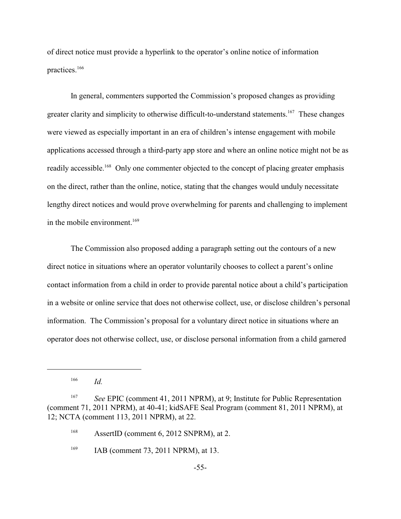of direct notice must provide a hyperlink to the operator's online notice of information practices.<sup>166</sup>

In general, commenters supported the Commission's proposed changes as providing greater clarity and simplicity to otherwise difficult-to-understand statements.<sup>167</sup> These changes were viewed as especially important in an era of children's intense engagement with mobile applications accessed through a third-party app store and where an online notice might not be as readily accessible.<sup>168</sup> Only one commenter objected to the concept of placing greater emphasis on the direct, rather than the online, notice, stating that the changes would unduly necessitate lengthy direct notices and would prove overwhelming for parents and challenging to implement in the mobile environment.<sup>169</sup>

The Commission also proposed adding a paragraph setting out the contours of a new direct notice in situations where an operator voluntarily chooses to collect a parent's online contact information from a child in order to provide parental notice about a child's participation in a website or online service that does not otherwise collect, use, or disclose children's personal information. The Commission's proposal for a voluntary direct notice in situations where an operator does not otherwise collect, use, or disclose personal information from a child garnered

 $166$  *Id.* 

<sup>&</sup>lt;sup>167</sup> See EPIC (comment 41, 2011 NPRM), at 9; Institute for Public Representation (comment 71, 2011 NPRM), at 40-41; kidSAFE Seal Program (comment 81, 2011 NPRM), at 12; NCTA (comment 113, 2011 NPRM), at 22.

<sup>&</sup>lt;sup>168</sup> AssertID (comment 6, 2012 SNPRM), at 2.

 $I<sup>169</sup>$  IAB (comment 73, 2011 NPRM), at 13.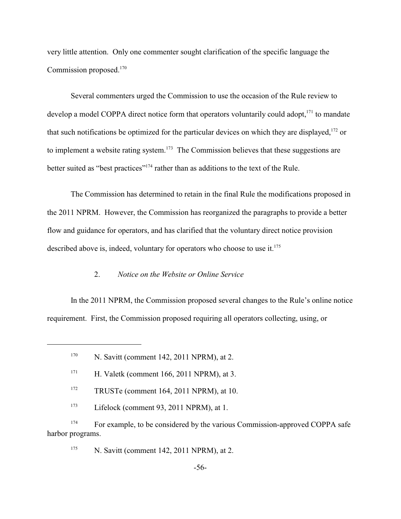very little attention. Only one commenter sought clarification of the specific language the Commission proposed.<sup>170</sup>

Several commenters urged the Commission to use the occasion of the Rule review to develop a model COPPA direct notice form that operators voluntarily could adopt,  $171$  to mandate that such notifications be optimized for the particular devices on which they are displayed.<sup>172</sup> or to implement a website rating system.<sup>173</sup> The Commission believes that these suggestions are better suited as "best practices"<sup>174</sup> rather than as additions to the text of the Rule.

The Commission has determined to retain in the final Rule the modifications proposed in the 2011 NPRM. However, the Commission has reorganized the paragraphs to provide a better flow and guidance for operators, and has clarified that the voluntary direct notice provision described above is, indeed, voluntary for operators who choose to use it.<sup>175</sup>

## 2. *Notice on the Website or Online Service*

In the 2011 NPRM, the Commission proposed several changes to the Rule's online notice requirement. First, the Commission proposed requiring all operators collecting, using, or

 $N.$  Savitt (comment 142, 2011 NPRM), at 2.

 $N.$  Savitt (comment 142, 2011 NPRM), at 2.

 $H.$  Valetk (comment 166, 2011 NPRM), at 3.

 $T<sup>172</sup>$  TRUSTe (comment 164, 2011 NPRM), at 10.

 $Lifelock (comment 93, 2011 NPRM), at 1.$ 

<sup>&</sup>lt;sup>174</sup> For example, to be considered by the various Commission-approved COPPA safe harbor programs.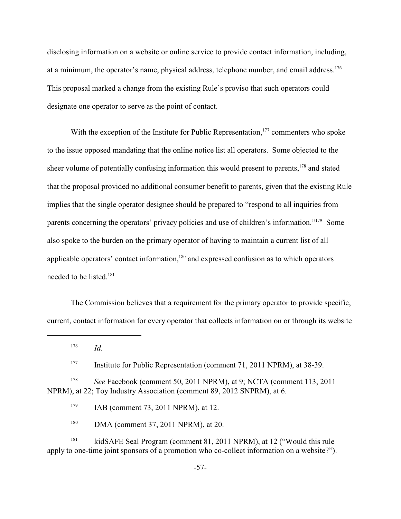disclosing information on a website or online service to provide contact information, including, at a minimum, the operator's name, physical address, telephone number, and email address.<sup>176</sup> This proposal marked a change from the existing Rule's proviso that such operators could designate one operator to serve as the point of contact.

With the exception of the Institute for Public Representation,  $177$  commenters who spoke to the issue opposed mandating that the online notice list all operators. Some objected to the sheer volume of potentially confusing information this would present to parents, <sup>178</sup> and stated that the proposal provided no additional consumer benefit to parents, given that the existing Rule implies that the single operator designee should be prepared to "respond to all inquiries from parents concerning the operators' privacy policies and use of children's information."<sup>179</sup> Some also spoke to the burden on the primary operator of having to maintain a current list of all applicable operators' contact information, $180$  and expressed confusion as to which operators needed to be listed.<sup>181</sup>

The Commission believes that a requirement for the primary operator to provide specific, current, contact information for every operator that collects information on or through its website

 $^{176}$  *Id.* 

<sup>177</sup> Institute for Public Representation (comment 71, 2011 NPRM), at 38-39.

<sup>178</sup> *See* Facebook (comment 50, 2011 NPRM), at 9; NCTA (comment 113, 2011 NPRM), at 22; Toy Industry Association (comment 89, 2012 SNPRM), at 6.

 $I<sup>179</sup>$  IAB (comment 73, 2011 NPRM), at 12.

 $180$  DMA (comment 37, 2011 NPRM), at 20.

<sup>181</sup> kidSAFE Seal Program (comment 81, 2011 NPRM), at 12 ("Would this rule apply to one-time joint sponsors of a promotion who co-collect information on a website?").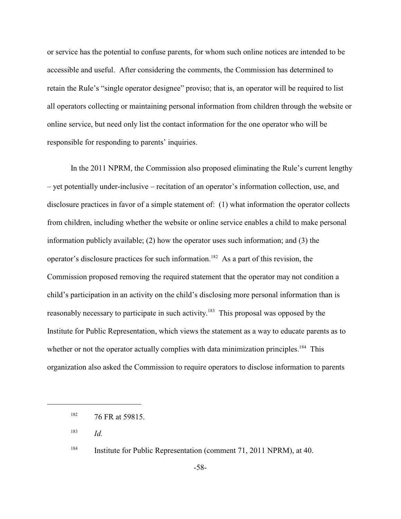or service has the potential to confuse parents, for whom such online notices are intended to be accessible and useful. After considering the comments, the Commission has determined to retain the Rule's "single operator designee" proviso; that is, an operator will be required to list all operators collecting or maintaining personal information from children through the website or online service, but need only list the contact information for the one operator who will be responsible for responding to parents' inquiries.

In the 2011 NPRM, the Commission also proposed eliminating the Rule's current lengthy – yet potentially under-inclusive – recitation of an operator's information collection, use, and disclosure practices in favor of a simple statement of: (1) what information the operator collects from children, including whether the website or online service enables a child to make personal information publicly available; (2) how the operator uses such information; and (3) the operator's disclosure practices for such information.<sup>182</sup> As a part of this revision, the Commission proposed removing the required statement that the operator may not condition a child's participation in an activity on the child's disclosing more personal information than is reasonably necessary to participate in such activity.<sup>183</sup> This proposal was opposed by the Institute for Public Representation, which views the statement as a way to educate parents as to whether or not the operator actually complies with data minimization principles.<sup>184</sup> This organization also asked the Commission to require operators to disclose information to parents

*Id.* <sup>183</sup>

 $182$  76 FR at 59815.

<sup>&</sup>lt;sup>184</sup> Institute for Public Representation (comment 71, 2011 NPRM), at 40.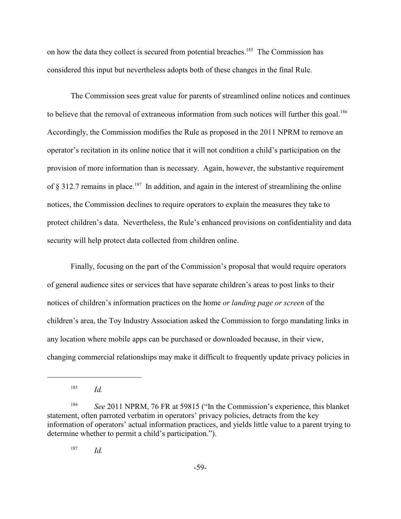on how the data they collect is secured from potential breaches.<sup>185</sup> The Commission has considered this input but nevertheless adopts both of these changes in the final Rule.

The Commission sees great value for parents of streamlined online notices and continues to believe that the removal of extraneous information from such notices will further this goal.<sup>186</sup> Accordingly, the Commission modifies the Rule as proposed in the 2011 NPRM to remove an operator's recitation in its online notice that it will not condition a child's participation on the provision of more information than is necessary. Again, however, the substantive requirement of  $\S$  312.7 remains in place.<sup>187</sup> In addition, and again in the interest of streamlining the online notices, the Commission declines to require operators to explain the measures they take to protect children's data. Nevertheless, the Rule's enhanced provisions on confidentiality and data security will help protect data collected from children online.

Finally, focusing on the part of the Commission's proposal that would require operators of general audience sites or services that have separate children's areas to post links to their notices of children's information practices on the home *or landing page or screen* of the children's area, the Toy Industry Association asked the Commission to forgo mandating links in any location where mobile apps can be purchased or downloaded because, in their view, changing commercial relationships may make it difficult to frequently update privacy policies in

 $^{187}$  *Id.* 

 $^{185}$  *Id.* 

<sup>&</sup>lt;sup>186</sup> See 2011 NPRM, 76 FR at 59815 ("In the Commission's experience, this blanket statement, often parroted verbatim in operators' privacy policies, detracts from the key information of operators' actual information practices, and yields little value to a parent trying to determine whether to permit a child's participation.").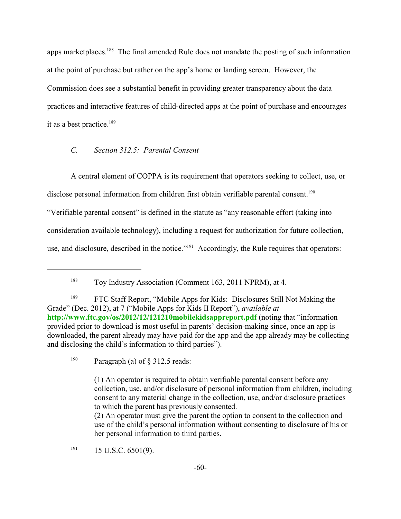apps marketplaces.<sup>188</sup> The final amended Rule does not mandate the posting of such information at the point of purchase but rather on the app's home or landing screen. However, the Commission does see a substantial benefit in providing greater transparency about the data practices and interactive features of child-directed apps at the point of purchase and encourages it as a best practice. 189

### *C. Section 312.5: Parental Consent*

A central element of COPPA is its requirement that operators seeking to collect, use, or

disclose personal information from children first obtain verifiable parental consent.<sup>190</sup>

"Verifiable parental consent" is defined in the statute as "any reasonable effort (taking into

consideration available technology), including a request for authorization for future collection,

use, and disclosure, described in the notice."<sup>191</sup> Accordingly, the Rule requires that operators:

 $191$  15 U.S.C. 6501(9).

 $T_{T}$ <sup>188</sup> Toy Industry Association (Comment 163, 2011 NPRM), at 4.

<sup>&</sup>lt;sup>189</sup> FTC Staff Report, "Mobile Apps for Kids: Disclosures Still Not Making the Grade" (Dec. 2012), at 7 ("Mobile Apps for Kids II Report"), *available at* **<http://www.ftc.gov/os/2012/12/121210mobilekidsappreport.pdf>** (noting that "information provided prior to download is most useful in parents' decision-making since, once an app is downloaded, the parent already may have paid for the app and the app already may be collecting and disclosing the child's information to third parties").

<sup>&</sup>lt;sup>190</sup> Paragraph (a) of  $\frac{8}{312.5}$  reads:

<sup>(1)</sup> An operator is required to obtain verifiable parental consent before any collection, use, and/or disclosure of personal information from children, including consent to any material change in the collection, use, and/or disclosure practices to which the parent has previously consented.

<sup>(2)</sup> An operator must give the parent the option to consent to the collection and use of the child's personal information without consenting to disclosure of his or her personal information to third parties.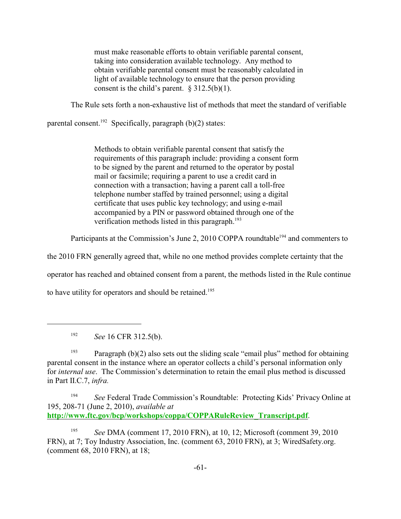must make reasonable efforts to obtain verifiable parental consent, taking into consideration available technology. Any method to obtain verifiable parental consent must be reasonably calculated in light of available technology to ensure that the person providing consent is the child's parent.  $§$  312.5(b)(1).

The Rule sets forth a non-exhaustive list of methods that meet the standard of verifiable

parental consent.<sup>192</sup> Specifically, paragraph (b)(2) states:

Methods to obtain verifiable parental consent that satisfy the requirements of this paragraph include: providing a consent form to be signed by the parent and returned to the operator by postal mail or facsimile; requiring a parent to use a credit card in connection with a transaction; having a parent call a toll-free telephone number staffed by trained personnel; using a digital certificate that uses public key technology; and using e-mail accompanied by a PIN or password obtained through one of the verification methods listed in this paragraph.<sup>193</sup>

Participants at the Commission's June 2, 2010 COPPA roundtable<sup>194</sup> and commenters to

the 2010 FRN generally agreed that, while no one method provides complete certainty that the

operator has reached and obtained consent from a parent, the methods listed in the Rule continue

to have utility for operators and should be retained.<sup>195</sup>

<sup>192</sup> *See* 16 CFR 312.5(b).

<sup>193</sup> Paragraph (b)(2) also sets out the sliding scale "email plus" method for obtaining parental consent in the instance where an operator collects a child's personal information only for *internal use*. The Commission's determination to retain the email plus method is discussed in Part II.C.7, *infra.*

<sup>194</sup> See Federal Trade Commission's Roundtable: Protecting Kids' Privacy Online at 195, 208-71 (June 2, 2010), *available at* **[http://www.ftc.gov/bcp/workshops/coppa/COPPARuleReview\\_Transcript.pdf](#page-81-0)**.

<sup>195</sup> See DMA (comment 17, 2010 FRN), at 10, 12; Microsoft (comment 39, 2010 FRN), at 7; Toy Industry Association, Inc. (comment 63, 2010 FRN), at 3; WiredSafety.org. (comment 68, 2010 FRN), at 18;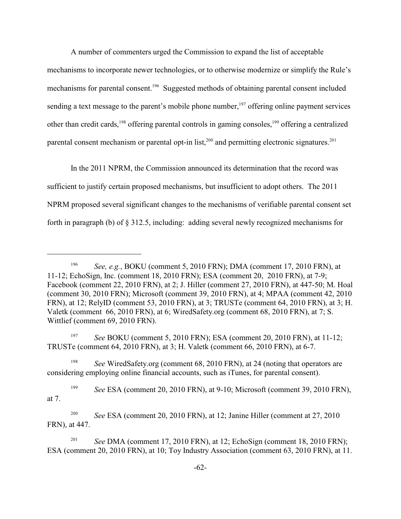A number of commenters urged the Commission to expand the list of acceptable mechanisms to incorporate newer technologies, or to otherwise modernize or simplify the Rule's mechanisms for parental consent.<sup>196</sup> Suggested methods of obtaining parental consent included sending a text message to the parent's mobile phone number,<sup>197</sup> offering online payment services other than credit cards, <sup>198</sup> offering parental controls in gaming consoles, <sup>199</sup> offering a centralized parental consent mechanism or parental opt-in list, $200$  and permitting electronic signatures.  $201$ 

In the 2011 NPRM, the Commission announced its determination that the record was sufficient to justify certain proposed mechanisms, but insufficient to adopt others. The 2011 NPRM proposed several significant changes to the mechanisms of verifiable parental consent set forth in paragraph (b) of § 312.5, including: adding several newly recognized mechanisms for

<sup>197</sup> *See* BOKU (comment 5, 2010 FRN); ESA (comment 20, 2010 FRN), at 11-12; TRUSTe (comment 64, 2010 FRN), at 3; H. Valetk (comment 66, 2010 FRN), at 6-7.

<sup>198</sup> See WiredSafety.org (comment 68, 2010 FRN), at 24 (noting that operators are considering employing online financial accounts, such as iTunes, for parental consent).

<sup>199</sup> See ESA (comment 20, 2010 FRN), at 9-10; Microsoft (comment 39, 2010 FRN), at 7.

<sup>200</sup> See ESA (comment 20, 2010 FRN), at 12; Janine Hiller (comment at 27, 2010 FRN), at 447.

<sup>201</sup> *See* DMA (comment 17, 2010 FRN), at 12; EchoSign (comment 18, 2010 FRN); ESA (comment 20, 2010 FRN), at 10; Toy Industry Association (comment 63, 2010 FRN), at 11.

<sup>&</sup>lt;sup>196</sup> *See, e.g.*, BOKU (comment 5, 2010 FRN); DMA (comment 17, 2010 FRN), at 11-12; EchoSign, Inc. (comment 18, 2010 FRN); ESA (comment 20, 2010 FRN), at 7-9; Facebook (comment 22, 2010 FRN), at 2; J. Hiller (comment 27, 2010 FRN), at 447-50; M. Hoal (comment 30, 2010 FRN); Microsoft (comment 39, 2010 FRN), at 4; MPAA (comment 42, 2010 FRN), at 12; RelyID (comment 53, 2010 FRN), at 3; TRUSTe (comment 64, 2010 FRN), at 3; H. Valetk (comment 66, 2010 FRN), at 6; WiredSafety.org (comment 68, 2010 FRN), at 7; S. Wittlief (comment 69, 2010 FRN).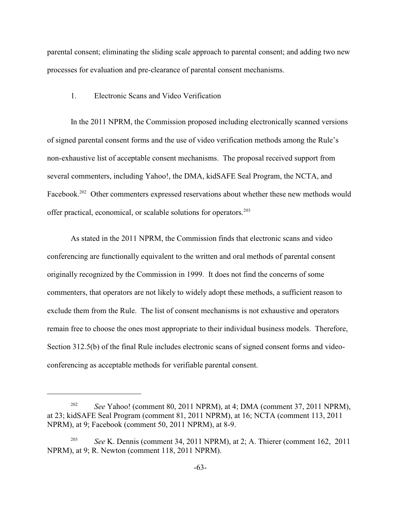parental consent; eliminating the sliding scale approach to parental consent; and adding two new processes for evaluation and pre-clearance of parental consent mechanisms.

#### 1. Electronic Scans and Video Verification

In the 2011 NPRM, the Commission proposed including electronically scanned versions of signed parental consent forms and the use of video verification methods among the Rule's non-exhaustive list of acceptable consent mechanisms. The proposal received support from several commenters, including Yahoo!, the DMA, kidSAFE Seal Program, the NCTA, and Facebook.<sup>202</sup> Other commenters expressed reservations about whether these new methods would offer practical, economical, or scalable solutions for operators.<sup>203</sup>

As stated in the 2011 NPRM, the Commission finds that electronic scans and video conferencing are functionally equivalent to the written and oral methods of parental consent originally recognized by the Commission in 1999. It does not find the concerns of some commenters, that operators are not likely to widely adopt these methods, a sufficient reason to exclude them from the Rule. The list of consent mechanisms is not exhaustive and operators remain free to choose the ones most appropriate to their individual business models. Therefore, Section 312.5(b) of the final Rule includes electronic scans of signed consent forms and videoconferencing as acceptable methods for verifiable parental consent.

<sup>&</sup>lt;sup>202</sup> *See* Yahoo! (comment 80, 2011 NPRM), at 4; DMA (comment 37, 2011 NPRM), at 23; kidSAFE Seal Program (comment 81, 2011 NPRM), at 16; NCTA (comment 113, 2011 NPRM), at 9; Facebook (comment 50, 2011 NPRM), at 8-9.

*See* K. Dennis (comment 34, 2011 NPRM), at 2; A. Thierer (comment 162, 2011 NPRM), at 9; R. Newton (comment 118, 2011 NPRM).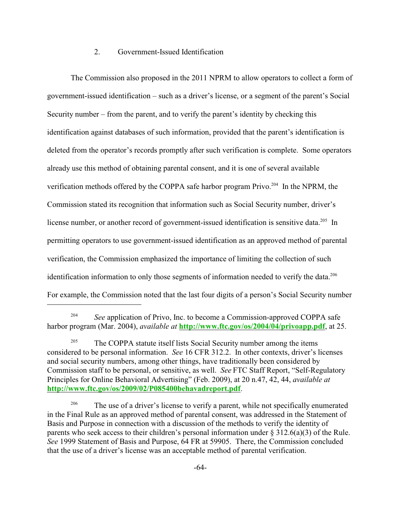# 2. Government-Issued Identification

The Commission also proposed in the 2011 NPRM to allow operators to collect a form of government-issued identification – such as a driver's license, or a segment of the parent's Social Security number – from the parent, and to verify the parent's identity by checking this identification against databases of such information, provided that the parent's identification is deleted from the operator's records promptly after such verification is complete. Some operators already use this method of obtaining parental consent, and it is one of several available verification methods offered by the COPPA safe harbor program Privo.<sup> $204$ </sup> In the NPRM, the Commission stated its recognition that information such as Social Security number, driver's license number, or another record of government-issued identification is sensitive data.<sup>205</sup> In permitting operators to use government-issued identification as an approved method of parental verification, the Commission emphasized the importance of limiting the collection of such identification information to only those segments of information needed to verify the data.<sup>206</sup> For example, the Commission noted that the last four digits of a person's Social Security number

<sup>&</sup>lt;sup>204</sup> See application of Privo, Inc. to become a Commission-approved COPPA safe harbor program (Mar. 2004), *available at* **[http://www.ftc.gov/os/2004/04/privoapp.pdf](http://www.ftc.gov/os/2004/04/privoapp.pdf,)**, at 25.

<sup>&</sup>lt;sup>205</sup> The COPPA statute itself lists Social Security number among the items considered to be personal information. *See* 16 CFR 312.2. In other contexts, driver's licenses and social security numbers, among other things, have traditionally been considered by Commission staff to be personal, or sensitive, as well. *See* FTC Staff Report, "Self-Regulatory Principles for Online Behavioral Advertising" (Feb. 2009), at 20 n.47, 42, 44, *available at* **<http://www.ftc.gov/os/2009/02/P085400behavadreport.pdf>**.

<sup>&</sup>lt;sup>206</sup> The use of a driver's license to verify a parent, while not specifically enumerated in the Final Rule as an approved method of parental consent, was addressed in the Statement of Basis and Purpose in connection with a discussion of the methods to verify the identity of parents who seek access to their children's personal information under  $\S 312.6(a)(3)$  of the Rule. *See* 1999 Statement of Basis and Purpose, 64 FR at 59905. There, the Commission concluded that the use of a driver's license was an acceptable method of parental verification.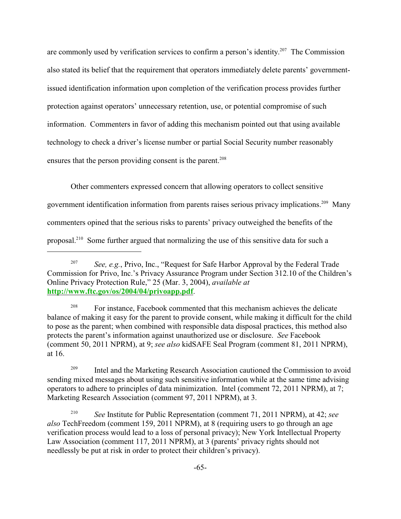are commonly used by verification services to confirm a person's identity.<sup>207</sup> The Commission also stated its belief that the requirement that operators immediately delete parents' governmentissued identification information upon completion of the verification process provides further protection against operators' unnecessary retention, use, or potential compromise of such information. Commenters in favor of adding this mechanism pointed out that using available technology to check a driver's license number or partial Social Security number reasonably ensures that the person providing consent is the parent.<sup>208</sup>

Other commenters expressed concern that allowing operators to collect sensitive government identification information from parents raises serious privacy implications.<sup>209</sup> Many commenters opined that the serious risks to parents' privacy outweighed the benefits of the proposal.<sup>210</sup> Some further argued that normalizing the use of this sensitive data for such a

<sup>208</sup> For instance, Facebook commented that this mechanism achieves the delicate balance of making it easy for the parent to provide consent, while making it difficult for the child to pose as the parent; when combined with responsible data disposal practices, this method also protects the parent's information against unauthorized use or disclosure. *See* Facebook (comment 50, 2011 NPRM), at 9; *see also* kidSAFE Seal Program (comment 81, 2011 NPRM), at 16.

<sup>209</sup> Intel and the Marketing Research Association cautioned the Commission to avoid sending mixed messages about using such sensitive information while at the same time advising operators to adhere to principles of data minimization. Intel (comment 72, 2011 NPRM), at 7; Marketing Research Association (comment 97, 2011 NPRM), at 3.

<sup>210</sup> *See* Institute for Public Representation (comment 71, 2011 NPRM), at 42; *see also* TechFreedom (comment 159, 2011 NPRM), at 8 (requiring users to go through an age verification process would lead to a loss of personal privacy); New York Intellectual Property Law Association (comment 117, 2011 NPRM), at 3 (parents' privacy rights should not needlessly be put at risk in order to protect their children's privacy).

*See, e.g.*, Privo, Inc., "Request for Safe Harbor Approval by the Federal Trade Commission for Privo, Inc.'s Privacy Assurance Program under Section 312.10 of the Children's Online Privacy Protection Rule," 25 (Mar. 3, 2004), *available at* **[http://www.ftc.gov/os/2004/04/privoapp.pdf](http://www.ftc.gov/os/2004/04/privoapp.pdf.)**.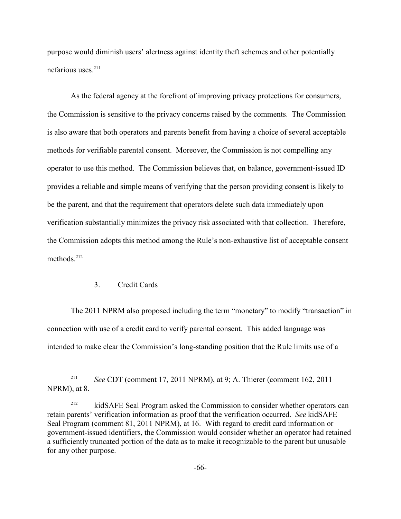purpose would diminish users' alertness against identity theft schemes and other potentially nefarious uses.<sup>211</sup>

As the federal agency at the forefront of improving privacy protections for consumers, the Commission is sensitive to the privacy concerns raised by the comments. The Commission is also aware that both operators and parents benefit from having a choice of several acceptable methods for verifiable parental consent. Moreover, the Commission is not compelling any operator to use this method. The Commission believes that, on balance, government-issued ID provides a reliable and simple means of verifying that the person providing consent is likely to be the parent, and that the requirement that operators delete such data immediately upon verification substantially minimizes the privacy risk associated with that collection. Therefore, the Commission adopts this method among the Rule's non-exhaustive list of acceptable consent methods. 212

# 3. Credit Cards

The 2011 NPRM also proposed including the term "monetary" to modify "transaction" in connection with use of a credit card to verify parental consent. This added language was intended to make clear the Commission's long-standing position that the Rule limits use of a

<sup>&</sup>lt;sup>211</sup> *See* CDT (comment 17, 2011 NPRM), at 9; A. Thierer (comment 162, 2011) NPRM), at 8.

<sup>&</sup>lt;sup>212</sup> kidSAFE Seal Program asked the Commission to consider whether operators can retain parents' verification information as proof that the verification occurred. *See* kidSAFE Seal Program (comment 81, 2011 NPRM), at 16. With regard to credit card information or government-issued identifiers, the Commission would consider whether an operator had retained a sufficiently truncated portion of the data as to make it recognizable to the parent but unusable for any other purpose.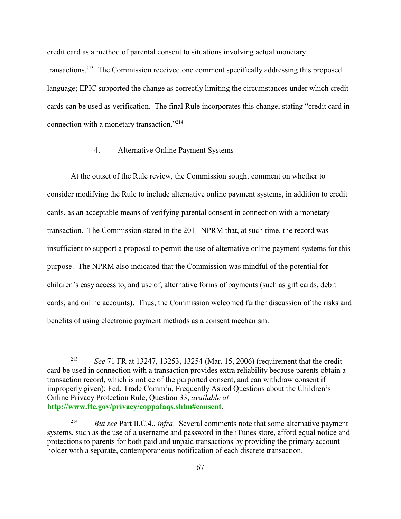credit card as a method of parental consent to situations involving actual monetary transactions.<sup>213</sup> The Commission received one comment specifically addressing this proposed language; EPIC supported the change as correctly limiting the circumstances under which credit cards can be used as verification. The final Rule incorporates this change, stating "credit card in connection with a monetary transaction."<sup>214</sup>

### 4. Alternative Online Payment Systems

At the outset of the Rule review, the Commission sought comment on whether to consider modifying the Rule to include alternative online payment systems, in addition to credit cards, as an acceptable means of verifying parental consent in connection with a monetary transaction. The Commission stated in the 2011 NPRM that, at such time, the record was insufficient to support a proposal to permit the use of alternative online payment systems for this purpose. The NPRM also indicated that the Commission was mindful of the potential for children's easy access to, and use of, alternative forms of payments (such as gift cards, debit cards, and online accounts). Thus, the Commission welcomed further discussion of the risks and benefits of using electronic payment methods as a consent mechanism.

<sup>&</sup>lt;sup>213</sup> *See* 71 FR at 13247, 13253, 13254 (Mar. 15, 2006) (requirement that the credit card be used in connection with a transaction provides extra reliability because parents obtain a transaction record, which is notice of the purported consent, and can withdraw consent if improperly given); Fed. Trade Comm'n, Frequently Asked Questions about the Children's Online Privacy Protection Rule, Question 33, *available at* **<http://www.ftc.gov/privacy/coppafaqs.shtm#consent>**.

<sup>&</sup>lt;sup>214</sup> *But see* Part II.C.4., *infra*. Several comments note that some alternative payment systems, such as the use of a username and password in the iTunes store, afford equal notice and protections to parents for both paid and unpaid transactions by providing the primary account holder with a separate, contemporaneous notification of each discrete transaction.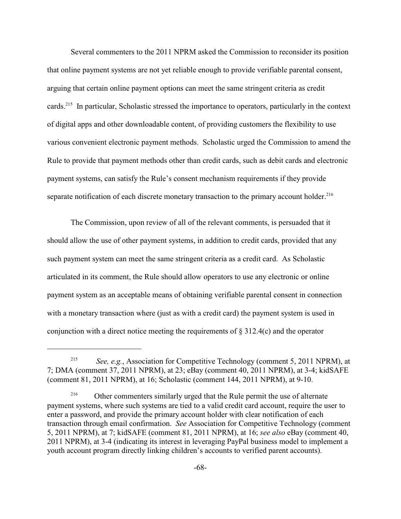Several commenters to the 2011 NPRM asked the Commission to reconsider its position that online payment systems are not yet reliable enough to provide verifiable parental consent, arguing that certain online payment options can meet the same stringent criteria as credit cards.<sup>215</sup> In particular, Scholastic stressed the importance to operators, particularly in the context of digital apps and other downloadable content, of providing customers the flexibility to use various convenient electronic payment methods. Scholastic urged the Commission to amend the Rule to provide that payment methods other than credit cards, such as debit cards and electronic payment systems, can satisfy the Rule's consent mechanism requirements if they provide separate notification of each discrete monetary transaction to the primary account holder.<sup>216</sup>

The Commission, upon review of all of the relevant comments, is persuaded that it should allow the use of other payment systems, in addition to credit cards, provided that any such payment system can meet the same stringent criteria as a credit card. As Scholastic articulated in its comment, the Rule should allow operators to use any electronic or online payment system as an acceptable means of obtaining verifiable parental consent in connection with a monetary transaction where (just as with a credit card) the payment system is used in conjunction with a direct notice meeting the requirements of § 312.4(c) and the operator

<sup>&</sup>lt;sup>215</sup> *See, e.g.*, Association for Competitive Technology (comment 5, 2011 NPRM), at 7; DMA (comment 37, 2011 NPRM), at 23; eBay (comment 40, 2011 NPRM), at 3-4; kidSAFE (comment 81, 2011 NPRM), at 16; Scholastic (comment 144, 2011 NPRM), at 9-10.

<sup>&</sup>lt;sup>216</sup> Other commenters similarly urged that the Rule permit the use of alternate payment systems, where such systems are tied to a valid credit card account, require the user to enter a password, and provide the primary account holder with clear notification of each transaction through email confirmation. *See* Association for Competitive Technology (comment 5, 2011 NPRM), at 7; kidSAFE (comment 81, 2011 NPRM), at 16; *see also* eBay (comment 40, 2011 NPRM), at 3-4 (indicating its interest in leveraging PayPal business model to implement a youth account program directly linking children's accounts to verified parent accounts).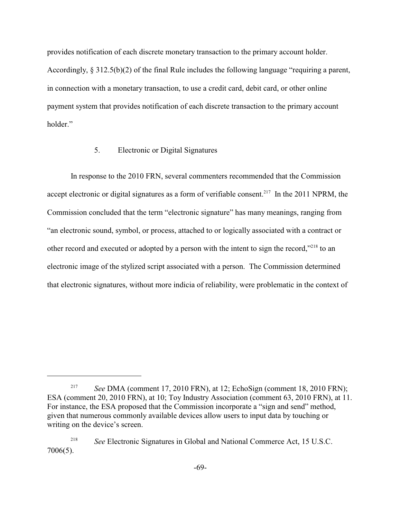provides notification of each discrete monetary transaction to the primary account holder. Accordingly,  $\S 312.5(b)(2)$  of the final Rule includes the following language "requiring a parent, in connection with a monetary transaction, to use a credit card, debit card, or other online payment system that provides notification of each discrete transaction to the primary account holder."

### 5. Electronic or Digital Signatures

In response to the 2010 FRN, several commenters recommended that the Commission accept electronic or digital signatures as a form of verifiable consent.<sup>217</sup> In the 2011 NPRM, the Commission concluded that the term "electronic signature" has many meanings, ranging from "an electronic sound, symbol, or process, attached to or logically associated with a contract or other record and executed or adopted by a person with the intent to sign the record," $218$  to an electronic image of the stylized script associated with a person. The Commission determined that electronic signatures, without more indicia of reliability, were problematic in the context of

<sup>&</sup>lt;sup>217</sup> *See* DMA (comment 17, 2010 FRN), at 12; EchoSign (comment 18, 2010 FRN); ESA (comment 20, 2010 FRN), at 10; Toy Industry Association (comment 63, 2010 FRN), at 11. For instance, the ESA proposed that the Commission incorporate a "sign and send" method, given that numerous commonly available devices allow users to input data by touching or writing on the device's screen.

<sup>&</sup>lt;sup>218</sup> See Electronic Signatures in Global and National Commerce Act, 15 U.S.C. 7006(5).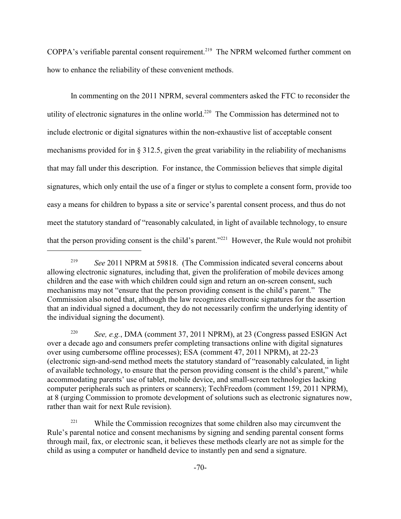COPPA's verifiable parental consent requirement.<sup>219</sup> The NPRM welcomed further comment on how to enhance the reliability of these convenient methods.

In commenting on the 2011 NPRM, several commenters asked the FTC to reconsider the utility of electronic signatures in the online world.<sup>220</sup> The Commission has determined not to include electronic or digital signatures within the non-exhaustive list of acceptable consent mechanisms provided for in  $\S 312.5$ , given the great variability in the reliability of mechanisms that may fall under this description. For instance, the Commission believes that simple digital signatures, which only entail the use of a finger or stylus to complete a consent form, provide too easy a means for children to bypass a site or service's parental consent process, and thus do not meet the statutory standard of "reasonably calculated, in light of available technology, to ensure that the person providing consent is the child's parent."<sup>221</sup> However, the Rule would not prohibit

*See, e.g.*, DMA (comment 37, 2011 NPRM), at 23 (Congress passed ESIGN Act 220 over a decade ago and consumers prefer completing transactions online with digital signatures over using cumbersome offline processes); ESA (comment 47, 2011 NPRM), at 22-23 (electronic sign-and-send method meets the statutory standard of "reasonably calculated, in light of available technology, to ensure that the person providing consent is the child's parent," while accommodating parents' use of tablet, mobile device, and small-screen technologies lacking computer peripherals such as printers or scanners); TechFreedom (comment 159, 2011 NPRM), at 8 (urging Commission to promote development of solutions such as electronic signatures now, rather than wait for next Rule revision).

 $221$  While the Commission recognizes that some children also may circumvent the Rule's parental notice and consent mechanisms by signing and sending parental consent forms through mail, fax, or electronic scan, it believes these methods clearly are not as simple for the child as using a computer or handheld device to instantly pen and send a signature.

<sup>&</sup>lt;sup>219</sup> See 2011 NPRM at 59818. (The Commission indicated several concerns about allowing electronic signatures, including that, given the proliferation of mobile devices among children and the ease with which children could sign and return an on-screen consent, such mechanisms may not "ensure that the person providing consent is the child's parent." The Commission also noted that, although the law recognizes electronic signatures for the assertion that an individual signed a document, they do not necessarily confirm the underlying identity of the individual signing the document).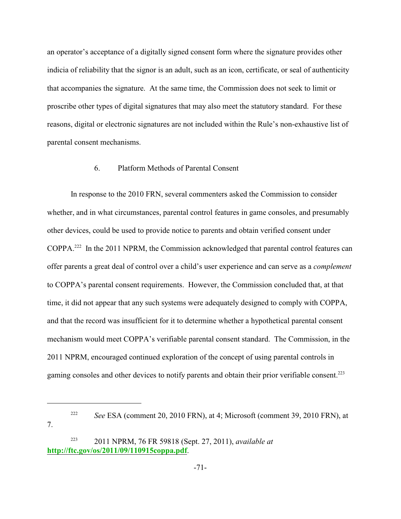an operator's acceptance of a digitally signed consent form where the signature provides other indicia of reliability that the signor is an adult, such as an icon, certificate, or seal of authenticity that accompanies the signature. At the same time, the Commission does not seek to limit or proscribe other types of digital signatures that may also meet the statutory standard. For these reasons, digital or electronic signatures are not included within the Rule's non-exhaustive list of parental consent mechanisms.

### 6. Platform Methods of Parental Consent

In response to the 2010 FRN, several commenters asked the Commission to consider whether, and in what circumstances, parental control features in game consoles, and presumably other devices, could be used to provide notice to parents and obtain verified consent under  $COPPA.<sup>222</sup>$  In the 2011 NPRM, the Commission acknowledged that parental control features can offer parents a great deal of control over a child's user experience and can serve as a *complement* to COPPA's parental consent requirements. However, the Commission concluded that, at that time, it did not appear that any such systems were adequately designed to comply with COPPA, and that the record was insufficient for it to determine whether a hypothetical parental consent mechanism would meet COPPA's verifiable parental consent standard. The Commission, in the 2011 NPRM, encouraged continued exploration of the concept of using parental controls in gaming consoles and other devices to notify parents and obtain their prior verifiable consent.<sup>223</sup>

7.

<sup>&</sup>lt;sup>222</sup> See ESA (comment 20, 2010 FRN), at 4; Microsoft (comment 39, 2010 FRN), at

<sup>2011</sup> NPRM, 76 FR 59818 (Sept. 27, 2011), *available at* <sup>223</sup> **[http://ftc.gov/os/2011/09/110915coppa.pdf](http://ftc.gov/os/2011/09/110915coppa.pdf.)**.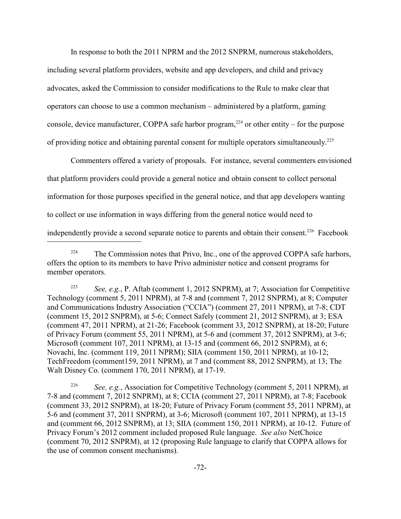In response to both the 2011 NPRM and the 2012 SNPRM, numerous stakeholders,

including several platform providers, website and app developers, and child and privacy advocates, asked the Commission to consider modifications to the Rule to make clear that operators can choose to use a common mechanism – administered by a platform, gaming console, device manufacturer, COPPA safe harbor program,<sup>224</sup> or other entity – for the purpose of providing notice and obtaining parental consent for multiple operators simultaneously.<sup>225</sup>

Commenters offered a variety of proposals. For instance, several commenters envisioned that platform providers could provide a general notice and obtain consent to collect personal information for those purposes specified in the general notice, and that app developers wanting to collect or use information in ways differing from the general notice would need to independently provide a second separate notice to parents and obtain their consent.<sup>226</sup> Facebook

<sup>225</sup> See, e.g., P. Aftab (comment 1, 2012 SNPRM), at 7; Association for Competitive Technology (comment 5, 2011 NPRM), at 7-8 and (comment 7, 2012 SNPRM), at 8; Computer and Communications Industry Association ("CCIA") (comment 27, 2011 NPRM), at 7-8; CDT (comment 15, 2012 SNPRM), at 5-6; Connect Safely (comment 21, 2012 SNPRM), at 3; ESA (comment 47, 2011 NPRM), at 21-26; Facebook (comment 33, 2012 SNPRM), at 18-20; Future of Privacy Forum (comment 55, 2011 NPRM), at 5-6 and (comment 37, 2012 SNPRM), at 3-6; Microsoft (comment 107, 2011 NPRM), at 13-15 and (comment 66, 2012 SNPRM), at 6; Novachi, Inc. (comment 119, 2011 NPRM); SIIA (comment 150, 2011 NPRM), at 10-12; TechFreedom (comment159, 2011 NPRM), at 7 and (comment 88, 2012 SNPRM), at 13; The Walt Disney Co. (comment 170, 2011 NPRM), at 17-19.

<sup>226</sup> See, e.g., Association for Competitive Technology (comment 5, 2011 NPRM), at 7-8 and (comment 7, 2012 SNPRM), at 8; CCIA (comment 27, 2011 NPRM), at 7-8; Facebook (comment 33, 2012 SNPRM), at 18-20; Future of Privacy Forum (comment 55, 2011 NPRM), at 5-6 and (comment 37, 2011 SNPRM), at 3-6; Microsoft (comment 107, 2011 NPRM), at 13-15 and (comment 66, 2012 SNPRM), at 13; SIIA (comment 150, 2011 NPRM), at 10-12. Future of Privacy Forum's 2012 comment included proposed Rule language. *See also* NetChoice (comment 70, 2012 SNPRM), at 12 (proposing Rule language to clarify that COPPA allows for the use of common consent mechanisms).

 $224$  The Commission notes that Privo, Inc., one of the approved COPPA safe harbors, offers the option to its members to have Privo administer notice and consent programs for member operators.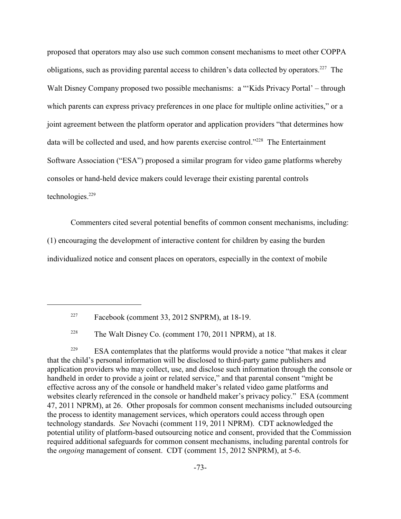proposed that operators may also use such common consent mechanisms to meet other COPPA obligations, such as providing parental access to children's data collected by operators.<sup>227</sup> The Walt Disney Company proposed two possible mechanisms: a "'Kids Privacy Portal' – through which parents can express privacy preferences in one place for multiple online activities," or a joint agreement between the platform operator and application providers "that determines how data will be collected and used, and how parents exercise control."<sup>228</sup> The Entertainment Software Association ("ESA") proposed a similar program for video game platforms whereby consoles or hand-held device makers could leverage their existing parental controls technologies. $229$ 

Commenters cited several potential benefits of common consent mechanisms, including:

(1) encouraging the development of interactive content for children by easing the burden

individualized notice and consent places on operators, especially in the context of mobile

ESA contemplates that the platforms would provide a notice "that makes it clear 229 that the child's personal information will be disclosed to third-party game publishers and application providers who may collect, use, and disclose such information through the console or handheld in order to provide a joint or related service," and that parental consent "might be effective across any of the console or handheld maker's related video game platforms and websites clearly referenced in the console or handheld maker's privacy policy."ESA (comment 47, 2011 NPRM), at 26. Other proposals for common consent mechanisms included outsourcing the process to identity management services, which operators could access through open technology standards. *See* Novachi (comment 119, 2011 NPRM). CDT acknowledged the potential utility of platform-based outsourcing notice and consent, provided that the Commission required additional safeguards for common consent mechanisms, including parental controls for the *ongoing* management of consent. CDT (comment 15, 2012 SNPRM), at 5-6.

 $P<sup>227</sup>$  Facebook (comment 33, 2012 SNPRM), at 18-19.

<sup>&</sup>lt;sup>228</sup> The Walt Disney Co. (comment 170, 2011 NPRM), at 18.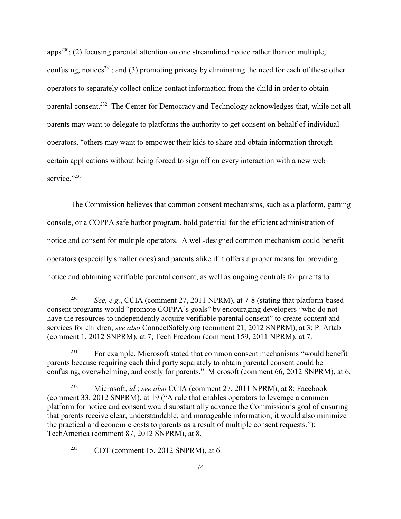apps<sup>230</sup>; (2) focusing parental attention on one streamlined notice rather than on multiple, confusing, notices<sup>231</sup>; and (3) promoting privacy by eliminating the need for each of these other operators to separately collect online contact information from the child in order to obtain parental consent.<sup>232</sup> The Center for Democracy and Technology acknowledges that, while not all parents may want to delegate to platforms the authority to get consent on behalf of individual operators, "others may want to empower their kids to share and obtain information through certain applications without being forced to sign off on every interaction with a new web service<sup>"233</sup>

The Commission believes that common consent mechanisms, such as a platform, gaming console, or a COPPA safe harbor program, hold potential for the efficient administration of notice and consent for multiple operators. A well-designed common mechanism could benefit operators (especially smaller ones) and parents alike if it offers a proper means for providing notice and obtaining verifiable parental consent, as well as ongoing controls for parents to

<sup>&</sup>lt;sup>230</sup> *See, e.g.*, CCIA (comment 27, 2011 NPRM), at 7-8 (stating that platform-based consent programs would "promote COPPA's goals" by encouraging developers "who do not have the resources to independently acquire verifiable parental consent" to create content and services for children; *see also* ConnectSafely.org (comment 21, 2012 SNPRM), at 3; P. Aftab (comment 1, 2012 SNPRM), at 7; Tech Freedom (comment 159, 2011 NPRM), at 7.

For example, Microsoft stated that common consent mechanisms "would benefit 231 parents because requiring each third party separately to obtain parental consent could be confusing, overwhelming, and costly for parents." Microsoft (comment 66, 2012 SNPRM), at 6.

<sup>&</sup>lt;sup>232</sup> Microsoft, *id.*; *see also* CCIA (comment 27, 2011 NPRM), at 8; Facebook (comment 33, 2012 SNPRM), at 19 ("A rule that enables operators to leverage a common platform for notice and consent would substantially advance the Commission's goal of ensuring that parents receive clear, understandable, and manageable information; it would also minimize the practical and economic costs to parents as a result of multiple consent requests."); TechAmerica (comment 87, 2012 SNPRM), at 8.

 $CDT$  (comment 15, 2012 SNPRM), at 6.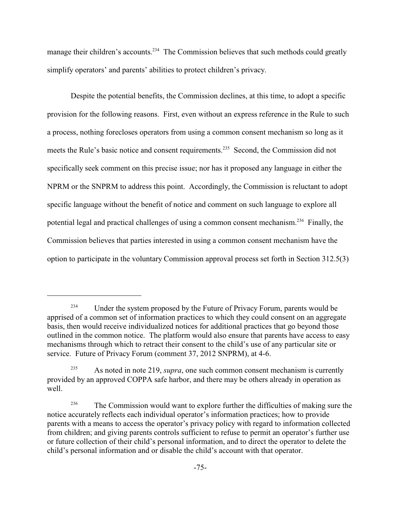manage their children's accounts.<sup>234</sup> The Commission believes that such methods could greatly simplify operators' and parents' abilities to protect children's privacy.

Despite the potential benefits, the Commission declines, at this time, to adopt a specific provision for the following reasons. First, even without an express reference in the Rule to such a process, nothing forecloses operators from using a common consent mechanism so long as it meets the Rule's basic notice and consent requirements.<sup>235</sup> Second, the Commission did not specifically seek comment on this precise issue; nor has it proposed any language in either the NPRM or the SNPRM to address this point. Accordingly, the Commission is reluctant to adopt specific language without the benefit of notice and comment on such language to explore all potential legal and practical challenges of using a common consent mechanism.<sup>236</sup> Finally, the Commission believes that parties interested in using a common consent mechanism have the option to participate in the voluntary Commission approval process set forth in Section 312.5(3)

<sup>&</sup>lt;sup>234</sup> Under the system proposed by the Future of Privacy Forum, parents would be apprised of a common set of information practices to which they could consent on an aggregate basis, then would receive individualized notices for additional practices that go beyond those outlined in the common notice. The platform would also ensure that parents have access to easy mechanisms through which to retract their consent to the child's use of any particular site or service. Future of Privacy Forum (comment 37, 2012 SNPRM), at 4-6.

As noted in note 219, *supra*, one such common consent mechanism is currently 235 provided by an approved COPPA safe harbor, and there may be others already in operation as well.

<sup>&</sup>lt;sup>236</sup> The Commission would want to explore further the difficulties of making sure the notice accurately reflects each individual operator's information practices; how to provide parents with a means to access the operator's privacy policy with regard to information collected from children; and giving parents controls sufficient to refuse to permit an operator's further use or future collection of their child's personal information, and to direct the operator to delete the child's personal information and or disable the child's account with that operator.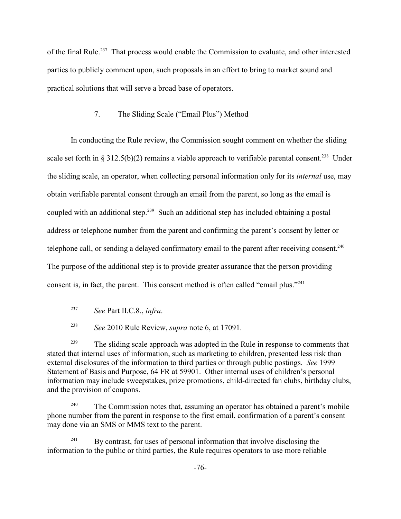of the final Rule.<sup>237</sup> That process would enable the Commission to evaluate, and other interested parties to publicly comment upon, such proposals in an effort to bring to market sound and practical solutions that will serve a broad base of operators.

# 7. The Sliding Scale ("Email Plus") Method

In conducting the Rule review, the Commission sought comment on whether the sliding scale set forth in § 312.5(b)(2) remains a viable approach to verifiable parental consent.<sup>238</sup> Under the sliding scale, an operator, when collecting personal information only for its *internal* use, may obtain verifiable parental consent through an email from the parent, so long as the email is coupled with an additional step.<sup>239</sup> Such an additional step has included obtaining a postal address or telephone number from the parent and confirming the parent's consent by letter or telephone call, or sending a delayed confirmatory email to the parent after receiving consent.<sup>240</sup> The purpose of the additional step is to provide greater assurance that the person providing consent is, in fact, the parent. This consent method is often called "email plus."<sup>241</sup>

*See* 2010 Rule Review, *supra* note 6, at 17091. <sup>238</sup>

<sup>239</sup> The sliding scale approach was adopted in the Rule in response to comments that stated that internal uses of information, such as marketing to children, presented less risk than external disclosures of the information to third parties or through public postings. *See* 1999 Statement of Basis and Purpose, 64 FR at 59901. Other internal uses of children's personal information may include sweepstakes, prize promotions, child-directed fan clubs, birthday clubs, and the provision of coupons.

The Commission notes that, assuming an operator has obtained a parent's mobile 240 phone number from the parent in response to the first email, confirmation of a parent's consent may done via an SMS or MMS text to the parent.

 $By$  contrast, for uses of personal information that involve disclosing the information to the public or third parties, the Rule requires operators to use more reliable

*See* Part II.C.8., *infra*. 237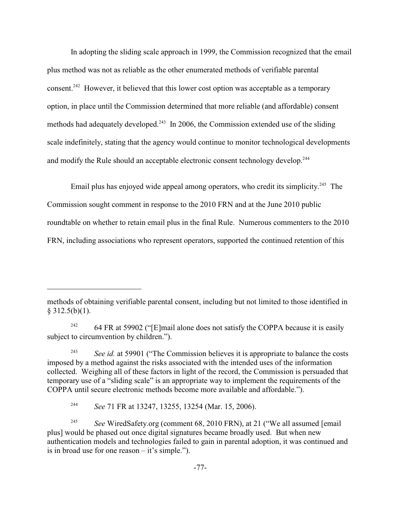In adopting the sliding scale approach in 1999, the Commission recognized that the email plus method was not as reliable as the other enumerated methods of verifiable parental consent.<sup>242</sup> However, it believed that this lower cost option was acceptable as a temporary option, in place until the Commission determined that more reliable (and affordable) consent methods had adequately developed.<sup>243</sup> In 2006, the Commission extended use of the sliding scale indefinitely, stating that the agency would continue to monitor technological developments and modify the Rule should an acceptable electronic consent technology develop.<sup>244</sup>

Email plus has enjoyed wide appeal among operators, who credit its simplicity.<sup>245</sup> The Commission sought comment in response to the 2010 FRN and at the June 2010 public roundtable on whether to retain email plus in the final Rule. Numerous commenters to the 2010 FRN, including associations who represent operators, supported the continued retention of this

64 FR at 59902 ("[E]mail alone does not satisfy the COPPA because it is easily 242 subject to circumvention by children.").

<sup>243</sup> See *id.* at 59901 ("The Commission believes it is appropriate to balance the costs imposed by a method against the risks associated with the intended uses of the information collected. Weighing all of these factors in light of the record, the Commission is persuaded that temporary use of a "sliding scale" is an appropriate way to implement the requirements of the COPPA until secure electronic methods become more available and affordable.").

<sup>244</sup> *See* 71 FR at 13247, 13255, 13254 (Mar. 15, 2006).

<sup>245</sup> See WiredSafety.org (comment 68, 2010 FRN), at 21 ("We all assumed [email plus] would be phased out once digital signatures became broadly used. But when new authentication models and technologies failed to gain in parental adoption, it was continued and is in broad use for one reason – it's simple.").

methods of obtaining verifiable parental consent, including but not limited to those identified in  $§$  312.5(b)(1).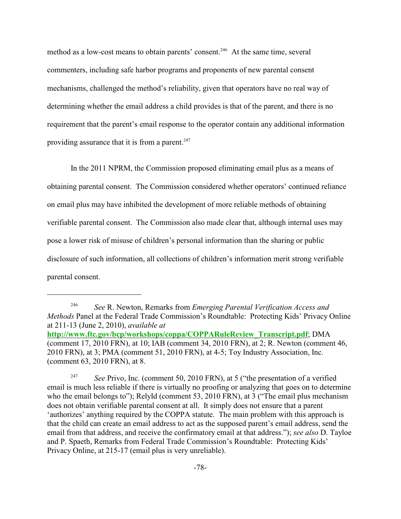method as a low-cost means to obtain parents' consent.<sup>246</sup> At the same time, several commenters, including safe harbor programs and proponents of new parental consent mechanisms, challenged the method's reliability, given that operators have no real way of determining whether the email address a child provides is that of the parent, and there is no requirement that the parent's email response to the operator contain any additional information providing assurance that it is from a parent. $247$ 

In the 2011 NPRM, the Commission proposed eliminating email plus as a means of obtaining parental consent. The Commission considered whether operators' continued reliance on email plus may have inhibited the development of more reliable methods of obtaining verifiable parental consent. The Commission also made clear that, although internal uses may pose a lower risk of misuse of children's personal information than the sharing or public disclosure of such information, all collections of children's information merit strong verifiable parental consent.

<sup>247</sup> See Privo, Inc. (comment 50, 2010 FRN), at 5 ("the presentation of a verified email is much less reliable if there is virtually no proofing or analyzing that goes on to determine who the email belongs to"); RelyId (comment 53, 2010 FRN), at 3 ("The email plus mechanism does not obtain verifiable parental consent at all. It simply does not ensure that a parent 'authorizes' anything required by the COPPA statute. The main problem with this approach is that the child can create an email address to act as the supposed parent's email address, send the email from that address, and receive the confirmatory email at that address."); *see also* D. Tayloe and P. Spaeth, Remarks from Federal Trade Commission's Roundtable: Protecting Kids' Privacy Online, at 215-17 (email plus is very unreliable).

*See* R. Newton, Remarks from *Emerging Parental Verification Access and* <sup>246</sup> *Methods* Panel at the Federal Trade Commission's Roundtable: Protecting Kids' Privacy Online at 211-13 (June 2, 2010), *available at*

**[http://www.ftc.gov/bcp/workshops/coppa/COPPARuleReview\\_Transcript.pdf](#page-81-0)**; DMA (comment 17, 2010 FRN), at 10; IAB (comment 34, 2010 FRN), at 2; R. Newton (comment 46, 2010 FRN), at 3; PMA (comment 51, 2010 FRN), at 4-5; Toy Industry Association, Inc. (comment 63, 2010 FRN), at 8.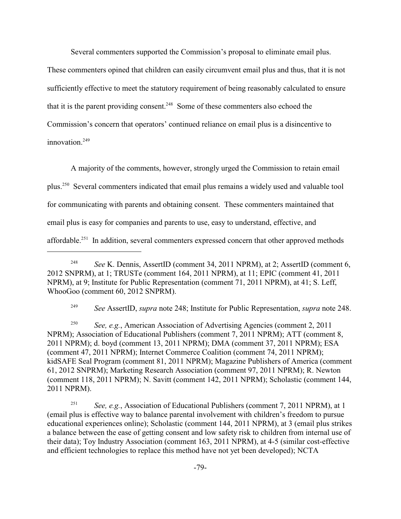Several commenters supported the Commission's proposal to eliminate email plus.

These commenters opined that children can easily circumvent email plus and thus, that it is not sufficiently effective to meet the statutory requirement of being reasonably calculated to ensure that it is the parent providing consent.<sup> $248$ </sup> Some of these commenters also echoed the Commission's concern that operators' continued reliance on email plus is a disincentive to innovation.<sup>249</sup>

A majority of the comments, however, strongly urged the Commission to retain email plus.<sup>250</sup> Several commenters indicated that email plus remains a widely used and valuable tool for communicating with parents and obtaining consent. These commenters maintained that email plus is easy for companies and parents to use, easy to understand, effective, and affordable.<sup>251</sup> In addition, several commenters expressed concern that other approved methods

*See* AssertID, *supra* note 248; Institute for Public Representation, *supra* note 248. <sup>249</sup>

<sup>250</sup> *See, e.g.*, American Association of Advertising Agencies (comment 2, 2011) NPRM); Association of Educational Publishers (comment 7, 2011 NPRM); ATT (comment 8, 2011 NPRM); d. boyd (comment 13, 2011 NPRM); DMA (comment 37, 2011 NPRM); ESA (comment 47, 2011 NPRM); Internet Commerce Coalition (comment 74, 2011 NPRM); kidSAFE Seal Program (comment 81, 2011 NPRM); Magazine Publishers of America (comment 61, 2012 SNPRM); Marketing Research Association (comment 97, 2011 NPRM); R. Newton (comment 118, 2011 NPRM); N. Savitt (comment 142, 2011 NPRM); Scholastic (comment 144, 2011 NPRM).

<sup>251</sup> *See, e.g.*, Association of Educational Publishers (comment 7, 2011 NPRM), at 1 (email plus is effective way to balance parental involvement with children's freedom to pursue educational experiences online); Scholastic (comment 144, 2011 NPRM), at 3 (email plus strikes a balance between the ease of getting consent and low safety risk to children from internal use of their data); Toy Industry Association (comment 163, 2011 NPRM), at 4-5 (similar cost-effective and efficient technologies to replace this method have not yet been developed); NCTA

<sup>&</sup>lt;sup>248</sup> See K. Dennis, AssertID (comment 34, 2011 NPRM), at 2; AssertID (comment 6, 2012 SNPRM), at 1; TRUSTe (comment 164, 2011 NPRM), at 11; EPIC (comment 41, 2011 NPRM), at 9; Institute for Public Representation (comment 71, 2011 NPRM), at 41; S. Leff, WhooGoo (comment 60, 2012 SNPRM).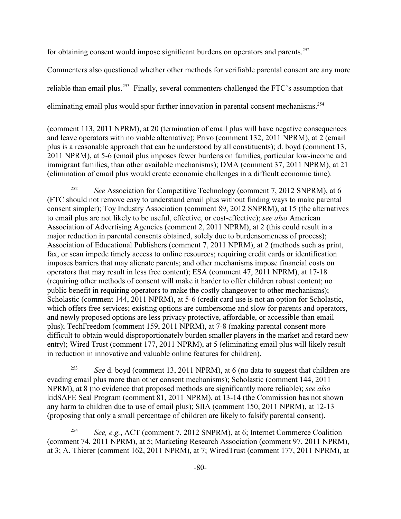for obtaining consent would impose significant burdens on operators and parents.<sup>252</sup>

Commenters also questioned whether other methods for verifiable parental consent are any more reliable than email plus.<sup>253</sup> Finally, several commenters challenged the FTC's assumption that eliminating email plus would spur further innovation in parental consent mechanisms.<sup>254</sup>

(comment 113, 2011 NPRM), at 20 (termination of email plus will have negative consequences and leave operators with no viable alternative); Privo (comment 132, 2011 NPRM), at 2 (email plus is a reasonable approach that can be understood by all constituents); d. boyd (comment 13, 2011 NPRM), at 5-6 (email plus imposes fewer burdens on families, particular low-income and immigrant families, than other available mechanisms); DMA (comment 37, 2011 NPRM), at 21 (elimination of email plus would create economic challenges in a difficult economic time).

<sup>252</sup> See Association for Competitive Technology (comment 7, 2012 SNPRM), at 6 (FTC should not remove easy to understand email plus without finding ways to make parental consent simpler); Toy Industry Association (comment 89, 2012 SNPRM), at 15 (the alternatives to email plus are not likely to be useful, effective, or cost-effective); *see also* American Association of Advertising Agencies (comment 2, 2011 NPRM), at 2 (this could result in a major reduction in parental consents obtained, solely due to burdensomeness of process); Association of Educational Publishers (comment 7, 2011 NPRM), at 2 (methods such as print, fax, or scan impede timely access to online resources; requiring credit cards or identification imposes barriers that may alienate parents; and other mechanisms impose financial costs on operators that may result in less free content); ESA (comment 47, 2011 NPRM), at 17-18 (requiring other methods of consent will make it harder to offer children robust content; no public benefit in requiring operators to make the costly changeover to other mechanisms); Scholastic (comment 144, 2011 NPRM), at 5-6 (credit card use is not an option for Scholastic, which offers free services; existing options are cumbersome and slow for parents and operators, and newly proposed options are less privacy protective, affordable, or accessible than email plus); TechFreedom (comment 159, 2011 NPRM), at 7-8 (making parental consent more difficult to obtain would disproportionately burden smaller players in the market and retard new entry); Wired Trust (comment 177, 2011 NPRM), at 5 (eliminating email plus will likely result in reduction in innovative and valuable online features for children).

<sup>253</sup> See d. boyd (comment 13, 2011 NPRM), at 6 (no data to suggest that children are evading email plus more than other consent mechanisms); Scholastic (comment 144, 2011 NPRM), at 8 (no evidence that proposed methods are significantly more reliable); *see also* kidSAFE Seal Program (comment 81, 2011 NPRM), at 13-14 (the Commission has not shown any harm to children due to use of email plus); SIIA (comment 150, 2011 NPRM), at 12-13 (proposing that only a small percentage of children are likely to falsify parental consent).

<sup>254</sup> See, e.g., ACT (comment 7, 2012 SNPRM), at 6; Internet Commerce Coalition (comment 74, 2011 NPRM), at 5; Marketing Research Association (comment 97, 2011 NPRM), at 3; A. Thierer (comment 162, 2011 NPRM), at 7; WiredTrust (comment 177, 2011 NPRM), at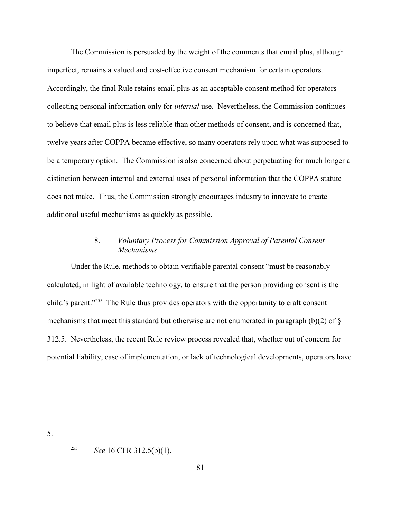The Commission is persuaded by the weight of the comments that email plus, although imperfect, remains a valued and cost-effective consent mechanism for certain operators. Accordingly, the final Rule retains email plus as an acceptable consent method for operators collecting personal information only for *internal* use. Nevertheless, the Commission continues to believe that email plus is less reliable than other methods of consent, and is concerned that, twelve years after COPPA became effective, so many operators rely upon what was supposed to be a temporary option. The Commission is also concerned about perpetuating for much longer a distinction between internal and external uses of personal information that the COPPA statute does not make. Thus, the Commission strongly encourages industry to innovate to create additional useful mechanisms as quickly as possible.

# 8. *Voluntary Process for Commission Approval of Parental Consent Mechanisms*

Under the Rule, methods to obtain verifiable parental consent "must be reasonably calculated, in light of available technology, to ensure that the person providing consent is the child's parent."<sup> $255$ </sup> The Rule thus provides operators with the opportunity to craft consent mechanisms that meet this standard but otherwise are not enumerated in paragraph (b)(2) of  $\S$ 312.5. Nevertheless, the recent Rule review process revealed that, whether out of concern for potential liability, ease of implementation, or lack of technological developments, operators have

5.

<sup>&</sup>lt;sup>255</sup> *See* 16 CFR 312.5(b)(1).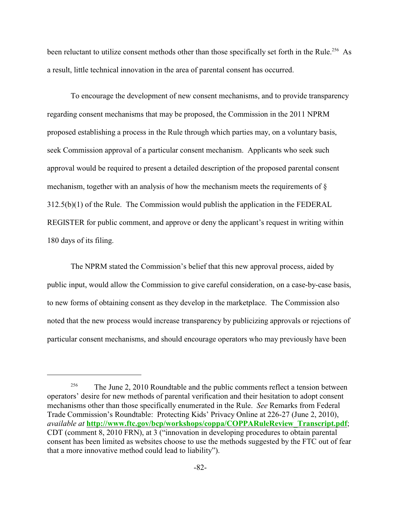been reluctant to utilize consent methods other than those specifically set forth in the Rule.<sup>256</sup> As a result, little technical innovation in the area of parental consent has occurred.

To encourage the development of new consent mechanisms, and to provide transparency regarding consent mechanisms that may be proposed, the Commission in the 2011 NPRM proposed establishing a process in the Rule through which parties may, on a voluntary basis, seek Commission approval of a particular consent mechanism. Applicants who seek such approval would be required to present a detailed description of the proposed parental consent mechanism, together with an analysis of how the mechanism meets the requirements of § 312.5(b)(1) of the Rule. The Commission would publish the application in the FEDERAL REGISTER for public comment, and approve or deny the applicant's request in writing within 180 days of its filing.

The NPRM stated the Commission's belief that this new approval process, aided by public input, would allow the Commission to give careful consideration, on a case-by-case basis, to new forms of obtaining consent as they develop in the marketplace. The Commission also noted that the new process would increase transparency by publicizing approvals or rejections of particular consent mechanisms, and should encourage operators who may previously have been

<span id="page-81-0"></span><sup>&</sup>lt;sup>256</sup> The June 2, 2010 Roundtable and the public comments reflect a tension between operators' desire for new methods of parental verification and their hesitation to adopt consent mechanisms other than those specifically enumerated in the Rule. *See* Remarks from Federal Trade Commission's Roundtable: Protecting Kids' Privacy Online at 226-27 (June 2, 2010), *available at* **[http://www.ftc.gov/bcp/workshops/coppa/COPPARuleReview\\_Transcript.pdf](#page-81-0)**; CDT (comment 8, 2010 FRN), at 3 ("innovation in developing procedures to obtain parental consent has been limited as websites choose to use the methods suggested by the FTC out of fear that a more innovative method could lead to liability").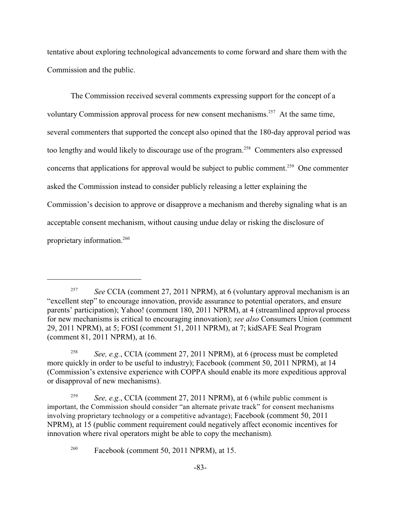tentative about exploring technological advancements to come forward and share them with the Commission and the public.

The Commission received several comments expressing support for the concept of a voluntary Commission approval process for new consent mechanisms.<sup> $257$ </sup> At the same time, several commenters that supported the concept also opined that the 180-day approval period was too lengthy and would likely to discourage use of the program.<sup>258</sup> Commenters also expressed concerns that applications for approval would be subject to public comment.<sup>259</sup> One commenter asked the Commission instead to consider publicly releasing a letter explaining the Commission's decision to approve or disapprove a mechanism and thereby signaling what is an acceptable consent mechanism, without causing undue delay or risking the disclosure of proprietary information.<sup>260</sup>

*See* CCIA (comment 27, 2011 NPRM), at 6 (voluntary approval mechanism is an "excellent step" to encourage innovation, provide assurance to potential operators, and ensure parents' participation); Yahoo! (comment 180, 2011 NPRM), at 4 (streamlined approval process for new mechanisms is critical to encouraging innovation); *see also* Consumers Union (comment 29, 2011 NPRM), at 5; FOSI (comment 51, 2011 NPRM), at 7; kidSAFE Seal Program (comment 81, 2011 NPRM), at 16.

<sup>&</sup>lt;sup>258</sup> *See, e.g.*, CCIA (comment 27, 2011 NPRM), at 6 (process must be completed more quickly in order to be useful to industry); Facebook (comment 50, 2011 NPRM), at 14 (Commission's extensive experience with COPPA should enable its more expeditious approval or disapproval of new mechanisms).

*See, e.g.*, CCIA (comment 27, 2011 NPRM), at 6 (while public comment is 259 important, the Commission should consider "an alternate private track" for consent mechanisms involving proprietary technology or a competitive advantage); Facebook (comment 50, 2011 NPRM), at 15 (public comment requirement could negatively affect economic incentives for innovation where rival operators might be able to copy the mechanism)*.*

 $Fasebook (comment 50, 2011 NPRM), at 15.$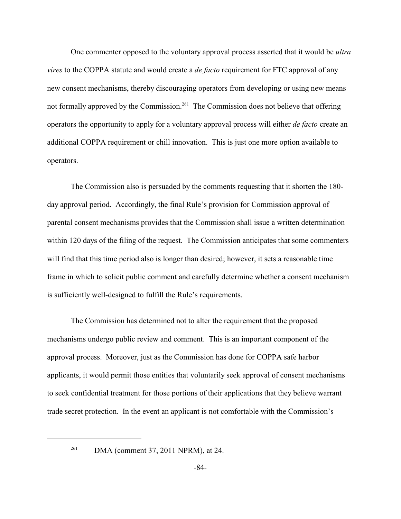One commenter opposed to the voluntary approval process asserted that it would be *ultra vires* to the COPPA statute and would create a *de facto* requirement for FTC approval of any new consent mechanisms, thereby discouraging operators from developing or using new means not formally approved by the Commission.<sup>261</sup> The Commission does not believe that offering operators the opportunity to apply for a voluntary approval process will either *de facto* create an additional COPPA requirement or chill innovation. This is just one more option available to operators.

The Commission also is persuaded by the comments requesting that it shorten the 180 day approval period. Accordingly, the final Rule's provision for Commission approval of parental consent mechanisms provides that the Commission shall issue a written determination within 120 days of the filing of the request. The Commission anticipates that some commenters will find that this time period also is longer than desired; however, it sets a reasonable time frame in which to solicit public comment and carefully determine whether a consent mechanism is sufficiently well-designed to fulfill the Rule's requirements.

The Commission has determined not to alter the requirement that the proposed mechanisms undergo public review and comment. This is an important component of the approval process. Moreover, just as the Commission has done for COPPA safe harbor applicants, it would permit those entities that voluntarily seek approval of consent mechanisms to seek confidential treatment for those portions of their applications that they believe warrant trade secret protection. In the event an applicant is not comfortable with the Commission's

 $261$  DMA (comment 37, 2011 NPRM), at 24.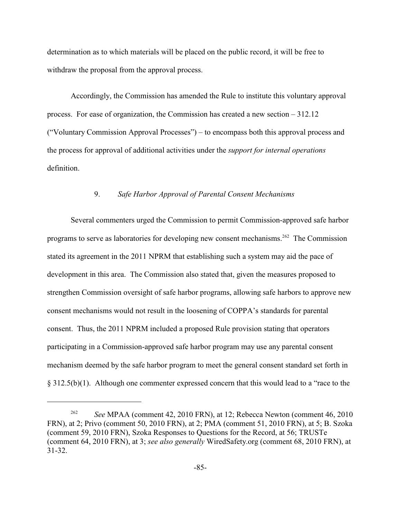determination as to which materials will be placed on the public record, it will be free to withdraw the proposal from the approval process.

Accordingly, the Commission has amended the Rule to institute this voluntary approval process. For ease of organization, the Commission has created a new section – 312.12 ("Voluntary Commission Approval Processes") – to encompass both this approval process and the process for approval of additional activities under the *support for internal operations* definition.

## 9. *Safe Harbor Approval of Parental Consent Mechanisms*

Several commenters urged the Commission to permit Commission-approved safe harbor programs to serve as laboratories for developing new consent mechanisms.<sup>262</sup> The Commission stated its agreement in the 2011 NPRM that establishing such a system may aid the pace of development in this area. The Commission also stated that, given the measures proposed to strengthen Commission oversight of safe harbor programs, allowing safe harbors to approve new consent mechanisms would not result in the loosening of COPPA's standards for parental consent. Thus, the 2011 NPRM included a proposed Rule provision stating that operators participating in a Commission-approved safe harbor program may use any parental consent mechanism deemed by the safe harbor program to meet the general consent standard set forth in § 312.5(b)(1). Although one commenter expressed concern that this would lead to a "race to the

<sup>&</sup>lt;sup>262</sup> See MPAA (comment 42, 2010 FRN), at 12; Rebecca Newton (comment 46, 2010 FRN), at 2; Privo (comment 50, 2010 FRN), at 2; PMA (comment 51, 2010 FRN), at 5; B. Szoka (comment 59, 2010 FRN), Szoka Responses to Questions for the Record, at 56; TRUSTe (comment 64, 2010 FRN), at 3; *see also generally* WiredSafety.org (comment 68, 2010 FRN), at 31-32.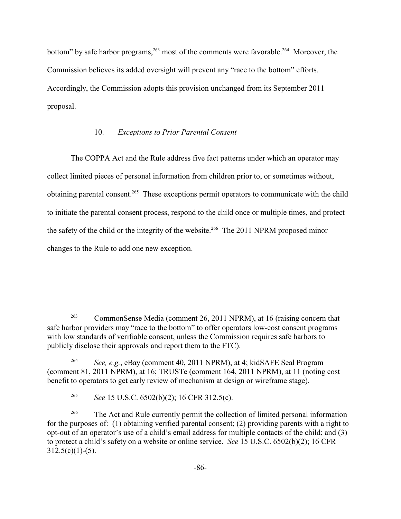bottom" by safe harbor programs,  $263$  most of the comments were favorable. <sup>264</sup> Moreover, the Commission believes its added oversight will prevent any "race to the bottom" efforts. Accordingly, the Commission adopts this provision unchanged from its September 2011 proposal.

### 10. *Exceptions to Prior Parental Consent*

The COPPA Act and the Rule address five fact patterns under which an operator may collect limited pieces of personal information from children prior to, or sometimes without, obtaining parental consent.<sup>265</sup> These exceptions permit operators to communicate with the child to initiate the parental consent process, respond to the child once or multiple times, and protect the safety of the child or the integrity of the website.<sup>266</sup> The 2011 NPRM proposed minor changes to the Rule to add one new exception.

<sup>&</sup>lt;sup>263</sup> CommonSense Media (comment 26, 2011 NPRM), at 16 (raising concern that safe harbor providers may "race to the bottom" to offer operators low-cost consent programs with low standards of verifiable consent, unless the Commission requires safe harbors to publicly disclose their approvals and report them to the FTC).

<sup>&</sup>lt;sup>264</sup> *See, e.g.*, eBay (comment 40, 2011 NPRM), at 4; kidSAFE Seal Program (comment 81, 2011 NPRM), at 16; TRUSTe (comment 164, 2011 NPRM), at 11 (noting cost benefit to operators to get early review of mechanism at design or wireframe stage).

<sup>&</sup>lt;sup>265</sup> *See* 15 U.S.C.  $6502(b)(2)$ ; 16 CFR 312.5(c).

<sup>&</sup>lt;sup>266</sup> The Act and Rule currently permit the collection of limited personal information for the purposes of: (1) obtaining verified parental consent; (2) providing parents with a right to opt-out of an operator's use of a child's email address for multiple contacts of the child; and (3) to protect a child's safety on a website or online service. *See* 15 U.S.C. 6502(b)(2); 16 CFR  $312.5(c)(1)-(5)$ .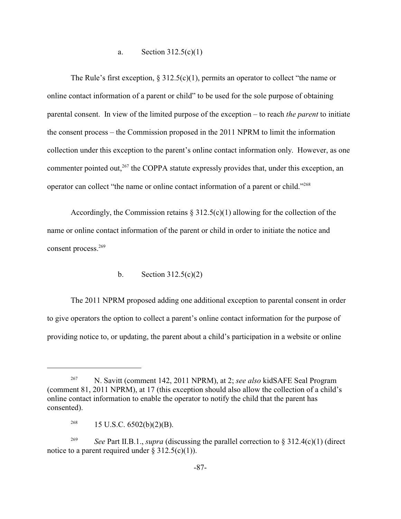a. Section 312.5(c)(1)

The Rule's first exception,  $\S 312.5(c)(1)$ , permits an operator to collect "the name or online contact information of a parent or child" to be used for the sole purpose of obtaining parental consent. In view of the limited purpose of the exception – to reach *the parent* to initiate the consent process – the Commission proposed in the 2011 NPRM to limit the information collection under this exception to the parent's online contact information only. However, as one commenter pointed out,  $267$  the COPPA statute expressly provides that, under this exception, an operator can collect "the name or online contact information of a parent or child."<sup>268</sup>

Accordingly, the Commission retains  $\S 312.5(c)(1)$  allowing for the collection of the name or online contact information of the parent or child in order to initiate the notice and consent process.<sup>269</sup>

## b. Section  $312.5(c)(2)$

The 2011 NPRM proposed adding one additional exception to parental consent in order to give operators the option to collect a parent's online contact information for the purpose of providing notice to, or updating, the parent about a child's participation in a website or online

<sup>&</sup>lt;sup>267</sup> N. Savitt (comment 142, 2011 NPRM), at 2; *see also* kidSAFE Seal Program (comment 81, 2011 NPRM), at 17 (this exception should also allow the collection of a child's online contact information to enable the operator to notify the child that the parent has consented).

<sup>15</sup> U.S.C. 6502(b)(2)(B). 268

*See* Part II.B.1., *supra* (discussing the parallel correction to  $\S 312.4(c)(1)$  (direct 269 notice to a parent required under  $\S 312.5(c)(1)$ .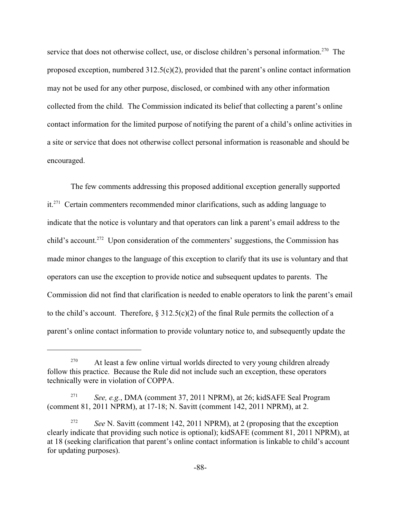service that does not otherwise collect, use, or disclose children's personal information.<sup>270</sup> The proposed exception, numbered 312.5(c)(2), provided that the parent's online contact information may not be used for any other purpose, disclosed, or combined with any other information collected from the child. The Commission indicated its belief that collecting a parent's online contact information for the limited purpose of notifying the parent of a child's online activities in a site or service that does not otherwise collect personal information is reasonable and should be encouraged.

The few comments addressing this proposed additional exception generally supported  $it.^{271}$  Certain commenters recommended minor clarifications, such as adding language to indicate that the notice is voluntary and that operators can link a parent's email address to the child's account.<sup>272</sup> Upon consideration of the commenters' suggestions, the Commission has made minor changes to the language of this exception to clarify that its use is voluntary and that operators can use the exception to provide notice and subsequent updates to parents. The Commission did not find that clarification is needed to enable operators to link the parent's email to the child's account. Therefore,  $\S 312.5(c)(2)$  of the final Rule permits the collection of a parent's online contact information to provide voluntary notice to, and subsequently update the

 $270$  At least a few online virtual worlds directed to very young children already follow this practice. Because the Rule did not include such an exception, these operators technically were in violation of COPPA.

<sup>&</sup>lt;sup>271</sup> *See, e.g.*, DMA (comment 37, 2011 NPRM), at 26; kidSAFE Seal Program (comment 81, 2011 NPRM), at 17-18; N. Savitt (comment 142, 2011 NPRM), at 2.

<sup>&</sup>lt;sup>272</sup> *See* N. Savitt (comment 142, 2011 NPRM), at 2 (proposing that the exception clearly indicate that providing such notice is optional); kidSAFE (comment 81, 2011 NPRM), at at 18 (seeking clarification that parent's online contact information is linkable to child's account for updating purposes).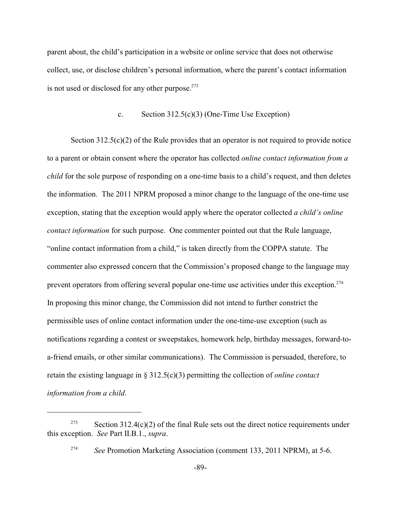parent about, the child's participation in a website or online service that does not otherwise collect, use, or disclose children's personal information, where the parent's contact information is not used or disclosed for any other purpose.<sup>273</sup>

### c. Section 312.5(c)(3) (One-Time Use Exception)

Section 312.5(c)(2) of the Rule provides that an operator is not required to provide notice to a parent or obtain consent where the operator has collected *online contact information from a child* for the sole purpose of responding on a one-time basis to a child's request, and then deletes the information. The 2011 NPRM proposed a minor change to the language of the one-time use exception, stating that the exception would apply where the operator collected *a child's online contact information* for such purpose. One commenter pointed out that the Rule language, "online contact information from a child," is taken directly from the COPPA statute. The commenter also expressed concern that the Commission's proposed change to the language may prevent operators from offering several popular one-time use activities under this exception.<sup>274</sup> In proposing this minor change, the Commission did not intend to further constrict the permissible uses of online contact information under the one-time-use exception (such as notifications regarding a contest or sweepstakes, homework help, birthday messages, forward-toa-friend emails, or other similar communications). The Commission is persuaded, therefore, to retain the existing language in § 312.5(c)(3) permitting the collection of *online contact information from a child*.

 $S_{\text{section 312.4(c)(2) of the final Rule sets out the direct notice requirements under}$ this exception. *See* Part II.B.1., *supra*.

<sup>&</sup>lt;sup>274</sup> See Promotion Marketing Association (comment 133, 2011 NPRM), at 5-6.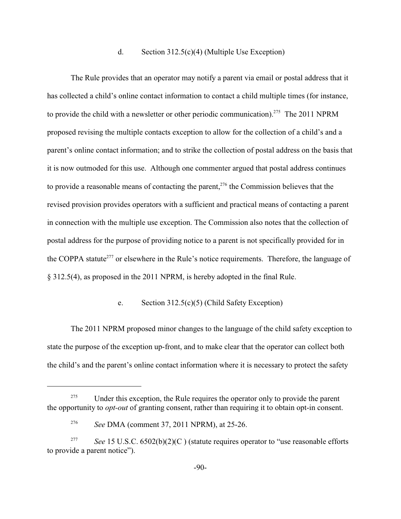### d. Section 312.5(c)(4) (Multiple Use Exception)

The Rule provides that an operator may notify a parent via email or postal address that it has collected a child's online contact information to contact a child multiple times (for instance, to provide the child with a newsletter or other periodic communication).<sup>275</sup> The 2011 NPRM proposed revising the multiple contacts exception to allow for the collection of a child's and a parent's online contact information; and to strike the collection of postal address on the basis that it is now outmoded for this use. Although one commenter argued that postal address continues to provide a reasonable means of contacting the parent,<sup> $276$ </sup> the Commission believes that the revised provision provides operators with a sufficient and practical means of contacting a parent in connection with the multiple use exception. The Commission also notes that the collection of postal address for the purpose of providing notice to a parent is not specifically provided for in the COPPA statute<sup>277</sup> or elsewhere in the Rule's notice requirements. Therefore, the language of § 312.5(4), as proposed in the 2011 NPRM, is hereby adopted in the final Rule.

## e. Section 312.5(c)(5) (Child Safety Exception)

The 2011 NPRM proposed minor changes to the language of the child safety exception to state the purpose of the exception up-front, and to make clear that the operator can collect both the child's and the parent's online contact information where it is necessary to protect the safety

<sup>&</sup>lt;sup>275</sup> Under this exception, the Rule requires the operator only to provide the parent the opportunity to *opt-out* of granting consent, rather than requiring it to obtain opt-in consent.

<sup>&</sup>lt;sup>276</sup> See DMA (comment 37, 2011 NPRM), at 25-26.

<sup>&</sup>lt;sup>277</sup> See 15 U.S.C. 6502(b)(2)(C) (statute requires operator to "use reasonable efforts to provide a parent notice").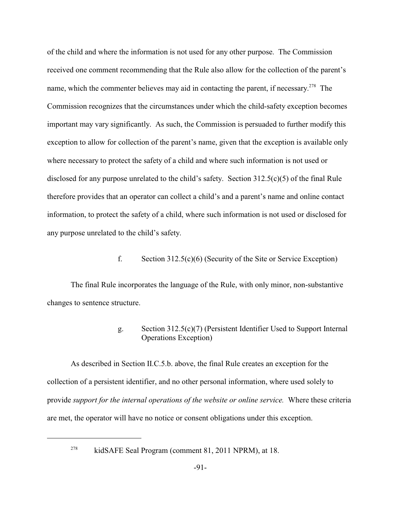of the child and where the information is not used for any other purpose. The Commission received one comment recommending that the Rule also allow for the collection of the parent's name, which the commenter believes may aid in contacting the parent, if necessary.<sup>278</sup> The Commission recognizes that the circumstances under which the child-safety exception becomes important may vary significantly. As such, the Commission is persuaded to further modify this exception to allow for collection of the parent's name, given that the exception is available only where necessary to protect the safety of a child and where such information is not used or disclosed for any purpose unrelated to the child's safety. Section 312.5(c)(5) of the final Rule therefore provides that an operator can collect a child's and a parent's name and online contact information, to protect the safety of a child, where such information is not used or disclosed for any purpose unrelated to the child's safety.

## f. Section 312.5(c)(6) (Security of the Site or Service Exception)

The final Rule incorporates the language of the Rule, with only minor, non-substantive changes to sentence structure.

# g. Section 312.5(c)(7) (Persistent Identifier Used to Support Internal Operations Exception)

As described in Section II.C.5.b. above, the final Rule creates an exception for the collection of a persistent identifier, and no other personal information, where used solely to provide *support for the internal operations of the website or online service.* Where these criteria are met, the operator will have no notice or consent obligations under this exception.

<sup>&</sup>lt;sup>278</sup> kidSAFE Seal Program (comment 81, 2011 NPRM), at 18.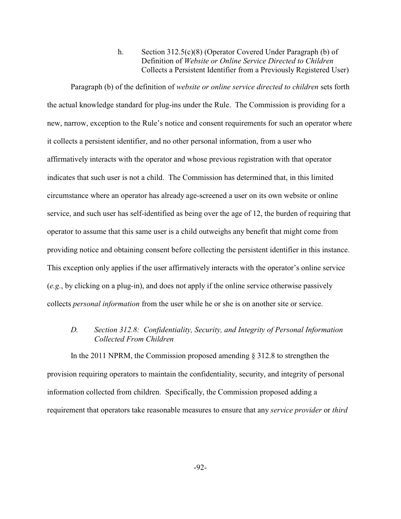h. Section 312.5(c)(8) (Operator Covered Under Paragraph (b) of Definition of *Website or Online Service Directed to Children* Collects a Persistent Identifier from a Previously Registered User)

Paragraph (b) of the definition of *website or online service directed to children* sets forth the actual knowledge standard for plug-ins under the Rule. The Commission is providing for a new, narrow, exception to the Rule's notice and consent requirements for such an operator where it collects a persistent identifier, and no other personal information, from a user who affirmatively interacts with the operator and whose previous registration with that operator indicates that such user is not a child. The Commission has determined that, in this limited circumstance where an operator has already age-screened a user on its own website or online service, and such user has self-identified as being over the age of 12, the burden of requiring that operator to assume that this same user is a child outweighs any benefit that might come from providing notice and obtaining consent before collecting the persistent identifier in this instance. This exception only applies if the user affirmatively interacts with the operator's online service (*e.g.*, by clicking on a plug-in), and does not apply if the online service otherwise passively collects *personal information* from the user while he or she is on another site or service.

## *D. Section 312.8: Confidentiality, Security, and Integrity of Personal Information Collected From Children*

In the 2011 NPRM, the Commission proposed amending § 312.8 to strengthen the provision requiring operators to maintain the confidentiality, security, and integrity of personal information collected from children. Specifically, the Commission proposed adding a requirement that operators take reasonable measures to ensure that any *service provider* or *third*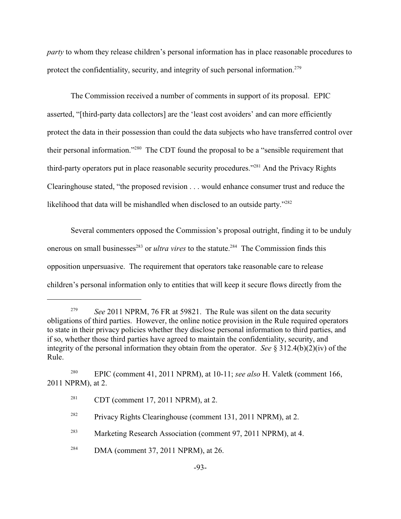*party* to whom they release children's personal information has in place reasonable procedures to protect the confidentiality, security, and integrity of such personal information.<sup>279</sup>

The Commission received a number of comments in support of its proposal. EPIC asserted, "[third-party data collectors] are the 'least cost avoiders' and can more efficiently protect the data in their possession than could the data subjects who have transferred control over their personal information."<sup> $280$ </sup> The CDT found the proposal to be a "sensible requirement that third-party operators put in place reasonable security procedures."<sup>281</sup> And the Privacy Rights Clearinghouse stated, "the proposed revision . . . would enhance consumer trust and reduce the likelihood that data will be mishandled when disclosed to an outside party."<sup>282</sup>

Several commenters opposed the Commission's proposal outright, finding it to be unduly onerous on small businesses<sup>283</sup> or *ultra vires* to the statute.<sup>284</sup> The Commission finds this opposition unpersuasive. The requirement that operators take reasonable care to release children's personal information only to entities that will keep it secure flows directly from the

<sup>&</sup>lt;sup>279</sup> See 2011 NPRM, 76 FR at 59821. The Rule was silent on the data security obligations of third parties. However, the online notice provision in the Rule required operators to state in their privacy policies whether they disclose personal information to third parties, and if so, whether those third parties have agreed to maintain the confidentiality, security, and integrity of the personal information they obtain from the operator. *See* § 312.4(b)(2)(iv) of the Rule.

<sup>&</sup>lt;sup>280</sup> EPIC (comment 41, 2011 NPRM), at 10-11; *see also* H. Valetk (comment 166, 2011 NPRM), at 2.

<sup>&</sup>lt;sup>281</sup> CDT (comment 17, 2011 NPRM), at 2.

<sup>&</sup>lt;sup>282</sup> Privacy Rights Clearinghouse (comment 131, 2011 NPRM), at 2.

<sup>&</sup>lt;sup>283</sup> Marketing Research Association (comment 97, 2011 NPRM), at 4.

 $284$  DMA (comment 37, 2011 NPRM), at 26.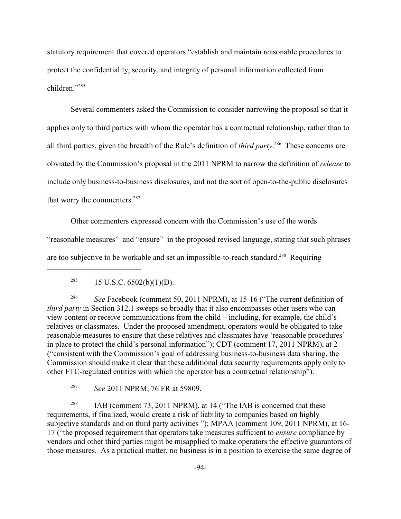statutory requirement that covered operators "establish and maintain reasonable procedures to protect the confidentiality, security, and integrity of personal information collected from children<sup>"285</sup>

Several commenters asked the Commission to consider narrowing the proposal so that it applies only to third parties with whom the operator has a contractual relationship, rather than to all third parties, given the breadth of the Rule's definition of *third party*.<sup>286</sup> These concerns are obviated by the Commission's proposal in the 2011 NPRM to narrow the definition of *release* to include only business-to-business disclosures, and not the sort of open-to-the-public disclosures that worry the commenters. 287

Other commenters expressed concern with the Commission's use of the words "reasonable measures" and "ensure" in the proposed revised language, stating that such phrases are too subjective to be workable and set an impossible-to-reach standard.<sup>288</sup> Requiring

<sup>286</sup> See Facebook (comment 50, 2011 NPRM), at 15-16 ("The current definition of *third party* in Section 312.1 sweeps so broadly that it also encompasses other users who can view content or receive communications from the child – including, for example, the child's relatives or classmates. Under the proposed amendment, operators would be obligated to take reasonable measures to ensure that these relatives and classmates have 'reasonable procedures' in place to protect the child's personal information"); CDT (comment 17, 2011 NPRM), at 2 ("consistent with the Commission's goal of addressing business-to-business data sharing, the Commission should make it clear that these additional data security requirements apply only to other FTC-regulated entities with which the operator has a contractual relationship").

<sup>287</sup> *See* 2011 NPRM, 76 FR at 59809.

<sup>288</sup> IAB (comment 73, 2011 NPRM), at 14 ("The IAB is concerned that these requirements, if finalized, would create a risk of liability to companies based on highly subjective standards and on third party activities "); MPAA (comment 109, 2011 NPRM), at 16- 17 ("the proposed requirement that operators take measures sufficient to *ensure* compliance by vendors and other third parties might be misapplied to make operators the effective guarantors of those measures. As a practical matter, no business is in a position to exercise the same degree of

<sup>&</sup>lt;sup>285</sup> 15 U.S.C.  $6502(b)(1)(D)$ .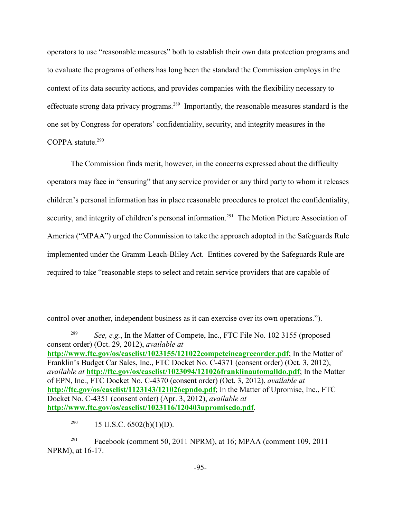operators to use "reasonable measures" both to establish their own data protection programs and to evaluate the programs of others has long been the standard the Commission employs in the context of its data security actions, and provides companies with the flexibility necessary to effectuate strong data privacy programs.<sup>289</sup> Importantly, the reasonable measures standard is the one set by Congress for operators' confidentiality, security, and integrity measures in the COPPA statute. $290$ 

The Commission finds merit, however, in the concerns expressed about the difficulty operators may face in "ensuring" that any service provider or any third party to whom it releases children's personal information has in place reasonable procedures to protect the confidentiality, security, and integrity of children's personal information.<sup> $291$ </sup> The Motion Picture Association of America ("MPAA") urged the Commission to take the approach adopted in the Safeguards Rule implemented under the Gramm-Leach-Bliley Act. Entities covered by the Safeguards Rule are required to take "reasonable steps to select and retain service providers that are capable of

control over another, independent business as it can exercise over its own operations.").

<sup>&</sup>lt;sup>289</sup> *See, e.g.*, In the Matter of Compete, Inc., FTC File No. 102 3155 (proposed consent order) (Oct. 29, 2012), *available at* **[http://www.ftc.gov/os/caselist/1023155/121022competeincagreeorder.pdf](#page-94-0)**; In the Matter of Franklin's Budget Car Sales, Inc., FTC Docket No. C-4371 (consent order) (Oct. 3, 2012), *available at* **<http://ftc.gov/os/caselist/1023094/121026franklinautomalldo.pdf>**; In the Matter of EPN, Inc., FTC Docket No. C-4370 (consent order) (Oct. 3, 2012), *available at* **<http://ftc.gov/os/caselist/1123143/121026epndo.pdf>**; In the Matter of Upromise, Inc., FTC Docket No. C-4351 (consent order) (Apr. 3, 2012), *available at* **<http://www.ftc.gov/os/caselist/1023116/120403upromisedo.pdf>**.

<sup>&</sup>lt;sup>290</sup> 15 U.S.C.  $6502(b)(1)(D)$ .

<span id="page-94-0"></span> $Fasebook$  (comment 50, 2011 NPRM), at 16; MPAA (comment 109, 2011 NPRM), at 16-17.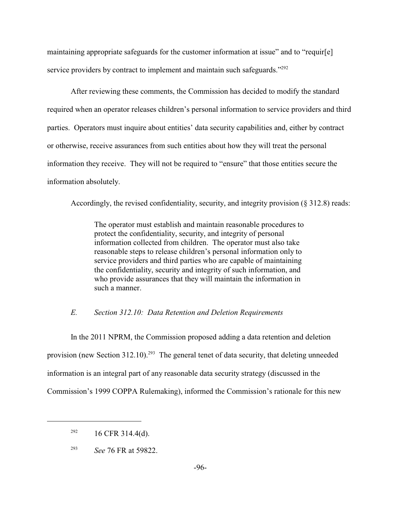maintaining appropriate safeguards for the customer information at issue" and to "requir[e] service providers by contract to implement and maintain such safeguards."<sup>292</sup>

After reviewing these comments, the Commission has decided to modify the standard required when an operator releases children's personal information to service providers and third parties. Operators must inquire about entities' data security capabilities and, either by contract or otherwise, receive assurances from such entities about how they will treat the personal information they receive. They will not be required to "ensure" that those entities secure the information absolutely.

Accordingly, the revised confidentiality, security, and integrity provision (§ 312.8) reads:

The operator must establish and maintain reasonable procedures to protect the confidentiality, security, and integrity of personal information collected from children. The operator must also take reasonable steps to release children's personal information only to service providers and third parties who are capable of maintaining the confidentiality, security and integrity of such information, and who provide assurances that they will maintain the information in such a manner.

#### *E. Section 312.10: Data Retention and Deletion Requirements*

In the 2011 NPRM, the Commission proposed adding a data retention and deletion provision (new Section 312.10).<sup>293</sup> The general tenet of data security, that deleting unneeded information is an integral part of any reasonable data security strategy (discussed in the Commission's 1999 COPPA Rulemaking), informed the Commission's rationale for this new

 $^{292}$  16 CFR 314.4(d).

<sup>&</sup>lt;sup>293</sup> *See* 76 FR at 59822.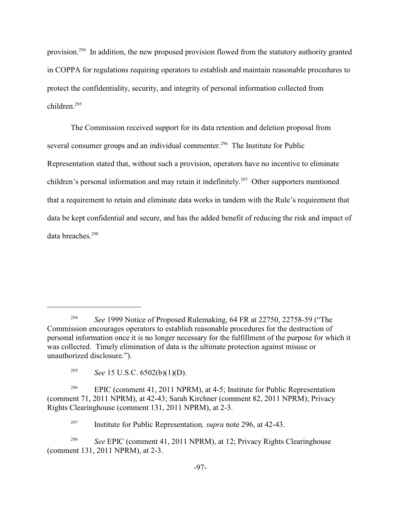provision.<sup>294</sup> In addition, the new proposed provision flowed from the statutory authority granted in COPPA for regulations requiring operators to establish and maintain reasonable procedures to protect the confidentiality, security, and integrity of personal information collected from children<sup>295</sup>

The Commission received support for its data retention and deletion proposal from several consumer groups and an individual commenter.<sup>296</sup> The Institute for Public Representation stated that, without such a provision, operators have no incentive to eliminate children's personal information and may retain it indefinitely.<sup>297</sup> Other supporters mentioned that a requirement to retain and eliminate data works in tandem with the Rule's requirement that data be kept confidential and secure, and has the added benefit of reducing the risk and impact of data breaches.<sup>298</sup>

<sup>&</sup>lt;sup>294</sup> See 1999 Notice of Proposed Rulemaking, 64 FR at 22750, 22758-59 ("The Commission encourages operators to establish reasonable procedures for the destruction of personal information once it is no longer necessary for the fulfillment of the purpose for which it was collected. Timely elimination of data is the ultimate protection against misuse or unauthorized disclosure.").

<sup>&</sup>lt;sup>295</sup> *See* 15 U.S.C. 6502(b)(1)(D).

<sup>&</sup>lt;sup>296</sup> EPIC (comment 41, 2011 NPRM), at 4-5; Institute for Public Representation (comment 71, 2011 NPRM), at 42-43; Sarah Kirchner (comment 82, 2011 NPRM); Privacy Rights Clearinghouse (comment 131, 2011 NPRM), at 2-3.

<sup>&</sup>lt;sup>297</sup> Institute for Public Representation, *supra* note 296, at 42-43.

*See* EPIC (comment 41, 2011 NPRM), at 12; Privacy Rights Clearinghouse 298 (comment 131, 2011 NPRM), at 2-3.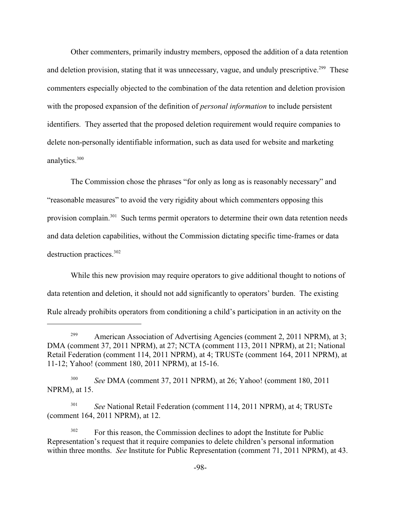Other commenters, primarily industry members, opposed the addition of a data retention and deletion provision, stating that it was unnecessary, vague, and unduly prescriptive.<sup>299</sup> These commenters especially objected to the combination of the data retention and deletion provision with the proposed expansion of the definition of *personal information* to include persistent identifiers. They asserted that the proposed deletion requirement would require companies to delete non-personally identifiable information, such as data used for website and marketing analytics.<sup>300</sup>

The Commission chose the phrases "for only as long as is reasonably necessary" and "reasonable measures" to avoid the very rigidity about which commenters opposing this provision complain.<sup>301</sup> Such terms permit operators to determine their own data retention needs and data deletion capabilities, without the Commission dictating specific time-frames or data destruction practices.<sup>302</sup>

While this new provision may require operators to give additional thought to notions of data retention and deletion, it should not add significantly to operators' burden. The existing Rule already prohibits operators from conditioning a child's participation in an activity on the

<sup>&</sup>lt;sup>299</sup> American Association of Advertising Agencies (comment 2, 2011 NPRM), at 3; DMA (comment 37, 2011 NPRM), at 27; NCTA (comment 113, 2011 NPRM), at 21; National Retail Federation (comment 114, 2011 NPRM), at 4; TRUSTe (comment 164, 2011 NPRM), at 11-12; Yahoo! (comment 180, 2011 NPRM), at 15-16.

<sup>&</sup>lt;sup>300</sup> *See DMA (comment 37, 2011 NPRM), at 26; Yahoo! (comment 180, 2011)* NPRM), at 15.

<sup>&</sup>lt;sup>301</sup> See National Retail Federation (comment 114, 2011 NPRM), at 4; TRUSTe (comment 164, 2011 NPRM), at 12.

 $F<sup>302</sup>$  For this reason, the Commission declines to adopt the Institute for Public Representation's request that it require companies to delete children's personal information within three months. *See* Institute for Public Representation (comment 71, 2011 NPRM), at 43.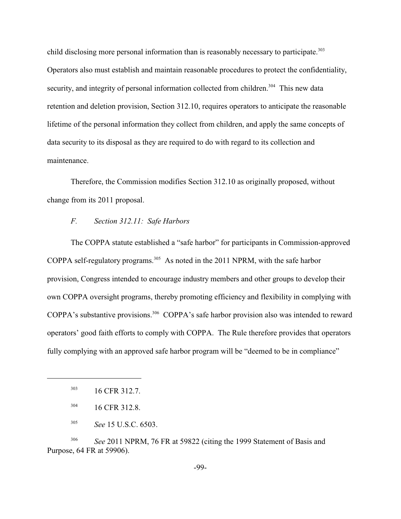child disclosing more personal information than is reasonably necessary to participate. 303 Operators also must establish and maintain reasonable procedures to protect the confidentiality, security, and integrity of personal information collected from children.<sup>304</sup> This new data retention and deletion provision, Section 312.10, requires operators to anticipate the reasonable lifetime of the personal information they collect from children, and apply the same concepts of data security to its disposal as they are required to do with regard to its collection and maintenance.

Therefore, the Commission modifies Section 312.10 as originally proposed, without change from its 2011 proposal.

## *F. Section 312.11: Safe Harbors*

The COPPA statute established a "safe harbor" for participants in Commission-approved COPPA self-regulatory programs.<sup> $305$ </sup> As noted in the 2011 NPRM, with the safe harbor provision, Congress intended to encourage industry members and other groups to develop their own COPPA oversight programs, thereby promoting efficiency and flexibility in complying with COPPA's substantive provisions.<sup>306</sup> COPPA's safe harbor provision also was intended to reward operators' good faith efforts to comply with COPPA. The Rule therefore provides that operators fully complying with an approved safe harbor program will be "deemed to be in compliance"

<sup>306</sup> See 2011 NPRM, 76 FR at 59822 (citing the 1999 Statement of Basis and Purpose, 64 FR at 59906).

 $16$  CFR 312.7.

 $16$  CFR 312.8.

<sup>&</sup>lt;sup>305</sup> *See* 15 U.S.C. 6503.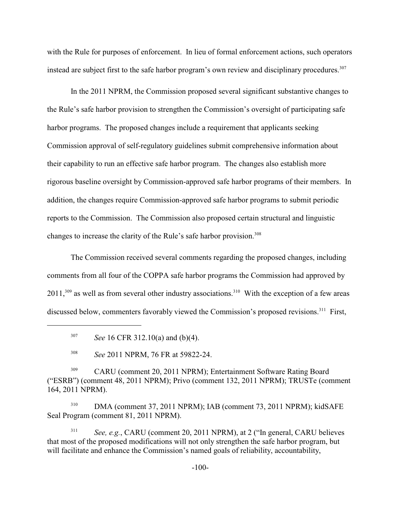with the Rule for purposes of enforcement. In lieu of formal enforcement actions, such operators instead are subject first to the safe harbor program's own review and disciplinary procedures.<sup>307</sup>

In the 2011 NPRM, the Commission proposed several significant substantive changes to the Rule's safe harbor provision to strengthen the Commission's oversight of participating safe harbor programs. The proposed changes include a requirement that applicants seeking Commission approval of self-regulatory guidelines submit comprehensive information about their capability to run an effective safe harbor program. The changes also establish more rigorous baseline oversight by Commission-approved safe harbor programs of their members. In addition, the changes require Commission-approved safe harbor programs to submit periodic reports to the Commission. The Commission also proposed certain structural and linguistic changes to increase the clarity of the Rule's safe harbor provision.<sup>308</sup>

The Commission received several comments regarding the proposed changes, including comments from all four of the COPPA safe harbor programs the Commission had approved by  $2011$ ,<sup>309</sup> as well as from several other industry associations.<sup>310</sup> With the exception of a few areas discussed below, commenters favorably viewed the Commission's proposed revisions.<sup>311</sup> First,

 $DMA$  (comment 37, 2011 NPRM); IAB (comment 73, 2011 NPRM); kidSAFE Seal Program (comment 81, 2011 NPRM).

<sup>311</sup> *See, e.g.*, CARU (comment 20, 2011 NPRM), at 2 ("In general, CARU believes") that most of the proposed modifications will not only strengthen the safe harbor program, but will facilitate and enhance the Commission's named goals of reliability, accountability,

<sup>&</sup>lt;sup>307</sup> *See* 16 CFR 312.10(a) and (b)(4).

<sup>&</sup>lt;sup>308</sup> See 2011 NPRM, 76 FR at 59822-24.

<sup>&</sup>lt;sup>309</sup> CARU (comment 20, 2011 NPRM); Entertainment Software Rating Board ("ESRB") (comment 48, 2011 NPRM); Privo (comment 132, 2011 NPRM); TRUSTe (comment 164, 2011 NPRM).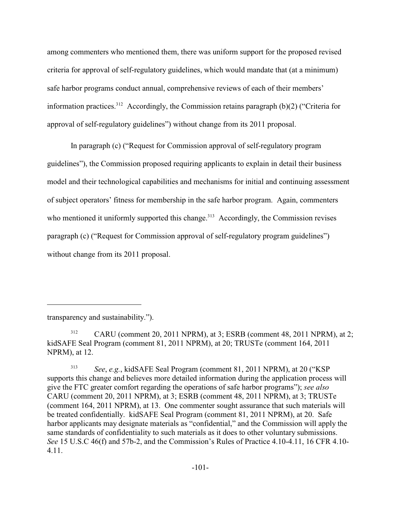among commenters who mentioned them, there was uniform support for the proposed revised criteria for approval of self-regulatory guidelines, which would mandate that (at a minimum) safe harbor programs conduct annual, comprehensive reviews of each of their members' information practices.<sup>312</sup> Accordingly, the Commission retains paragraph (b)(2) ("Criteria for approval of self-regulatory guidelines") without change from its 2011 proposal.

In paragraph (c) ("Request for Commission approval of self-regulatory program guidelines"), the Commission proposed requiring applicants to explain in detail their business model and their technological capabilities and mechanisms for initial and continuing assessment of subject operators' fitness for membership in the safe harbor program. Again, commenters who mentioned it uniformly supported this change.<sup> $313$ </sup> Accordingly, the Commission revises paragraph (c) ("Request for Commission approval of self-regulatory program guidelines") without change from its 2011 proposal.

transparency and sustainability.").

 $CARU$  (comment 20, 2011 NPRM), at 3; ESRB (comment 48, 2011 NPRM), at 2; kidSAFE Seal Program (comment 81, 2011 NPRM), at 20; TRUSTe (comment 164, 2011 NPRM), at 12.

<sup>&</sup>lt;sup>313</sup> *See, e.g., kidSAFE Seal Program (comment 81, 2011 NPRM), at 20 ("KSP* supports this change and believes more detailed information during the application process will give the FTC greater comfort regarding the operations of safe harbor programs"); *see also* CARU (comment 20, 2011 NPRM), at 3; ESRB (comment 48, 2011 NPRM), at 3; TRUSTe (comment 164, 2011 NPRM), at 13. One commenter sought assurance that such materials will be treated confidentially. kidSAFE Seal Program (comment 81, 2011 NPRM), at 20. Safe harbor applicants may designate materials as "confidential," and the Commission will apply the same standards of confidentiality to such materials as it does to other voluntary submissions. *See* 15 U.S.C 46(f) and 57b-2, and the Commission's Rules of Practice 4.10-4.11, 16 CFR 4.10- 4.11.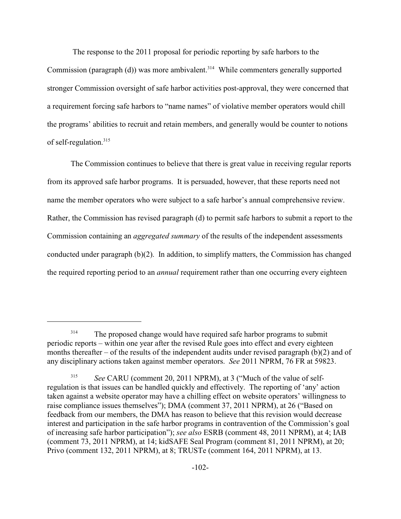The response to the 2011 proposal for periodic reporting by safe harbors to the Commission (paragraph  $(d)$ ) was more ambivalent.<sup>314</sup> While commenters generally supported stronger Commission oversight of safe harbor activities post-approval, they were concerned that a requirement forcing safe harbors to "name names" of violative member operators would chill the programs' abilities to recruit and retain members, and generally would be counter to notions of self-regulation.<sup>315</sup>

The Commission continues to believe that there is great value in receiving regular reports from its approved safe harbor programs. It is persuaded, however, that these reports need not name the member operators who were subject to a safe harbor's annual comprehensive review. Rather, the Commission has revised paragraph (d) to permit safe harbors to submit a report to the Commission containing an *aggregated summary* of the results of the independent assessments conducted under paragraph  $(b)(2)$ . In addition, to simplify matters, the Commission has changed the required reporting period to an *annual* requirement rather than one occurring every eighteen

<sup>&</sup>lt;sup>314</sup> The proposed change would have required safe harbor programs to submit periodic reports – within one year after the revised Rule goes into effect and every eighteen months thereafter – of the results of the independent audits under revised paragraph  $(b)(2)$  and of any disciplinary actions taken against member operators. *See* 2011 NPRM, 76 FR at 59823.

*See* CARU (comment 20, 2011 NPRM), at 3 ("Much of the value of self-315 regulation is that issues can be handled quickly and effectively. The reporting of 'any' action taken against a website operator may have a chilling effect on website operators' willingness to raise compliance issues themselves"); DMA (comment 37, 2011 NPRM), at 26 ("Based on feedback from our members, the DMA has reason to believe that this revision would decrease interest and participation in the safe harbor programs in contravention of the Commission's goal of increasing safe harbor participation"); *see also* ESRB (comment 48, 2011 NPRM), at 4; IAB (comment 73, 2011 NPRM), at 14; kidSAFE Seal Program (comment 81, 2011 NPRM), at 20; Privo (comment 132, 2011 NPRM), at 8; TRUSTe (comment 164, 2011 NPRM), at 13.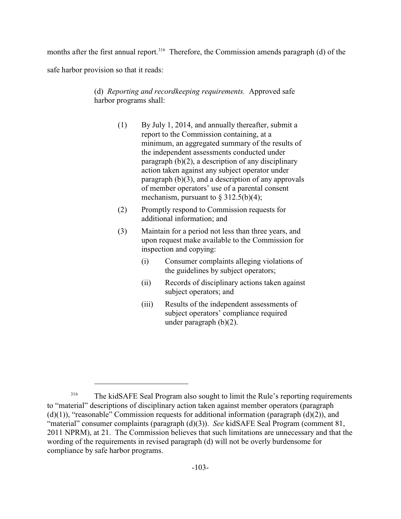months after the first annual report.<sup>316</sup> Therefore, the Commission amends paragraph (d) of the

safe harbor provision so that it reads:

# (d) *Reporting and recordkeeping requirements.* Approved safe harbor programs shall:

- (1) By July 1, 2014, and annually thereafter, submit a report to the Commission containing, at a minimum, an aggregated summary of the results of the independent assessments conducted under paragraph (b)(2), a description of any disciplinary action taken against any subject operator under paragraph (b)(3), and a description of any approvals of member operators' use of a parental consent mechanism, pursuant to  $\S 312.5(b)(4)$ ;
- (2) Promptly respond to Commission requests for additional information; and
- (3) Maintain for a period not less than three years, and upon request make available to the Commission for inspection and copying:
	- (i) Consumer complaints alleging violations of the guidelines by subject operators;
	- (ii) Records of disciplinary actions taken against subject operators; and
	- (iii) Results of the independent assessments of subject operators' compliance required under paragraph (b)(2).

<sup>&</sup>lt;sup>316</sup> The kidSAFE Seal Program also sought to limit the Rule's reporting requirements to "material" descriptions of disciplinary action taken against member operators (paragraph  $(d)(1)$ , "reasonable" Commission requests for additional information (paragraph  $(d)(2)$ ), and "material" consumer complaints (paragraph (d)(3)). *See* kidSAFE Seal Program (comment 81, 2011 NPRM), at 21. The Commission believes that such limitations are unnecessary and that the wording of the requirements in revised paragraph (d) will not be overly burdensome for compliance by safe harbor programs.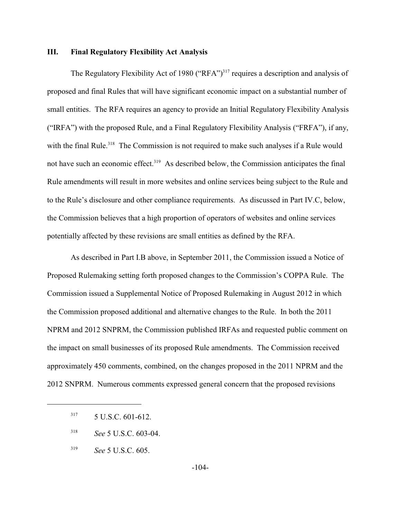### **III. Final Regulatory Flexibility Act Analysis**

The Regulatory Flexibility Act of 1980 ("RFA")<sup>317</sup> requires a description and analysis of proposed and final Rules that will have significant economic impact on a substantial number of small entities. The RFA requires an agency to provide an Initial Regulatory Flexibility Analysis ("IRFA") with the proposed Rule, and a Final Regulatory Flexibility Analysis ("FRFA"), if any, with the final Rule.<sup>318</sup> The Commission is not required to make such analyses if a Rule would not have such an economic effect.<sup>319</sup> As described below, the Commission anticipates the final Rule amendments will result in more websites and online services being subject to the Rule and to the Rule's disclosure and other compliance requirements. As discussed in Part IV.C, below, the Commission believes that a high proportion of operators of websites and online services potentially affected by these revisions are small entities as defined by the RFA.

As described in Part I.B above, in September 2011, the Commission issued a Notice of Proposed Rulemaking setting forth proposed changes to the Commission's COPPA Rule. The Commission issued a Supplemental Notice of Proposed Rulemaking in August 2012 in which the Commission proposed additional and alternative changes to the Rule. In both the 2011 NPRM and 2012 SNPRM, the Commission published IRFAs and requested public comment on the impact on small businesses of its proposed Rule amendments. The Commission received approximately 450 comments, combined, on the changes proposed in the 2011 NPRM and the 2012 SNPRM. Numerous comments expressed general concern that the proposed revisions

- *See* 5 U.S.C. 603-04. <sup>318</sup>
- <sup>319</sup> *See* 5 U.S.C. 605.

 $317 \quad 5 \text{ U.S.C. } 601 - 612.$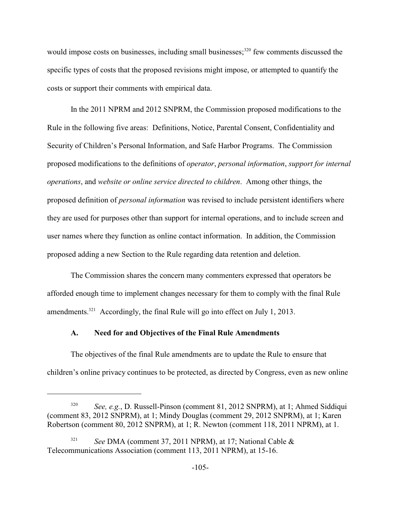would impose costs on businesses, including small businesses;  $320$  few comments discussed the specific types of costs that the proposed revisions might impose, or attempted to quantify the costs or support their comments with empirical data.

In the 2011 NPRM and 2012 SNPRM, the Commission proposed modifications to the Rule in the following five areas: Definitions, Notice, Parental Consent, Confidentiality and Security of Children's Personal Information, and Safe Harbor Programs. The Commission proposed modifications to the definitions of *operator*, *personal information*, *support for internal operations*, and *website or online service directed to children*. Among other things, the proposed definition of *personal information* was revised to include persistent identifiers where they are used for purposes other than support for internal operations, and to include screen and user names where they function as online contact information. In addition, the Commission proposed adding a new Section to the Rule regarding data retention and deletion.

The Commission shares the concern many commenters expressed that operators be afforded enough time to implement changes necessary for them to comply with the final Rule amendments.<sup>321</sup> Accordingly, the final Rule will go into effect on July 1, 2013.

## **A. Need for and Objectives of the Final Rule Amendments**

The objectives of the final Rule amendments are to update the Rule to ensure that children's online privacy continues to be protected, as directed by Congress, even as new online

<sup>&</sup>lt;sup>320</sup> *See, e.g.*, D. Russell-Pinson (comment 81, 2012 SNPRM), at 1; Ahmed Siddiqui (comment 83, 2012 SNPRM), at 1; Mindy Douglas (comment 29, 2012 SNPRM), at 1; Karen Robertson (comment 80, 2012 SNPRM), at 1; R. Newton (comment 118, 2011 NPRM), at 1.

<sup>&</sup>lt;sup>321</sup> See DMA (comment 37, 2011 NPRM), at 17; National Cable & Telecommunications Association (comment 113, 2011 NPRM), at 15-16.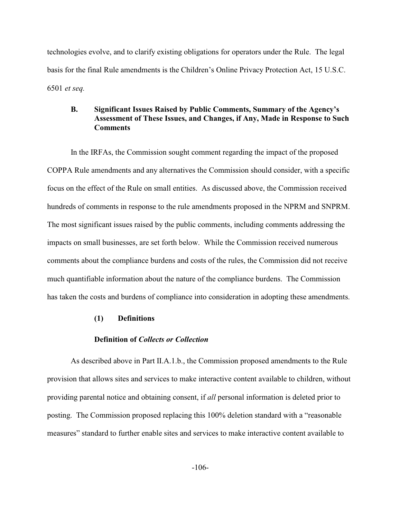technologies evolve, and to clarify existing obligations for operators under the Rule. The legal basis for the final Rule amendments is the Children's Online Privacy Protection Act, 15 U.S.C. 6501 *et seq.*

## **B. Significant Issues Raised by Public Comments, Summary of the Agency's Assessment of These Issues, and Changes, if Any, Made in Response to Such Comments**

In the IRFAs, the Commission sought comment regarding the impact of the proposed COPPA Rule amendments and any alternatives the Commission should consider, with a specific focus on the effect of the Rule on small entities. As discussed above, the Commission received hundreds of comments in response to the rule amendments proposed in the NPRM and SNPRM. The most significant issues raised by the public comments, including comments addressing the impacts on small businesses, are set forth below. While the Commission received numerous comments about the compliance burdens and costs of the rules, the Commission did not receive much quantifiable information about the nature of the compliance burdens. The Commission has taken the costs and burdens of compliance into consideration in adopting these amendments.

### **(1) Definitions**

## **Definition of** *Collects or Collection*

As described above in Part II.A.1.b., the Commission proposed amendments to the Rule provision that allows sites and services to make interactive content available to children, without providing parental notice and obtaining consent, if *all* personal information is deleted prior to posting. The Commission proposed replacing this 100% deletion standard with a "reasonable measures" standard to further enable sites and services to make interactive content available to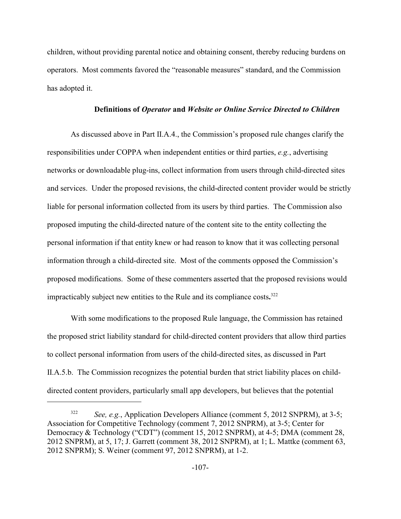children, without providing parental notice and obtaining consent, thereby reducing burdens on operators. Most comments favored the "reasonable measures" standard, and the Commission has adopted it.

### **Definitions of** *Operator* **and** *Website or Online Service Directed to Children*

As discussed above in Part II.A.4., the Commission's proposed rule changes clarify the responsibilities under COPPA when independent entities or third parties, *e.g.*, advertising networks or downloadable plug-ins, collect information from users through child-directed sites and services. Under the proposed revisions, the child-directed content provider would be strictly liable for personal information collected from its users by third parties. The Commission also proposed imputing the child-directed nature of the content site to the entity collecting the personal information if that entity knew or had reason to know that it was collecting personal information through a child-directed site. Most of the comments opposed the Commission's proposed modifications. Some of these commenters asserted that the proposed revisions would impracticably subject new entities to the Rule and its compliance costs**.** 322

With some modifications to the proposed Rule language, the Commission has retained the proposed strict liability standard for child-directed content providers that allow third parties to collect personal information from users of the child-directed sites, as discussed in Part II.A.5.b. The Commission recognizes the potential burden that strict liability places on childdirected content providers, particularly small app developers, but believes that the potential

<sup>&</sup>lt;sup>322</sup> *See, e.g.*, Application Developers Alliance (comment 5, 2012 SNPRM), at 3-5; Association for Competitive Technology (comment 7, 2012 SNPRM), at 3-5; Center for Democracy & Technology ("CDT") (comment 15, 2012 SNPRM), at 4-5; DMA (comment 28, 2012 SNPRM), at 5, 17; J. Garrett (comment 38, 2012 SNPRM), at 1; L. Mattke (comment 63, 2012 SNPRM); S. Weiner (comment 97, 2012 SNPRM), at 1-2.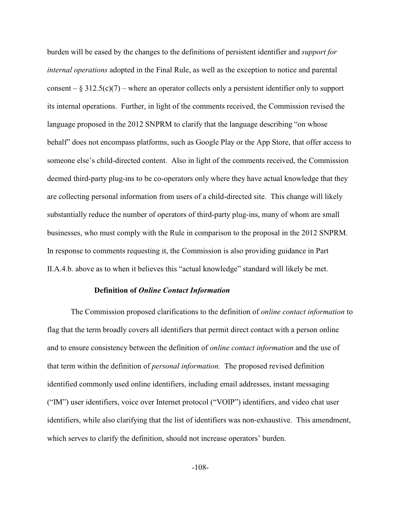burden will be eased by the changes to the definitions of persistent identifier and *support for internal operations* adopted in the Final Rule, as well as the exception to notice and parental consent –  $\S 312.5(c)(7)$  – where an operator collects only a persistent identifier only to support its internal operations. Further, in light of the comments received, the Commission revised the language proposed in the 2012 SNPRM to clarify that the language describing "on whose behalf" does not encompass platforms, such as Google Play or the App Store, that offer access to someone else's child-directed content. Also in light of the comments received, the Commission deemed third-party plug-ins to be co-operators only where they have actual knowledge that they are collecting personal information from users of a child-directed site. This change will likely substantially reduce the number of operators of third-party plug-ins, many of whom are small businesses, who must comply with the Rule in comparison to the proposal in the 2012 SNPRM. In response to comments requesting it, the Commission is also providing guidance in Part II.A.4.b. above as to when it believes this "actual knowledge" standard will likely be met.

#### **Definition of** *Online Contact Information*

The Commission proposed clarifications to the definition of *online contact information* to flag that the term broadly covers all identifiers that permit direct contact with a person online and to ensure consistency between the definition of *online contact information* and the use of that term within the definition of *personal information.* The proposed revised definition identified commonly used online identifiers, including email addresses, instant messaging ("IM") user identifiers, voice over Internet protocol ("VOIP") identifiers, and video chat user identifiers, while also clarifying that the list of identifiers was non-exhaustive. This amendment, which serves to clarify the definition, should not increase operators' burden.

-108-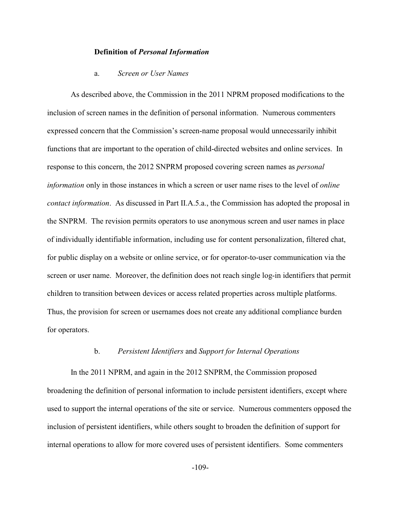### **Definition of** *Personal Information*

### a. *Screen or User Names*

As described above, the Commission in the 2011 NPRM proposed modifications to the inclusion of screen names in the definition of personal information. Numerous commenters expressed concern that the Commission's screen-name proposal would unnecessarily inhibit functions that are important to the operation of child-directed websites and online services. In response to this concern, the 2012 SNPRM proposed covering screen names as *personal information* only in those instances in which a screen or user name rises to the level of *online contact information*. As discussed in Part II.A.5.a., the Commission has adopted the proposal in the SNPRM. The revision permits operators to use anonymous screen and user names in place of individually identifiable information, including use for content personalization, filtered chat, for public display on a website or online service, or for operator-to-user communication via the screen or user name. Moreover, the definition does not reach single log-in identifiers that permit children to transition between devices or access related properties across multiple platforms. Thus, the provision for screen or usernames does not create any additional compliance burden for operators.

### b. *Persistent Identifiers* and *Support for Internal Operations*

In the 2011 NPRM, and again in the 2012 SNPRM, the Commission proposed broadening the definition of personal information to include persistent identifiers, except where used to support the internal operations of the site or service. Numerous commenters opposed the inclusion of persistent identifiers, while others sought to broaden the definition of support for internal operations to allow for more covered uses of persistent identifiers. Some commenters

-109-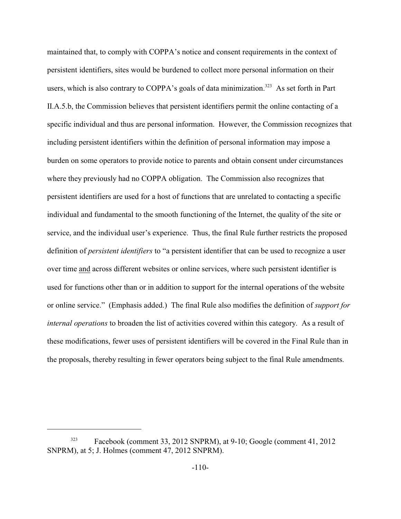maintained that, to comply with COPPA's notice and consent requirements in the context of persistent identifiers, sites would be burdened to collect more personal information on their users, which is also contrary to COPPA's goals of data minimization.<sup>323</sup> As set forth in Part II.A.5.b, the Commission believes that persistent identifiers permit the online contacting of a specific individual and thus are personal information. However, the Commission recognizes that including persistent identifiers within the definition of personal information may impose a burden on some operators to provide notice to parents and obtain consent under circumstances where they previously had no COPPA obligation. The Commission also recognizes that persistent identifiers are used for a host of functions that are unrelated to contacting a specific individual and fundamental to the smooth functioning of the Internet, the quality of the site or service, and the individual user's experience. Thus, the final Rule further restricts the proposed definition of *persistent identifiers* to "a persistent identifier that can be used to recognize a user over time and across different websites or online services, where such persistent identifier is used for functions other than or in addition to support for the internal operations of the website or online service." (Emphasis added.) The final Rule also modifies the definition of *support for internal operations* to broaden the list of activities covered within this category. As a result of these modifications, fewer uses of persistent identifiers will be covered in the Final Rule than in the proposals, thereby resulting in fewer operators being subject to the final Rule amendments.

Facebook (comment 33, 2012 SNPRM), at 9-10; Google (comment 41, 2012) SNPRM), at 5; J. Holmes (comment 47, 2012 SNPRM).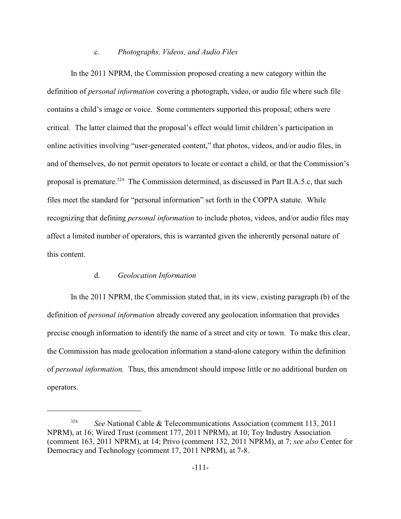#### c. *Photographs, Videos, and Audio Files*

In the 2011 NPRM, the Commission proposed creating a new category within the definition of *personal information* covering a photograph, video, or audio file where such file contains a child's image or voice. Some commenters supported this proposal; others were critical. The latter claimed that the proposal's effect would limit children's participation in online activities involving "user-generated content," that photos, videos, and/or audio files, in and of themselves, do not permit operators to locate or contact a child, or that the Commission's proposal is premature.<sup>324</sup> The Commission determined, as discussed in Part II.A.5.c, that such files meet the standard for "personal information" set forth in the COPPA statute. While recognizing that defining *personal information* to include photos, videos, and/or audio files may affect a limited number of operators, this is warranted given the inherently personal nature of this content.

#### d. *Geolocation Information*

In the 2011 NPRM, the Commission stated that, in its view, existing paragraph (b) of the definition of *personal information* already covered any geolocation information that provides precise enough information to identify the name of a street and city or town. To make this clear, the Commission has made geolocation information a stand-alone category within the definition of *personal information.* Thus, this amendment should impose little or no additional burden on operators.

<sup>&</sup>lt;sup>324</sup> *See* National Cable & Telecommunications Association (comment 113, 2011) NPRM), at 16; Wired Trust (comment 177, 2011 NPRM), at 10; Toy Industry Association (comment 163, 2011 NPRM), at 14; Privo (comment 132, 2011 NPRM), at 7; *see also* Center for Democracy and Technology (comment 17, 2011 NPRM), at 7-8.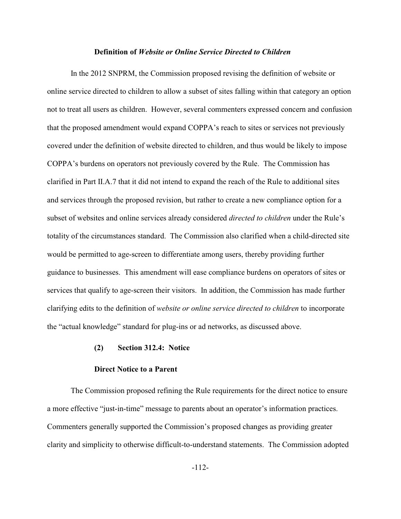#### **Definition of** *Website or Online Service Directed to Children*

In the 2012 SNPRM, the Commission proposed revising the definition of website or online service directed to children to allow a subset of sites falling within that category an option not to treat all users as children. However, several commenters expressed concern and confusion that the proposed amendment would expand COPPA's reach to sites or services not previously covered under the definition of website directed to children, and thus would be likely to impose COPPA's burdens on operators not previously covered by the Rule. The Commission has clarified in Part II.A.7 that it did not intend to expand the reach of the Rule to additional sites and services through the proposed revision, but rather to create a new compliance option for a subset of websites and online services already considered *directed to children* under the Rule's totality of the circumstances standard. The Commission also clarified when a child-directed site would be permitted to age-screen to differentiate among users, thereby providing further guidance to businesses. This amendment will ease compliance burdens on operators of sites or services that qualify to age-screen their visitors. In addition, the Commission has made further clarifying edits to the definition of *website or online service directed to children* to incorporate the "actual knowledge" standard for plug-ins or ad networks, as discussed above.

## **(2) Section 312.4: Notice**

#### **Direct Notice to a Parent**

The Commission proposed refining the Rule requirements for the direct notice to ensure a more effective "just-in-time" message to parents about an operator's information practices. Commenters generally supported the Commission's proposed changes as providing greater clarity and simplicity to otherwise difficult-to-understand statements. The Commission adopted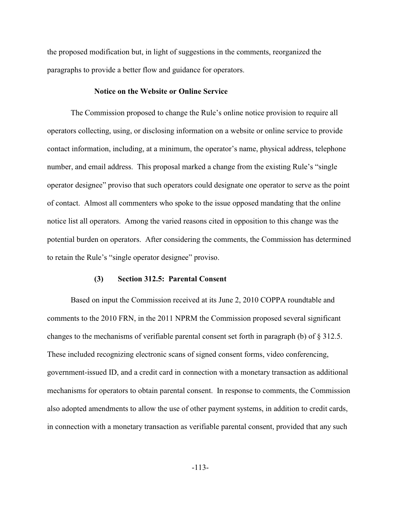the proposed modification but, in light of suggestions in the comments, reorganized the paragraphs to provide a better flow and guidance for operators.

### **Notice on the Website or Online Service**

The Commission proposed to change the Rule's online notice provision to require all operators collecting, using, or disclosing information on a website or online service to provide contact information, including, at a minimum, the operator's name, physical address, telephone number, and email address. This proposal marked a change from the existing Rule's "single" operator designee" proviso that such operators could designate one operator to serve as the point of contact. Almost all commenters who spoke to the issue opposed mandating that the online notice list all operators. Among the varied reasons cited in opposition to this change was the potential burden on operators. After considering the comments, the Commission has determined to retain the Rule's "single operator designee" proviso.

### **(3) Section 312.5: Parental Consent**

Based on input the Commission received at its June 2, 2010 COPPA roundtable and comments to the 2010 FRN, in the 2011 NPRM the Commission proposed several significant changes to the mechanisms of verifiable parental consent set forth in paragraph (b) of § 312.5. These included recognizing electronic scans of signed consent forms, video conferencing, government-issued ID, and a credit card in connection with a monetary transaction as additional mechanisms for operators to obtain parental consent. In response to comments, the Commission also adopted amendments to allow the use of other payment systems, in addition to credit cards, in connection with a monetary transaction as verifiable parental consent, provided that any such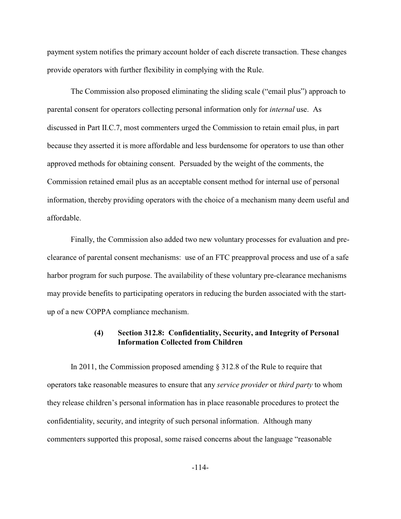payment system notifies the primary account holder of each discrete transaction. These changes provide operators with further flexibility in complying with the Rule.

The Commission also proposed eliminating the sliding scale ("email plus") approach to parental consent for operators collecting personal information only for *internal* use. As discussed in Part II.C.7, most commenters urged the Commission to retain email plus, in part because they asserted it is more affordable and less burdensome for operators to use than other approved methods for obtaining consent. Persuaded by the weight of the comments, the Commission retained email plus as an acceptable consent method for internal use of personal information, thereby providing operators with the choice of a mechanism many deem useful and affordable.

Finally, the Commission also added two new voluntary processes for evaluation and preclearance of parental consent mechanisms: use of an FTC preapproval process and use of a safe harbor program for such purpose. The availability of these voluntary pre-clearance mechanisms may provide benefits to participating operators in reducing the burden associated with the startup of a new COPPA compliance mechanism.

# **(4) Section 312.8: Confidentiality, Security, and Integrity of Personal Information Collected from Children**

In 2011, the Commission proposed amending § 312.8 of the Rule to require that operators take reasonable measures to ensure that any *service provider* or *third party* to whom they release children's personal information has in place reasonable procedures to protect the confidentiality, security, and integrity of such personal information. Although many commenters supported this proposal, some raised concerns about the language "reasonable

-114-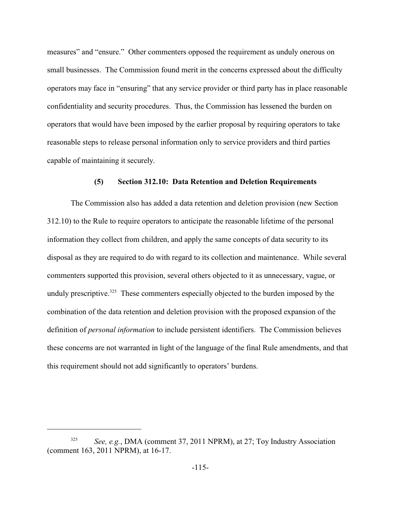measures" and "ensure." Other commenters opposed the requirement as unduly onerous on small businesses. The Commission found merit in the concerns expressed about the difficulty operators may face in "ensuring" that any service provider or third party has in place reasonable confidentiality and security procedures. Thus, the Commission has lessened the burden on operators that would have been imposed by the earlier proposal by requiring operators to take reasonable steps to release personal information only to service providers and third parties capable of maintaining it securely.

### **(5) Section 312.10: Data Retention and Deletion Requirements**

The Commission also has added a data retention and deletion provision (new Section 312.10) to the Rule to require operators to anticipate the reasonable lifetime of the personal information they collect from children, and apply the same concepts of data security to its disposal as they are required to do with regard to its collection and maintenance. While several commenters supported this provision, several others objected to it as unnecessary, vague, or unduly prescriptive.<sup>325</sup> These commenters especially objected to the burden imposed by the combination of the data retention and deletion provision with the proposed expansion of the definition of *personal information* to include persistent identifiers. The Commission believes these concerns are not warranted in light of the language of the final Rule amendments, and that this requirement should not add significantly to operators' burdens.

*See, e.g.*, DMA (comment 37, 2011 NPRM), at 27; Toy Industry Association (comment 163, 2011 NPRM), at 16-17.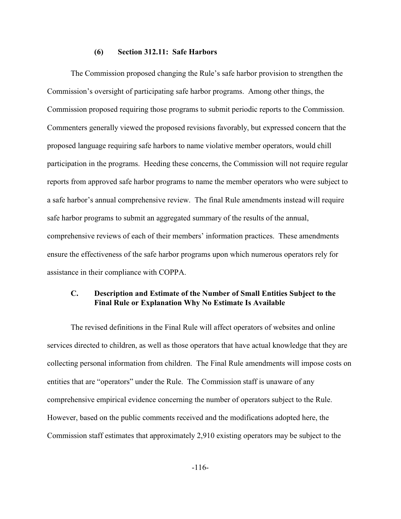#### **(6) Section 312.11: Safe Harbors**

The Commission proposed changing the Rule's safe harbor provision to strengthen the Commission's oversight of participating safe harbor programs. Among other things, the Commission proposed requiring those programs to submit periodic reports to the Commission. Commenters generally viewed the proposed revisions favorably, but expressed concern that the proposed language requiring safe harbors to name violative member operators, would chill participation in the programs. Heeding these concerns, the Commission will not require regular reports from approved safe harbor programs to name the member operators who were subject to a safe harbor's annual comprehensive review. The final Rule amendments instead will require safe harbor programs to submit an aggregated summary of the results of the annual, comprehensive reviews of each of their members' information practices. These amendments ensure the effectiveness of the safe harbor programs upon which numerous operators rely for assistance in their compliance with COPPA.

# **C. Description and Estimate of the Number of Small Entities Subject to the Final Rule or Explanation Why No Estimate Is Available**

The revised definitions in the Final Rule will affect operators of websites and online services directed to children, as well as those operators that have actual knowledge that they are collecting personal information from children. The Final Rule amendments will impose costs on entities that are "operators" under the Rule. The Commission staff is unaware of any comprehensive empirical evidence concerning the number of operators subject to the Rule. However, based on the public comments received and the modifications adopted here, the Commission staff estimates that approximately 2,910 existing operators may be subject to the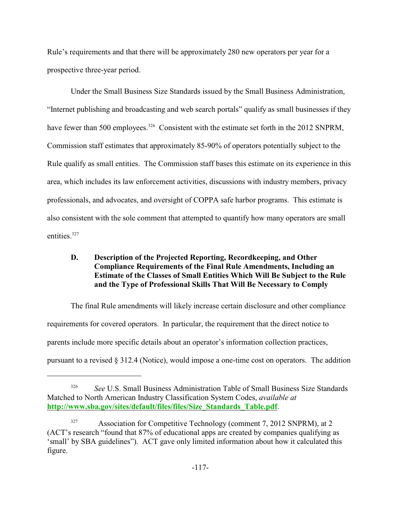Rule's requirements and that there will be approximately 280 new operators per year for a prospective three-year period.

Under the Small Business Size Standards issued by the Small Business Administration, "Internet publishing and broadcasting and web search portals" qualify as small businesses if they have fewer than 500 employees.<sup>326</sup> Consistent with the estimate set forth in the 2012 SNPRM, Commission staff estimates that approximately 85-90% of operators potentially subject to the Rule qualify as small entities. The Commission staff bases this estimate on its experience in this area, which includes its law enforcement activities, discussions with industry members, privacy professionals, and advocates, and oversight of COPPA safe harbor programs. This estimate is also consistent with the sole comment that attempted to quantify how many operators are small entities.<sup>327</sup>

# **D. Description of the Projected Reporting, Recordkeeping, and Other Compliance Requirements of the Final Rule Amendments, Including an Estimate of the Classes of Small Entities Which Will Be Subject to the Rule and the Type of Professional Skills That Will Be Necessary to Comply**

The final Rule amendments will likely increase certain disclosure and other compliance requirements for covered operators. In particular, the requirement that the direct notice to parents include more specific details about an operator's information collection practices, pursuant to a revised § 312.4 (Notice), would impose a one-time cost on operators. The addition

<sup>&</sup>lt;sup>326</sup> See U.S. Small Business Administration Table of Small Business Size Standards Matched to North American Industry Classification System Codes, *available at* **[http://www.sba.gov/sites/default/files/files/Size\\_Standards\\_Table.pdf](#page-116-0)**.

<span id="page-116-0"></span><sup>&</sup>lt;sup>327</sup> Association for Competitive Technology (comment 7, 2012 SNPRM), at 2 (ACT's research "found that 87% of educational apps are created by companies qualifying as 'small' by SBA guidelines"). ACT gave only limited information about how it calculated this figure.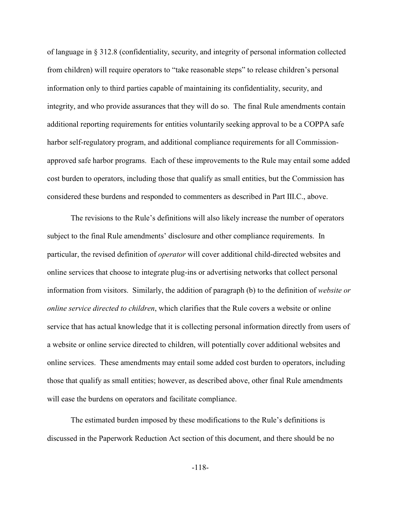of language in § 312.8 (confidentiality, security, and integrity of personal information collected from children) will require operators to "take reasonable steps" to release children's personal information only to third parties capable of maintaining its confidentiality, security, and integrity, and who provide assurances that they will do so. The final Rule amendments contain additional reporting requirements for entities voluntarily seeking approval to be a COPPA safe harbor self-regulatory program, and additional compliance requirements for all Commissionapproved safe harbor programs. Each of these improvements to the Rule may entail some added cost burden to operators, including those that qualify as small entities, but the Commission has considered these burdens and responded to commenters as described in Part III.C., above.

The revisions to the Rule's definitions will also likely increase the number of operators subject to the final Rule amendments' disclosure and other compliance requirements. In particular, the revised definition of *operator* will cover additional child-directed websites and online services that choose to integrate plug-ins or advertising networks that collect personal information from visitors. Similarly, the addition of paragraph (b) to the definition of *website or online service directed to children*, which clarifies that the Rule covers a website or online service that has actual knowledge that it is collecting personal information directly from users of a website or online service directed to children, will potentially cover additional websites and online services. These amendments may entail some added cost burden to operators, including those that qualify as small entities; however, as described above, other final Rule amendments will ease the burdens on operators and facilitate compliance.

The estimated burden imposed by these modifications to the Rule's definitions is discussed in the Paperwork Reduction Act section of this document, and there should be no

-118-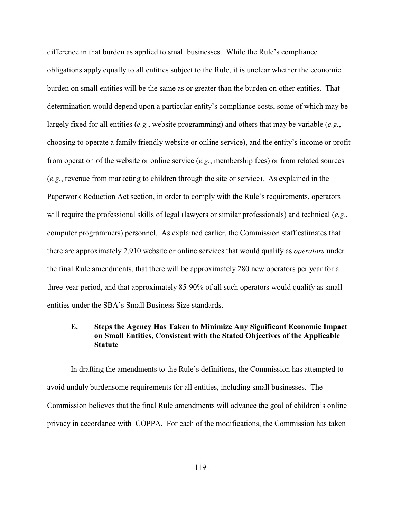difference in that burden as applied to small businesses. While the Rule's compliance obligations apply equally to all entities subject to the Rule, it is unclear whether the economic burden on small entities will be the same as or greater than the burden on other entities. That determination would depend upon a particular entity's compliance costs, some of which may be largely fixed for all entities (*e.g.*, website programming) and others that may be variable (*e.g.*, choosing to operate a family friendly website or online service), and the entity's income or profit from operation of the website or online service (*e.g.*, membership fees) or from related sources (*e.g.*, revenue from marketing to children through the site or service). As explained in the Paperwork Reduction Act section, in order to comply with the Rule's requirements, operators will require the professional skills of legal (lawyers or similar professionals) and technical (*e.g*., computer programmers) personnel. As explained earlier, the Commission staff estimates that there are approximately 2,910 website or online services that would qualify as *operators* under the final Rule amendments, that there will be approximately 280 new operators per year for a three-year period, and that approximately 85-90% of all such operators would qualify as small entities under the SBA's Small Business Size standards.

## **E. Steps the Agency Has Taken to Minimize Any Significant Economic Impact on Small Entities, Consistent with the Stated Objectives of the Applicable Statute**

In drafting the amendments to the Rule's definitions, the Commission has attempted to avoid unduly burdensome requirements for all entities, including small businesses. The Commission believes that the final Rule amendments will advance the goal of children's online privacy in accordance with COPPA. For each of the modifications, the Commission has taken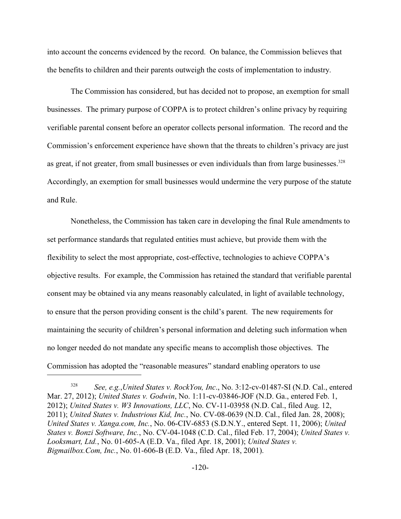into account the concerns evidenced by the record. On balance, the Commission believes that the benefits to children and their parents outweigh the costs of implementation to industry.

The Commission has considered, but has decided not to propose, an exemption for small businesses. The primary purpose of COPPA is to protect children's online privacy by requiring verifiable parental consent before an operator collects personal information. The record and the Commission's enforcement experience have shown that the threats to children's privacy are just as great, if not greater, from small businesses or even individuals than from large businesses.<sup>328</sup> Accordingly, an exemption for small businesses would undermine the very purpose of the statute and Rule.

Nonetheless, the Commission has taken care in developing the final Rule amendments to set performance standards that regulated entities must achieve, but provide them with the flexibility to select the most appropriate, cost-effective, technologies to achieve COPPA's objective results. For example, the Commission has retained the standard that verifiable parental consent may be obtained via any means reasonably calculated, in light of available technology, to ensure that the person providing consent is the child's parent. The new requirements for maintaining the security of children's personal information and deleting such information when no longer needed do not mandate any specific means to accomplish those objectives. The Commission has adopted the "reasonable measures" standard enabling operators to use

<sup>&</sup>lt;sup>328</sup> See, e.g.,*United States v. RockYou, Inc.*, No. 3:12-cv-01487-SI (N.D. Cal., entered Mar. 27, 2012); *United States v. Godwin*, No. 1:11-cv-03846-JOF (N.D. Ga., entered Feb. 1, 2012); *United States v. W3 Innovations, LLC*, No. CV-11-03958 (N.D. Cal., filed Aug. 12, 2011); *United States v. Industrious Kid, Inc.*, No. CV-08-0639 (N.D. Cal., filed Jan. 28, 2008); *United States v. Xanga.com, Inc.*, No. 06-CIV-6853 (S.D.N.Y., entered Sept. 11, 2006); *United States v. Bonzi Software, Inc.*, No. CV-04-1048 (C.D. Cal., filed Feb. 17, 2004); *United States v. Looksmart, Ltd.*, No. 01-605-A (E.D. Va., filed Apr. 18, 2001); *United States v. Bigmailbox.Com, Inc.*, No. 01-606-B (E.D. Va., filed Apr. 18, 2001).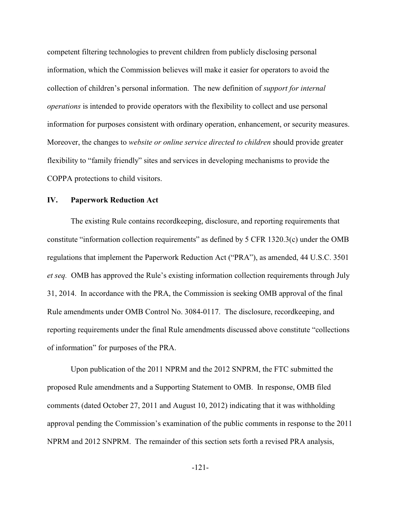competent filtering technologies to prevent children from publicly disclosing personal information, which the Commission believes will make it easier for operators to avoid the collection of children's personal information. The new definition of *support for internal operations* is intended to provide operators with the flexibility to collect and use personal information for purposes consistent with ordinary operation, enhancement, or security measures. Moreover, the changes to *website or online service directed to children* should provide greater flexibility to "family friendly" sites and services in developing mechanisms to provide the COPPA protections to child visitors.

### **IV. Paperwork Reduction Act**

The existing Rule contains recordkeeping, disclosure, and reporting requirements that constitute "information collection requirements" as defined by 5 CFR 1320.3(c) under the OMB regulations that implement the Paperwork Reduction Act ("PRA"), as amended, 44 U.S.C. 3501 *et seq.* OMB has approved the Rule's existing information collection requirements through July 31, 2014. In accordance with the PRA, the Commission is seeking OMB approval of the final Rule amendments under OMB Control No. 3084-0117. The disclosure, recordkeeping, and reporting requirements under the final Rule amendments discussed above constitute "collections of information" for purposes of the PRA.

Upon publication of the 2011 NPRM and the 2012 SNPRM, the FTC submitted the proposed Rule amendments and a Supporting Statement to OMB. In response, OMB filed comments (dated October 27, 2011 and August 10, 2012) indicating that it was withholding approval pending the Commission's examination of the public comments in response to the 2011 NPRM and 2012 SNPRM. The remainder of this section sets forth a revised PRA analysis,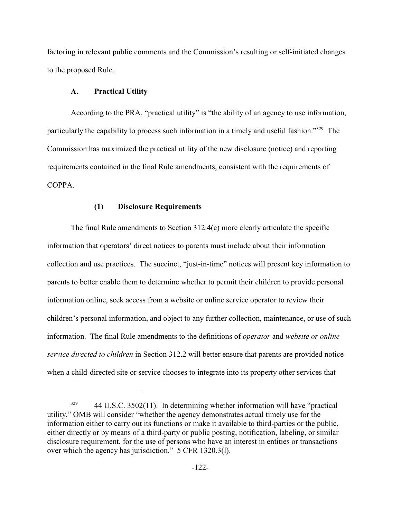factoring in relevant public comments and the Commission's resulting or self-initiated changes to the proposed Rule.

### **A. Practical Utility**

According to the PRA, "practical utility" is "the ability of an agency to use information, particularly the capability to process such information in a timely and useful fashion."<sup>329</sup> The Commission has maximized the practical utility of the new disclosure (notice) and reporting requirements contained in the final Rule amendments, consistent with the requirements of COPPA.

### **(1) Disclosure Requirements**

The final Rule amendments to Section 312.4(c) more clearly articulate the specific information that operators' direct notices to parents must include about their information collection and use practices. The succinct, "just-in-time" notices will present key information to parents to better enable them to determine whether to permit their children to provide personal information online, seek access from a website or online service operator to review their children's personal information, and object to any further collection, maintenance, or use of such information. The final Rule amendments to the definitions of *operator* and *website or online service directed to children* in Section 312.2 will better ensure that parents are provided notice when a child-directed site or service chooses to integrate into its property other services that

<sup>44</sup> U.S.C. 3502(11). In determining whether information will have "practical 329 utility," OMB will consider "whether the agency demonstrates actual timely use for the information either to carry out its functions or make it available to third-parties or the public, either directly or by means of a third-party or public posting, notification, labeling, or similar disclosure requirement, for the use of persons who have an interest in entities or transactions over which the agency has jurisdiction." 5 CFR 1320.3(l).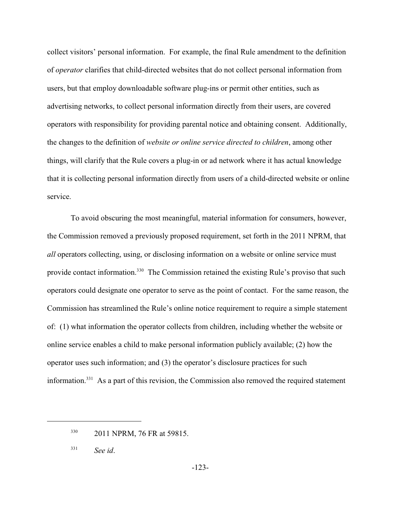collect visitors' personal information. For example, the final Rule amendment to the definition of *operator* clarifies that child-directed websites that do not collect personal information from users, but that employ downloadable software plug-ins or permit other entities, such as advertising networks, to collect personal information directly from their users, are covered operators with responsibility for providing parental notice and obtaining consent. Additionally, the changes to the definition of *website or online service directed to children*, among other things, will clarify that the Rule covers a plug-in or ad network where it has actual knowledge that it is collecting personal information directly from users of a child-directed website or online service.

To avoid obscuring the most meaningful, material information for consumers, however, the Commission removed a previously proposed requirement, set forth in the 2011 NPRM, that *all* operators collecting, using, or disclosing information on a website or online service must provide contact information.<sup>330</sup> The Commission retained the existing Rule's proviso that such operators could designate one operator to serve as the point of contact. For the same reason, the Commission has streamlined the Rule's online notice requirement to require a simple statement of: (1) what information the operator collects from children, including whether the website or online service enables a child to make personal information publicly available; (2) how the operator uses such information; and (3) the operator's disclosure practices for such information.<sup> $331$ </sup> As a part of this revision, the Commission also removed the required statement

<sup>330 2011</sup> NPRM, 76 FR at 59815.

*See id*. 331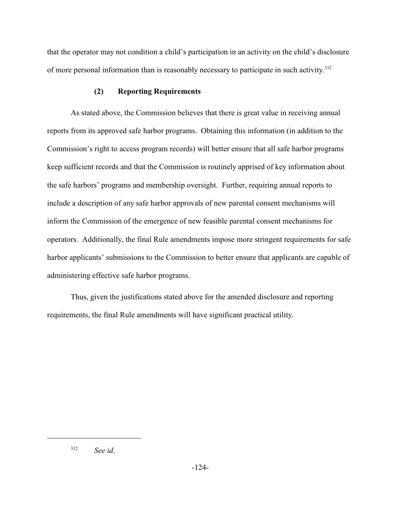that the operator may not condition a child's participation in an activity on the child's disclosure of more personal information than is reasonably necessary to participate in such activity.<sup>332</sup>

### **(2) Reporting Requirements**

As stated above, the Commission believes that there is great value in receiving annual reports from its approved safe harbor programs. Obtaining this information (in addition to the Commission's right to access program records) will better ensure that all safe harbor programs keep sufficient records and that the Commission is routinely apprised of key information about the safe harbors' programs and membership oversight. Further, requiring annual reports to include a description of any safe harbor approvals of new parental consent mechanisms will inform the Commission of the emergence of new feasible parental consent mechanisms for operators. Additionally, the final Rule amendments impose more stringent requirements for safe harbor applicants' submissions to the Commission to better ensure that applicants are capable of administering effective safe harbor programs.

Thus, given the justifications stated above for the amended disclosure and reporting requirements, the final Rule amendments will have significant practical utility.

*See id*. 332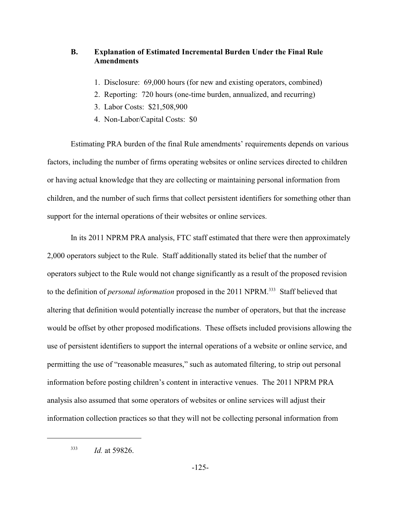# **B. Explanation of Estimated Incremental Burden Under the Final Rule Amendments**

- 1. Disclosure: 69,000 hours (for new and existing operators, combined)
- 2. Reporting: 720 hours (one-time burden, annualized, and recurring)
- 3. Labor Costs: \$21,508,900
- 4. Non-Labor/Capital Costs: \$0

Estimating PRA burden of the final Rule amendments' requirements depends on various factors, including the number of firms operating websites or online services directed to children or having actual knowledge that they are collecting or maintaining personal information from children, and the number of such firms that collect persistent identifiers for something other than support for the internal operations of their websites or online services.

In its 2011 NPRM PRA analysis, FTC staff estimated that there were then approximately 2,000 operators subject to the Rule. Staff additionally stated its belief that the number of operators subject to the Rule would not change significantly as a result of the proposed revision to the definition of *personal information* proposed in the 2011 NPRM.<sup>333</sup> Staff believed that altering that definition would potentially increase the number of operators, but that the increase would be offset by other proposed modifications. These offsets included provisions allowing the use of persistent identifiers to support the internal operations of a website or online service, and permitting the use of "reasonable measures," such as automated filtering, to strip out personal information before posting children's content in interactive venues. The 2011 NPRM PRA analysis also assumed that some operators of websites or online services will adjust their information collection practices so that they will not be collecting personal information from

 $1d.$  at 59826.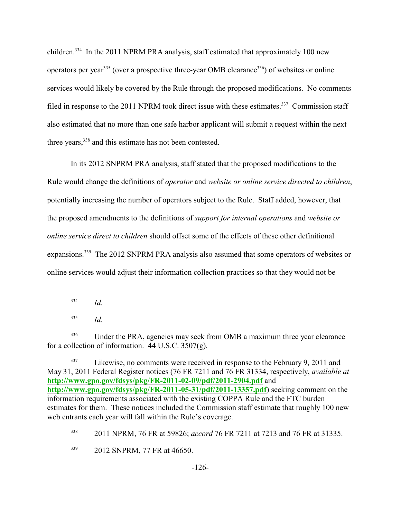children.<sup>334</sup> In the 2011 NPRM PRA analysis, staff estimated that approximately 100 new operators per year<sup>335</sup> (over a prospective three-year OMB clearance<sup>336</sup>) of websites or online services would likely be covered by the Rule through the proposed modifications. No comments filed in response to the 2011 NPRM took direct issue with these estimates.<sup>337</sup> Commission staff also estimated that no more than one safe harbor applicant will submit a request within the next three years,  $338$  and this estimate has not been contested.

In its 2012 SNPRM PRA analysis, staff stated that the proposed modifications to the Rule would change the definitions of *operator* and *website or online service directed to children*, potentially increasing the number of operators subject to the Rule. Staff added, however, that the proposed amendments to the definitions of *support for internal operations* and *website or online service direct to children* should offset some of the effects of these other definitional expansions.<sup>339</sup> The 2012 SNPRM PRA analysis also assumed that some operators of websites or online services would adjust their information collection practices so that they would not be

 $^{334}$  *Id.* 

*Id.* <sup>335</sup>

Under the PRA, agencies may seek from OMB a maximum three year clearance 336 for a collection of information.  $44$  U.S.C.  $3507(g)$ .

<sup>&</sup>lt;sup>337</sup> Likewise, no comments were received in response to the February 9, 2011 and May 31, 2011 Federal Register notices (76 FR 7211 and 76 FR 31334, respectively, *available at* **<http://www.gpo.gov/fdsys/pkg/FR-2011-02-09/pdf/2011-2904.pdf>** and **<http://www.gpo.gov/fdsys/pkg/FR-2011-05-31/pdf/2011-13357.pdf>**) seeking comment on the information requirements associated with the existing COPPA Rule and the FTC burden estimates for them. These notices included the Commission staff estimate that roughly 100 new web entrants each year will fall within the Rule's coverage.

<sup>&</sup>lt;sup>338</sup> 2011 NPRM, 76 FR at 59826; *accord* 76 FR 7211 at 7213 and 76 FR at 31335.

<sup>&</sup>lt;sup>339</sup> 2012 SNPRM, 77 FR at 46650.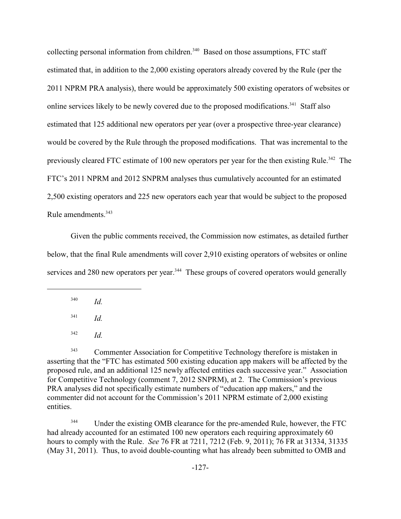collecting personal information from children.<sup>340</sup> Based on those assumptions, FTC staff estimated that, in addition to the 2,000 existing operators already covered by the Rule (per the 2011 NPRM PRA analysis), there would be approximately 500 existing operators of websites or online services likely to be newly covered due to the proposed modifications.<sup>341</sup> Staff also estimated that 125 additional new operators per year (over a prospective three-year clearance) would be covered by the Rule through the proposed modifications. That was incremental to the previously cleared FTC estimate of 100 new operators per year for the then existing Rule.<sup>342</sup> The FTC's 2011 NPRM and 2012 SNPRM analyses thus cumulatively accounted for an estimated 2,500 existing operators and 225 new operators each year that would be subject to the proposed Rule amendments. 343

Given the public comments received, the Commission now estimates, as detailed further below, that the final Rule amendments will cover 2,910 existing operators of websites or online services and 280 new operators per year.<sup>344</sup> These groups of covered operators would generally

 $^{340}$  *Id.* 

 $^{341}$  *Id.* 

*Id.* <sup>342</sup>

<sup>343</sup> Commenter Association for Competitive Technology therefore is mistaken in asserting that the "FTC has estimated 500 existing education app makers will be affected by the proposed rule, and an additional 125 newly affected entities each successive year." Association for Competitive Technology (comment 7, 2012 SNPRM), at 2. The Commission's previous PRA analyses did not specifically estimate numbers of "education app makers," and the commenter did not account for the Commission's 2011 NPRM estimate of 2,000 existing entities.

<sup>344</sup> Under the existing OMB clearance for the pre-amended Rule, however, the FTC had already accounted for an estimated 100 new operators each requiring approximately 60 hours to comply with the Rule. *See* 76 FR at 7211, 7212 (Feb. 9, 2011); 76 FR at 31334, 31335 (May 31, 2011). Thus, to avoid double-counting what has already been submitted to OMB and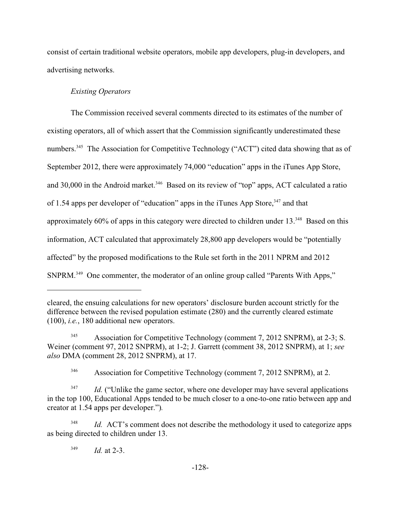consist of certain traditional website operators, mobile app developers, plug-in developers, and advertising networks.

# *Existing Operators*

The Commission received several comments directed to its estimates of the number of existing operators, all of which assert that the Commission significantly underestimated these numbers.<sup>345</sup> The Association for Competitive Technology ("ACT") cited data showing that as of September 2012, there were approximately 74,000 "education" apps in the iTunes App Store, and 30,000 in the Android market.<sup>346</sup> Based on its review of "top" apps, ACT calculated a ratio of 1.54 apps per developer of "education" apps in the iTunes App Store,  $347$  and that approximately  $60\%$  of apps in this category were directed to children under 13. $348$  Based on this information, ACT calculated that approximately 28,800 app developers would be "potentially affected" by the proposed modifications to the Rule set forth in the 2011 NPRM and 2012  $SNPRM.<sup>349</sup>$  One commenter, the moderator of an online group called "Parents With Apps,"

Association for Competitive Technology (comment 7, 2012 SNPRM), at 2-3; S. 345 Weiner (comment 97, 2012 SNPRM), at 1-2; J. Garrett (comment 38, 2012 SNPRM), at 1; *see also* DMA (comment 28, 2012 SNPRM), at 17.

<sup>346</sup> Association for Competitive Technology (comment 7, 2012 SNPRM), at 2.

 $I_{d}$ . ("Unlike the game sector, where one developer may have several applications in the top 100, Educational Apps tended to be much closer to a one-to-one ratio between app and creator at 1.54 apps per developer.")*.*

<sup>348</sup> *Id.* ACT's comment does not describe the methodology it used to categorize apps as being directed to children under 13.

 $^{349}$  *Id.* at 2-3.

cleared, the ensuing calculations for new operators' disclosure burden account strictly for the difference between the revised population estimate (280) and the currently cleared estimate (100), *i.e.*, 180 additional new operators.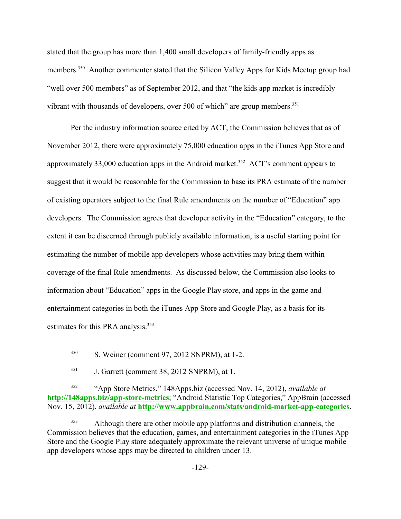stated that the group has more than 1,400 small developers of family-friendly apps as members.<sup>350</sup> Another commenter stated that the Silicon Valley Apps for Kids Meetup group had "well over 500 members" as of September 2012, and that "the kids app market is incredibly vibrant with thousands of developers, over 500 of which" are group members.<sup>351</sup>

Per the industry information source cited by ACT, the Commission believes that as of November 2012, there were approximately 75,000 education apps in the iTunes App Store and approximately 33,000 education apps in the Android market.<sup>352</sup> ACT's comment appears to suggest that it would be reasonable for the Commission to base its PRA estimate of the number of existing operators subject to the final Rule amendments on the number of "Education" app developers. The Commission agrees that developer activity in the "Education" category, to the extent it can be discerned through publicly available information, is a useful starting point for estimating the number of mobile app developers whose activities may bring them within coverage of the final Rule amendments. As discussed below, the Commission also looks to information about "Education" apps in the Google Play store, and apps in the game and entertainment categories in both the iTunes App Store and Google Play, as a basis for its estimates for this PRA analysis.<sup>353</sup>

<sup>352</sup> "App Store Metrics," 148Apps.biz (accessed Nov. 14, 2012), *available at* **[http://148apps.biz/app-store-metrics](http://148apps.bix/app-store-metrics;)**; "Android Statistic Top Categories," AppBrain (accessed Nov. 15, 2012), *available at* **<http://www.appbrain.com/stats/android-market-app-categories>**.

<sup>353</sup> Although there are other mobile app platforms and distribution channels, the Commission believes that the education, games, and entertainment categories in the iTunes App Store and the Google Play store adequately approximate the relevant universe of unique mobile app developers whose apps may be directed to children under 13.

 $S<sub>350</sub>$  S. Weiner (comment 97, 2012 SNPRM), at 1-2.

 $J.$  Garrett (comment 38, 2012 SNPRM), at 1.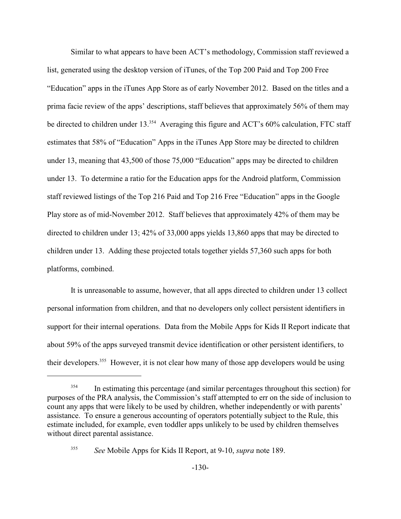Similar to what appears to have been ACT's methodology, Commission staff reviewed a list, generated using the desktop version of iTunes, of the Top 200 Paid and Top 200 Free "Education" apps in the iTunes App Store as of early November 2012. Based on the titles and a prima facie review of the apps' descriptions, staff believes that approximately 56% of them may be directed to children under 13. $354$  Averaging this figure and ACT's 60% calculation, FTC staff estimates that 58% of "Education" Apps in the iTunes App Store may be directed to children under 13, meaning that 43,500 of those 75,000 "Education" apps may be directed to children under 13. To determine a ratio for the Education apps for the Android platform, Commission staff reviewed listings of the Top 216 Paid and Top 216 Free "Education" apps in the Google Play store as of mid-November 2012. Staff believes that approximately 42% of them may be directed to children under 13; 42% of 33,000 apps yields 13,860 apps that may be directed to children under 13. Adding these projected totals together yields 57,360 such apps for both platforms, combined.

It is unreasonable to assume, however, that all apps directed to children under 13 collect personal information from children, and that no developers only collect persistent identifiers in support for their internal operations. Data from the Mobile Apps for Kids II Report indicate that about 59% of the apps surveyed transmit device identification or other persistent identifiers, to their developers.<sup>355</sup> However, it is not clear how many of those app developers would be using

<sup>&</sup>lt;sup>354</sup> In estimating this percentage (and similar percentages throughout this section) for purposes of the PRA analysis, the Commission's staff attempted to err on the side of inclusion to count any apps that were likely to be used by children, whether independently or with parents' assistance. To ensure a generous accounting of operators potentially subject to the Rule, this estimate included, for example, even toddler apps unlikely to be used by children themselves without direct parental assistance.

*See* Mobile Apps for Kids II Report, at 9-10, *supra* note 189. <sup>355</sup>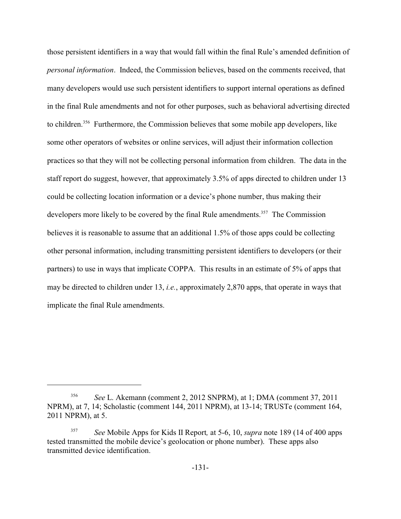those persistent identifiers in a way that would fall within the final Rule's amended definition of *personal information*. Indeed, the Commission believes, based on the comments received, that many developers would use such persistent identifiers to support internal operations as defined in the final Rule amendments and not for other purposes, such as behavioral advertising directed to children.<sup>356</sup> Furthermore, the Commission believes that some mobile app developers, like some other operators of websites or online services, will adjust their information collection practices so that they will not be collecting personal information from children. The data in the staff report do suggest, however, that approximately 3.5% of apps directed to children under 13 could be collecting location information or a device's phone number, thus making their developers more likely to be covered by the final Rule amendments.<sup>357</sup> The Commission believes it is reasonable to assume that an additional 1.5% of those apps could be collecting other personal information, including transmitting persistent identifiers to developers (or their partners) to use in ways that implicate COPPA. This results in an estimate of 5% of apps that may be directed to children under 13, *i.e.*, approximately 2,870 apps, that operate in ways that implicate the final Rule amendments.

<sup>&</sup>lt;sup>356</sup> See L. Akemann (comment 2, 2012 SNPRM), at 1; DMA (comment 37, 2011) NPRM), at 7, 14; Scholastic (comment 144, 2011 NPRM), at 13-14; TRUSTe (comment 164, 2011 NPRM), at 5.

*See* Mobile Apps for Kids II Report*,* at 5-6, 10, *supra* note 189 (14 of 400 apps <sup>357</sup> tested transmitted the mobile device's geolocation or phone number). These apps also transmitted device identification.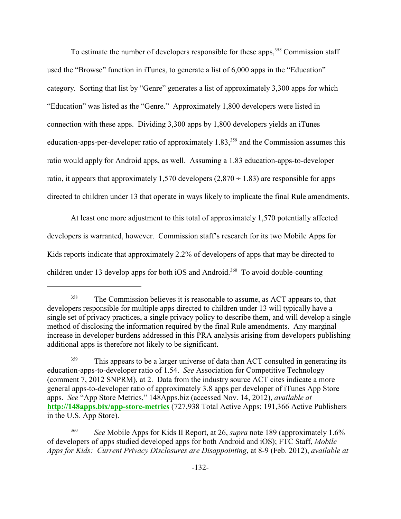To estimate the number of developers responsible for these apps,<sup>358</sup> Commission staff used the "Browse" function in iTunes, to generate a list of 6,000 apps in the "Education" category. Sorting that list by "Genre" generates a list of approximately 3,300 apps for which "Education" was listed as the "Genre." Approximately 1,800 developers were listed in connection with these apps. Dividing 3,300 apps by 1,800 developers yields an iTunes education-apps-per-developer ratio of approximately  $1.83$ ,<sup>359</sup> and the Commission assumes this ratio would apply for Android apps, as well. Assuming a 1.83 education-apps-to-developer ratio, it appears that approximately 1,570 developers (2,870  $\div$  1.83) are responsible for apps directed to children under 13 that operate in ways likely to implicate the final Rule amendments.

At least one more adjustment to this total of approximately 1,570 potentially affected developers is warranted, however. Commission staff's research for its two Mobile Apps for Kids reports indicate that approximately 2.2% of developers of apps that may be directed to children under 13 develop apps for both iOS and Android.<sup>360</sup> To avoid double-counting

<sup>&</sup>lt;sup>358</sup> The Commission believes it is reasonable to assume, as ACT appears to, that developers responsible for multiple apps directed to children under 13 will typically have a single set of privacy practices, a single privacy policy to describe them, and will develop a single method of disclosing the information required by the final Rule amendments. Any marginal increase in developer burdens addressed in this PRA analysis arising from developers publishing additional apps is therefore not likely to be significant.

<sup>&</sup>lt;sup>359</sup> This appears to be a larger universe of data than ACT consulted in generating its education-apps-to-developer ratio of 1.54. *See* Association for Competitive Technology (comment 7, 2012 SNPRM), at 2. Data from the industry source ACT cites indicate a more general apps-to-developer ratio of approximately 3.8 apps per developer of iTunes App Store apps. *See* "App Store Metrics," 148Apps.biz (accessed Nov. 14, 2012), *available at* **[http://148apps.bix/app-store-metrics](http://148apps.bix/app-store-metrics;)** (727,938 Total Active Apps; 191,366 Active Publishers in the U.S. App Store).

<sup>360</sup> *See* Mobile Apps for Kids II Report, at 26, *supra* note 189 (approximately 1.6% of developers of apps studied developed apps for both Android and iOS); FTC Staff, *Mobile Apps for Kids: Current Privacy Disclosures are Disappointing*, at 8-9 (Feb. 2012), *available at*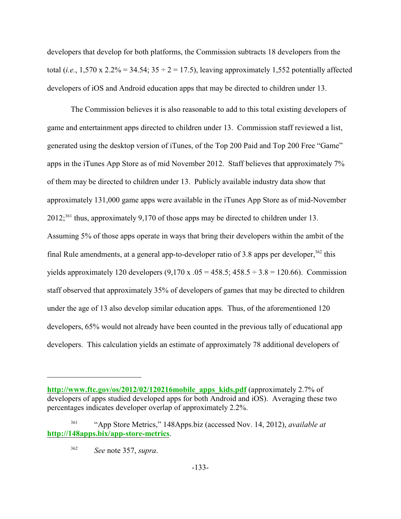developers that develop for both platforms, the Commission subtracts 18 developers from the total (*i.e.*, 1,570 x 2.2% = 34.54;  $35 \div 2 = 17.5$ ), leaving approximately 1,552 potentially affected developers of iOS and Android education apps that may be directed to children under 13.

The Commission believes it is also reasonable to add to this total existing developers of game and entertainment apps directed to children under 13. Commission staff reviewed a list, generated using the desktop version of iTunes, of the Top 200 Paid and Top 200 Free "Game" apps in the iTunes App Store as of mid November 2012. Staff believes that approximately 7% of them may be directed to children under 13. Publicly available industry data show that approximately 131,000 game apps were available in the iTunes App Store as of mid-November  $2012$ <sup>361</sup> thus, approximately 9,170 of those apps may be directed to children under 13. Assuming 5% of those apps operate in ways that bring their developers within the ambit of the final Rule amendments, at a general app-to-developer ratio of 3.8 apps per developer,  $362$  this yields approximately 120 developers  $(9,170 \text{ x } .05 = 458.5; 458.5 \div 3.8 = 120.66)$ . Commission staff observed that approximately 35% of developers of games that may be directed to children under the age of 13 also develop similar education apps. Thus, of the aforementioned 120 developers, 65% would not already have been counted in the previous tally of educational app developers. This calculation yields an estimate of approximately 78 additional developers of

**[http://www.ftc.gov/os/2012/02/120216mobile\\_apps\\_kids.pdf](http://www.ftc.gov/os/2012/02/120216mobile_apps_kids.pdf)** (approximately 2.7% of developers of apps studied developed apps for both Android and iOS). Averaging these two percentages indicates developer overlap of approximately 2.2%.

<sup>&</sup>lt;sup>361</sup> "App Store Metrics," 148Apps.biz (accessed Nov. 14, 2012), *available at* **[http://148apps.bix/app-store-metrics](http://148apps.bix/app-store-metrics;)**.

*See* note 357, *supra*. 362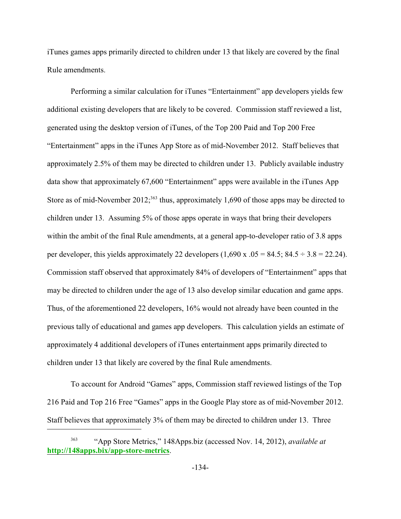iTunes games apps primarily directed to children under 13 that likely are covered by the final Rule amendments.

Performing a similar calculation for iTunes "Entertainment" app developers yields few additional existing developers that are likely to be covered. Commission staff reviewed a list, generated using the desktop version of iTunes, of the Top 200 Paid and Top 200 Free "Entertainment" apps in the iTunes App Store as of mid-November 2012. Staff believes that approximately 2.5% of them may be directed to children under 13. Publicly available industry data show that approximately 67,600 "Entertainment" apps were available in the iTunes App Store as of mid-November 2012;<sup>363</sup> thus, approximately 1,690 of those apps may be directed to children under 13. Assuming 5% of those apps operate in ways that bring their developers within the ambit of the final Rule amendments, at a general app-to-developer ratio of 3.8 apps per developer, this yields approximately 22 developers  $(1,690 \text{ x } .05 = 84.5; 84.5 \div 3.8 = 22.24)$ . Commission staff observed that approximately 84% of developers of "Entertainment" apps that may be directed to children under the age of 13 also develop similar education and game apps. Thus, of the aforementioned 22 developers, 16% would not already have been counted in the previous tally of educational and games app developers. This calculation yields an estimate of approximately 4 additional developers of iTunes entertainment apps primarily directed to children under 13 that likely are covered by the final Rule amendments.

To account for Android "Games" apps, Commission staff reviewed listings of the Top 216 Paid and Top 216 Free "Games" apps in the Google Play store as of mid-November 2012. Staff believes that approximately 3% of them may be directed to children under 13. Three

<sup>&</sup>quot;App Store Metrics," 148Apps.biz (accessed Nov. 14, 2012), *available at* <sup>363</sup> **[http://148apps.bix/app-store-metrics](http://148apps.bix/app-store-metrics;)**.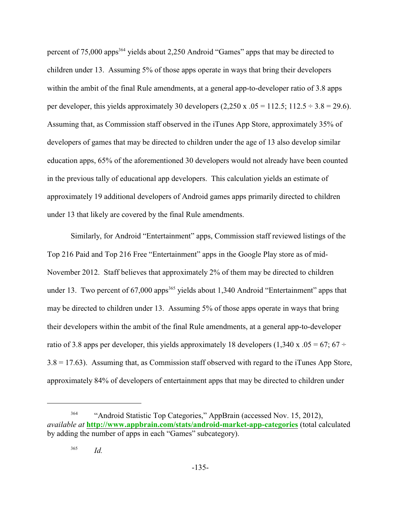percent of 75,000 apps<sup>364</sup> yields about 2,250 Android "Games" apps that may be directed to children under 13. Assuming 5% of those apps operate in ways that bring their developers within the ambit of the final Rule amendments, at a general app-to-developer ratio of 3.8 apps per developer, this yields approximately 30 developers  $(2,250 \text{ x } .05 = 112.5; 112.5 \div 3.8 = 29.6)$ . Assuming that, as Commission staff observed in the iTunes App Store, approximately 35% of developers of games that may be directed to children under the age of 13 also develop similar education apps, 65% of the aforementioned 30 developers would not already have been counted in the previous tally of educational app developers. This calculation yields an estimate of approximately 19 additional developers of Android games apps primarily directed to children under 13 that likely are covered by the final Rule amendments.

Similarly, for Android "Entertainment" apps, Commission staff reviewed listings of the Top 216 Paid and Top 216 Free "Entertainment" apps in the Google Play store as of mid-November 2012. Staff believes that approximately 2% of them may be directed to children under 13. Two percent of  $67,000$  apps<sup>365</sup> yields about 1,340 Android "Entertainment" apps that may be directed to children under 13. Assuming 5% of those apps operate in ways that bring their developers within the ambit of the final Rule amendments, at a general app-to-developer ratio of 3.8 apps per developer, this yields approximately 18 developers (1,340 x .05 = 67; 67  $\div$  $3.8 = 17.63$ ). Assuming that, as Commission staff observed with regard to the iTunes App Store, approximately 84% of developers of entertainment apps that may be directed to children under

<sup>&</sup>lt;sup>364</sup> "Android Statistic Top Categories," AppBrain (accessed Nov. 15, 2012), *available at* **<http://www.appbrain.com/stats/android-market-app-categories>** (total calculated by adding the number of apps in each "Games" subcategory).

*Id.* <sup>365</sup>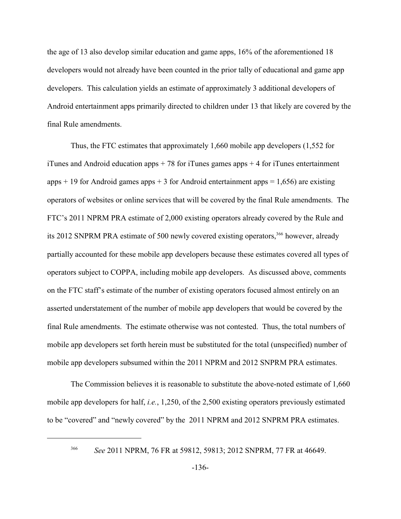the age of 13 also develop similar education and game apps, 16% of the aforementioned 18 developers would not already have been counted in the prior tally of educational and game app developers. This calculation yields an estimate of approximately 3 additional developers of Android entertainment apps primarily directed to children under 13 that likely are covered by the final Rule amendments.

Thus, the FTC estimates that approximately 1,660 mobile app developers (1,552 for iTunes and Android education apps  $+78$  for iTunes games apps  $+4$  for iTunes entertainment apps  $+ 19$  for Android games apps  $+ 3$  for Android entertainment apps  $= 1,656$ ) are existing operators of websites or online services that will be covered by the final Rule amendments. The FTC's 2011 NPRM PRA estimate of 2,000 existing operators already covered by the Rule and its 2012 SNPRM PRA estimate of 500 newly covered existing operators,  $366$  however, already partially accounted for these mobile app developers because these estimates covered all types of operators subject to COPPA, including mobile app developers. As discussed above, comments on the FTC staff's estimate of the number of existing operators focused almost entirely on an asserted understatement of the number of mobile app developers that would be covered by the final Rule amendments. The estimate otherwise was not contested. Thus, the total numbers of mobile app developers set forth herein must be substituted for the total (unspecified) number of mobile app developers subsumed within the 2011 NPRM and 2012 SNPRM PRA estimates.

The Commission believes it is reasonable to substitute the above-noted estimate of 1,660 mobile app developers for half, *i.e.*, 1,250, of the 2,500 existing operators previously estimated to be "covered" and "newly covered" by the 2011 NPRM and 2012 SNPRM PRA estimates.

<sup>&</sup>lt;sup>366</sup> See 2011 NPRM, 76 FR at 59812, 59813; 2012 SNPRM, 77 FR at 46649.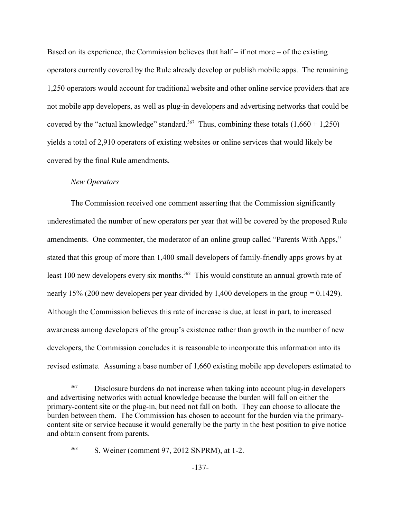Based on its experience, the Commission believes that half  $-$  if not more  $-$  of the existing operators currently covered by the Rule already develop or publish mobile apps. The remaining 1,250 operators would account for traditional website and other online service providers that are not mobile app developers, as well as plug-in developers and advertising networks that could be covered by the "actual knowledge" standard.<sup>367</sup> Thus, combining these totals  $(1,660 + 1,250)$ yields a total of 2,910 operators of existing websites or online services that would likely be covered by the final Rule amendments.

### *New Operators*

The Commission received one comment asserting that the Commission significantly underestimated the number of new operators per year that will be covered by the proposed Rule amendments. One commenter, the moderator of an online group called "Parents With Apps," stated that this group of more than 1,400 small developers of family-friendly apps grows by at least 100 new developers every six months.<sup>368</sup> This would constitute an annual growth rate of nearly 15% (200 new developers per year divided by 1,400 developers in the group = 0.1429). Although the Commission believes this rate of increase is due, at least in part, to increased awareness among developers of the group's existence rather than growth in the number of new developers, the Commission concludes it is reasonable to incorporate this information into its revised estimate. Assuming a base number of 1,660 existing mobile app developers estimated to

Disclosure burdens do not increase when taking into account plug-in developers and advertising networks with actual knowledge because the burden will fall on either the primary-content site or the plug-in, but need not fall on both. They can choose to allocate the burden between them. The Commission has chosen to account for the burden via the primarycontent site or service because it would generally be the party in the best position to give notice and obtain consent from parents.

<sup>&</sup>lt;sup>368</sup> S. Weiner (comment 97, 2012 SNPRM), at 1-2.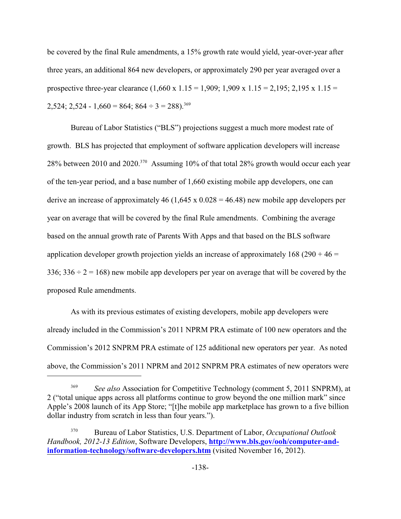be covered by the final Rule amendments, a 15% growth rate would yield, year-over-year after three years, an additional 864 new developers, or approximately 290 per year averaged over a prospective three-year clearance  $(1,660 \times 1.15 = 1,909; 1,909 \times 1.15 = 2,195; 2,195 \times 1.15 =$  $2,524$ ;  $2,524 - 1,660 = 864$ ;  $864 \div 3 = 288$ ).<sup>369</sup>

Bureau of Labor Statistics ("BLS") projections suggest a much more modest rate of growth. BLS has projected that employment of software application developers will increase 28% between 2010 and 2020.<sup>370</sup> Assuming 10% of that total 28% growth would occur each year of the ten-year period, and a base number of 1,660 existing mobile app developers, one can derive an increase of approximately 46  $(1,645 \times 0.028 = 46.48)$  new mobile app developers per year on average that will be covered by the final Rule amendments. Combining the average based on the annual growth rate of Parents With Apps and that based on the BLS software application developer growth projection yields an increase of approximately  $168 (290 + 46 =$ 336;  $336 \div 2 = 168$ ) new mobile app developers per year on average that will be covered by the proposed Rule amendments.

As with its previous estimates of existing developers, mobile app developers were already included in the Commission's 2011 NPRM PRA estimate of 100 new operators and the Commission's 2012 SNPRM PRA estimate of 125 additional new operators per year. As noted above, the Commission's 2011 NPRM and 2012 SNPRM PRA estimates of new operators were

*See also* Association for Competitive Technology (comment 5, 2011 SNPRM), at 2 ("total unique apps across all platforms continue to grow beyond the one million mark" since Apple's 2008 launch of its App Store; "[t]he mobile app marketplace has grown to a five billion dollar industry from scratch in less than four years.").

Bureau of Labor Statistics, U.S. Department of Labor, *Occupational Outlook* <sup>370</sup> *Handbook, 2012-13 Edition*, Software Developers, **[http://www.bls.gov/ooh/computer-and](http://www.bls.gov/ooh/computer-and-information-technology/software-developers.htm)[information-technology/software-developers.htm](http://www.bls.gov/ooh/computer-and-information-technology/software-developers.htm)** (visited November 16, 2012).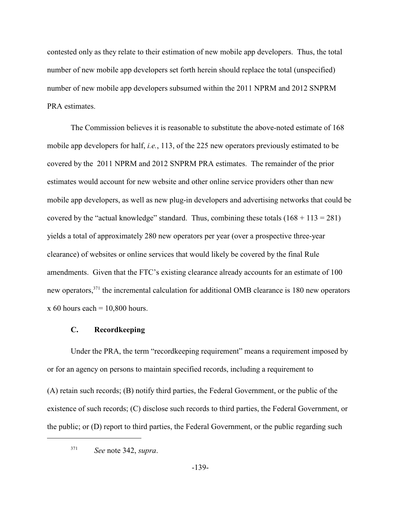contested only as they relate to their estimation of new mobile app developers. Thus, the total number of new mobile app developers set forth herein should replace the total (unspecified) number of new mobile app developers subsumed within the 2011 NPRM and 2012 SNPRM PRA estimates.

The Commission believes it is reasonable to substitute the above-noted estimate of 168 mobile app developers for half, *i.e.*, 113, of the 225 new operators previously estimated to be covered by the 2011 NPRM and 2012 SNPRM PRA estimates. The remainder of the prior estimates would account for new website and other online service providers other than new mobile app developers, as well as new plug-in developers and advertising networks that could be covered by the "actual knowledge" standard. Thus, combining these totals  $(168 + 113 = 281)$ yields a total of approximately 280 new operators per year (over a prospective three-year clearance) of websites or online services that would likely be covered by the final Rule amendments. Given that the FTC's existing clearance already accounts for an estimate of 100 new operators,  $371$  the incremental calculation for additional OMB clearance is 180 new operators  $x 60$  hours each = 10,800 hours.

### **C. Recordkeeping**

Under the PRA, the term "recordkeeping requirement" means a requirement imposed by or for an agency on persons to maintain specified records, including a requirement to (A) retain such records; (B) notify third parties, the Federal Government, or the public of the existence of such records; (C) disclose such records to third parties, the Federal Government, or the public; or (D) report to third parties, the Federal Government, or the public regarding such

*See* note 342, *supra*. 371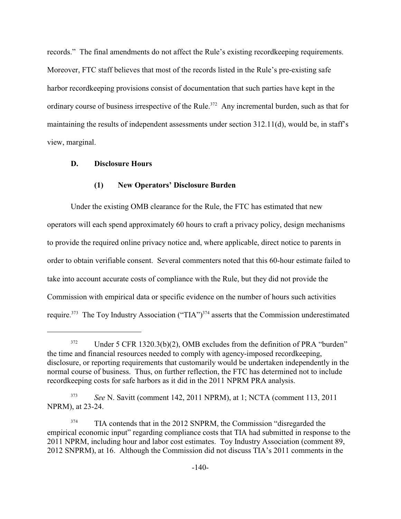records." The final amendments do not affect the Rule's existing recordkeeping requirements. Moreover, FTC staff believes that most of the records listed in the Rule's pre-existing safe harbor recordkeeping provisions consist of documentation that such parties have kept in the ordinary course of business irrespective of the Rule.<sup> $372$ </sup> Any incremental burden, such as that for maintaining the results of independent assessments under section 312.11(d), would be, in staff's view, marginal.

### **D. Disclosure Hours**

### **(1) New Operators' Disclosure Burden**

Under the existing OMB clearance for the Rule, the FTC has estimated that new operators will each spend approximately 60 hours to craft a privacy policy, design mechanisms to provide the required online privacy notice and, where applicable, direct notice to parents in order to obtain verifiable consent. Several commenters noted that this 60-hour estimate failed to take into account accurate costs of compliance with the Rule, but they did not provide the Commission with empirical data or specific evidence on the number of hours such activities require.<sup>373</sup> The Toy Industry Association ("TIA")<sup>374</sup> asserts that the Commission underestimated

 $372$  Under 5 CFR 1320.3(b)(2), OMB excludes from the definition of PRA "burden" the time and financial resources needed to comply with agency-imposed recordkeeping, disclosure, or reporting requirements that customarily would be undertaken independently in the normal course of business. Thus, on further reflection, the FTC has determined not to include recordkeeping costs for safe harbors as it did in the 2011 NPRM PRA analysis.

<sup>&</sup>lt;sup>373</sup> *See* N. Savitt (comment 142, 2011 NPRM), at 1; NCTA (comment 113, 2011 NPRM), at 23-24.

<sup>&</sup>lt;sup>374</sup> TIA contends that in the 2012 SNPRM, the Commission "disregarded the empirical economic input" regarding compliance costs that TIA had submitted in response to the 2011 NPRM, including hour and labor cost estimates. Toy Industry Association (comment 89, 2012 SNPRM), at 16. Although the Commission did not discuss TIA's 2011 comments in the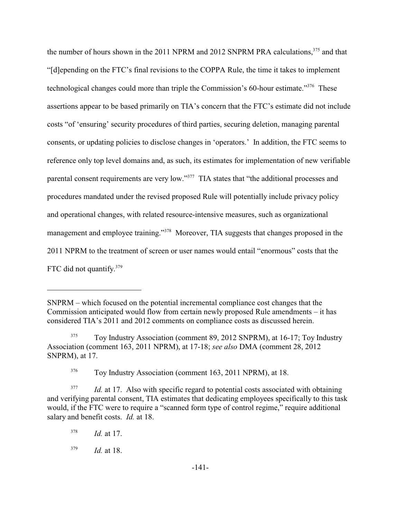the number of hours shown in the 2011 NPRM and 2012 SNPRM PRA calculations,  $375$  and that "[d]epending on the FTC's final revisions to the COPPA Rule, the time it takes to implement technological changes could more than triple the Commission's 60-hour estimate."<sup>376</sup> These assertions appear to be based primarily on TIA's concern that the FTC's estimate did not include costs "of 'ensuring' security procedures of third parties, securing deletion, managing parental consents, or updating policies to disclose changes in 'operators.' In addition, the FTC seems to reference only top level domains and, as such, its estimates for implementation of new verifiable parental consent requirements are very low."<sup>377</sup> TIA states that "the additional processes and procedures mandated under the revised proposed Rule will potentially include privacy policy and operational changes, with related resource-intensive measures, such as organizational management and employee training."<sup>378</sup> Moreover, TIA suggests that changes proposed in the 2011 NPRM to the treatment of screen or user names would entail "enormous" costs that the FTC did not quantify.379

SNPRM – which focused on the potential incremental compliance cost changes that the Commission anticipated would flow from certain newly proposed Rule amendments – it has considered TIA's 2011 and 2012 comments on compliance costs as discussed herein.

Toy Industry Association (comment 89, 2012 SNPRM), at 16-17; Toy Industry <sup>375</sup> Association (comment 163, 2011 NPRM), at 17-18; *see also* DMA (comment 28, 2012 SNPRM), at 17.

<sup>&</sup>lt;sup>376</sup> Toy Industry Association (comment 163, 2011 NPRM), at 18.

<sup>&</sup>lt;sup>377</sup> *Id.* at 17. Also with specific regard to potential costs associated with obtaining and verifying parental consent, TIA estimates that dedicating employees specifically to this task would, if the FTC were to require a "scanned form type of control regime," require additional salary and benefit costs. *Id.* at 18.

 $^{378}$  *Id.* at 17.

 $^{379}$  *Id.* at 18.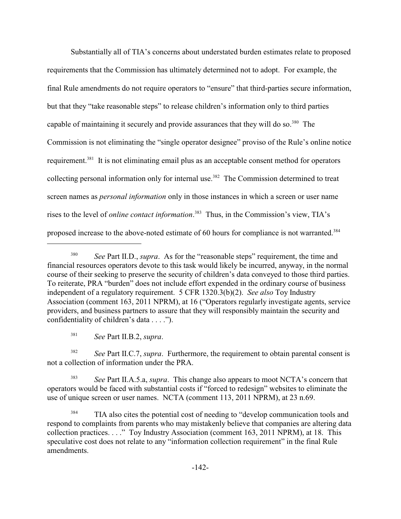Substantially all of TIA's concerns about understated burden estimates relate to proposed requirements that the Commission has ultimately determined not to adopt. For example, the final Rule amendments do not require operators to "ensure" that third-parties secure information, but that they "take reasonable steps" to release children's information only to third parties capable of maintaining it securely and provide assurances that they will do so.<sup>380</sup> The Commission is not eliminating the "single operator designee" proviso of the Rule's online notice requirement.<sup>381</sup> It is not eliminating email plus as an acceptable consent method for operators collecting personal information only for internal use.<sup>382</sup> The Commission determined to treat screen names as *personal information* only in those instances in which a screen or user name rises to the level of *online contact information*.<sup>383</sup> Thus, in the Commission's view, TIA's proposed increase to the above-noted estimate of 60 hours for compliance is not warranted.<sup>384</sup>

*See* Part II.B.2, *supra*. 381

*See* Part II.C.7, *supra*. Furthermore, the requirement to obtain parental consent is 382 not a collection of information under the PRA.

<sup>383</sup> See Part II.A.5.a, *supra*. This change also appears to moot NCTA's concern that operators would be faced with substantial costs if "forced to redesign" websites to eliminate the use of unique screen or user names. NCTA (comment 113, 2011 NPRM), at 23 n.69.

<sup>384</sup> TIA also cites the potential cost of needing to "develop communication tools and respond to complaints from parents who may mistakenly believe that companies are altering data collection practices. . . ." Toy Industry Association (comment 163, 2011 NPRM), at 18. This speculative cost does not relate to any "information collection requirement" in the final Rule amendments.

<sup>&</sup>lt;sup>380</sup> See Part II.D., *supra*. As for the "reasonable steps" requirement, the time and financial resources operators devote to this task would likely be incurred, anyway, in the normal course of their seeking to preserve the security of children's data conveyed to those third parties. To reiterate, PRA "burden" does not include effort expended in the ordinary course of business independent of a regulatory requirement. 5 CFR 1320.3(b)(2). *See also* Toy Industry Association (comment 163, 2011 NPRM), at 16 ("Operators regularly investigate agents, service providers, and business partners to assure that they will responsibly maintain the security and confidentiality of children's data . . . .").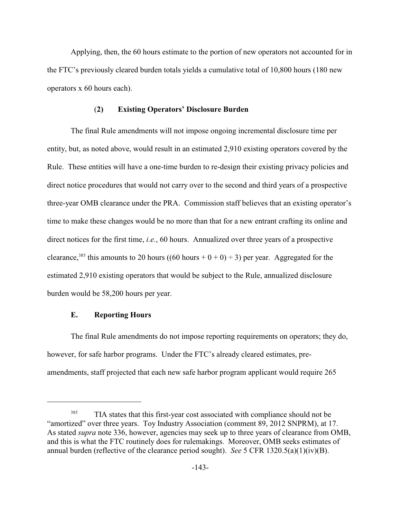Applying, then, the 60 hours estimate to the portion of new operators not accounted for in the FTC's previously cleared burden totals yields a cumulative total of 10,800 hours (180 new operators x 60 hours each).

### (**2) Existing Operators' Disclosure Burden**

The final Rule amendments will not impose ongoing incremental disclosure time per entity, but, as noted above, would result in an estimated 2,910 existing operators covered by the Rule. These entities will have a one-time burden to re-design their existing privacy policies and direct notice procedures that would not carry over to the second and third years of a prospective three-year OMB clearance under the PRA. Commission staff believes that an existing operator's time to make these changes would be no more than that for a new entrant crafting its online and direct notices for the first time, *i.e.*, 60 hours. Annualized over three years of a prospective clearance,<sup>385</sup> this amounts to 20 hours ((60 hours + 0 + 0) ÷ 3) per year. Aggregated for the estimated 2,910 existing operators that would be subject to the Rule, annualized disclosure burden would be 58,200 hours per year.

## **E. Reporting Hours**

The final Rule amendments do not impose reporting requirements on operators; they do, however, for safe harbor programs. Under the FTC's already cleared estimates, preamendments, staff projected that each new safe harbor program applicant would require 265

TIA states that this first-year cost associated with compliance should not be "amortized" over three years. Toy Industry Association (comment 89, 2012 SNPRM), at 17. As stated *supra* note 336, however, agencies may seek up to three years of clearance from OMB, and this is what the FTC routinely does for rulemakings. Moreover, OMB seeks estimates of annual burden (reflective of the clearance period sought). *See* 5 CFR 1320.5(a)(1)(iv)(B).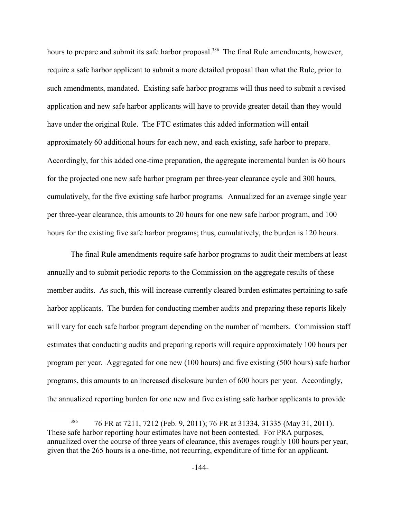hours to prepare and submit its safe harbor proposal.<sup>386</sup> The final Rule amendments, however, require a safe harbor applicant to submit a more detailed proposal than what the Rule, prior to such amendments, mandated. Existing safe harbor programs will thus need to submit a revised application and new safe harbor applicants will have to provide greater detail than they would have under the original Rule. The FTC estimates this added information will entail approximately 60 additional hours for each new, and each existing, safe harbor to prepare. Accordingly, for this added one-time preparation, the aggregate incremental burden is 60 hours for the projected one new safe harbor program per three-year clearance cycle and 300 hours, cumulatively, for the five existing safe harbor programs. Annualized for an average single year per three-year clearance, this amounts to 20 hours for one new safe harbor program, and 100 hours for the existing five safe harbor programs; thus, cumulatively, the burden is 120 hours.

The final Rule amendments require safe harbor programs to audit their members at least annually and to submit periodic reports to the Commission on the aggregate results of these member audits. As such, this will increase currently cleared burden estimates pertaining to safe harbor applicants. The burden for conducting member audits and preparing these reports likely will vary for each safe harbor program depending on the number of members. Commission staff estimates that conducting audits and preparing reports will require approximately 100 hours per program per year. Aggregated for one new (100 hours) and five existing (500 hours) safe harbor programs, this amounts to an increased disclosure burden of 600 hours per year. Accordingly, the annualized reporting burden for one new and five existing safe harbor applicants to provide

<sup>&</sup>lt;sup>386</sup> 76 FR at 7211, 7212 (Feb. 9, 2011); 76 FR at 31334, 31335 (May 31, 2011). These safe harbor reporting hour estimates have not been contested. For PRA purposes, annualized over the course of three years of clearance, this averages roughly 100 hours per year, given that the 265 hours is a one-time, not recurring, expenditure of time for an applicant.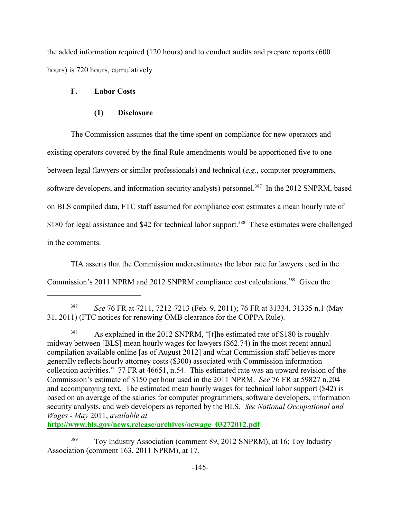the added information required (120 hours) and to conduct audits and prepare reports (600 hours) is 720 hours, cumulatively.

#### **F. Labor Costs**

#### **(1) Disclosure**

The Commission assumes that the time spent on compliance for new operators and existing operators covered by the final Rule amendments would be apportioned five to one between legal (lawyers or similar professionals) and technical (*e.g*., computer programmers, software developers, and information security analysts) personnel.<sup>387</sup> In the 2012 SNPRM, based on BLS compiled data, FTC staff assumed for compliance cost estimates a mean hourly rate of \$180 for legal assistance and \$42 for technical labor support.<sup>388</sup> These estimates were challenged in the comments.

TIA asserts that the Commission underestimates the labor rate for lawyers used in the Commission's 2011 NPRM and 2012 SNPRM compliance cost calculations.<sup>389</sup> Given the

<sup>387</sup> *See* 76 FR at 7211, 7212-7213 (Feb. 9, 2011); 76 FR at 31334, 31335 n.1 (May 31, 2011) (FTC notices for renewing OMB clearance for the COPPA Rule).

<sup>388</sup> As explained in the 2012 SNPRM, "[t]he estimated rate of \$180 is roughly midway between [BLS] mean hourly wages for lawyers (\$62.74) in the most recent annual compilation available online [as of August 2012] and what Commission staff believes more generally reflects hourly attorney costs (\$300) associated with Commission information collection activities." 77 FR at 46651, n.54. This estimated rate was an upward revision of the Commission's estimate of \$150 per hour used in the 2011 NPRM. *See* 76 FR at 59827 n.204 and accompanying text. The estimated mean hourly wages for technical labor support (\$42) is based on an average of the salaries for computer programmers, software developers, information security analysts, and web developers as reported by the BLS. *See National Occupational and Wages - May* 2011, *available at*

**[http://www.bls.gov/news.release/archives/ocwage\\_03272012.pdf](http://www.bls.gov/news.release/archives/ocwage_03272012.pdf)**.

Toy Industry Association (comment 89, 2012 SNPRM), at 16; Toy Industry Association (comment 163, 2011 NPRM), at 17.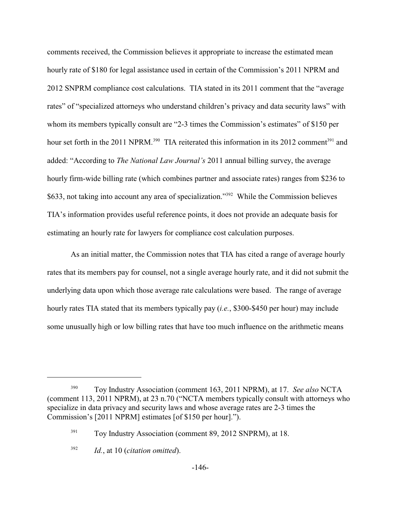comments received, the Commission believes it appropriate to increase the estimated mean hourly rate of \$180 for legal assistance used in certain of the Commission's 2011 NPRM and 2012 SNPRM compliance cost calculations. TIA stated in its 2011 comment that the "average rates" of "specialized attorneys who understand children's privacy and data security laws" with whom its members typically consult are "2-3 times the Commission's estimates" of \$150 per hour set forth in the 2011 NPRM.<sup>390</sup> TIA reiterated this information in its 2012 comment<sup>391</sup> and added: "According to *The National Law Journal's* 2011 annual billing survey, the average hourly firm-wide billing rate (which combines partner and associate rates) ranges from \$236 to \$633, not taking into account any area of specialization."<sup>392</sup> While the Commission believes TIA's information provides useful reference points, it does not provide an adequate basis for estimating an hourly rate for lawyers for compliance cost calculation purposes.

As an initial matter, the Commission notes that TIA has cited a range of average hourly rates that its members pay for counsel, not a single average hourly rate, and it did not submit the underlying data upon which those average rate calculations were based. The range of average hourly rates TIA stated that its members typically pay (*i.e.*, \$300-\$450 per hour) may include some unusually high or low billing rates that have too much influence on the arithmetic means

Toy Industry Association (comment 163, 2011 NPRM), at 17. *See also* NCTA <sup>390</sup> (comment 113, 2011 NPRM), at 23 n.70 ("NCTA members typically consult with attorneys who specialize in data privacy and security laws and whose average rates are 2-3 times the Commission's [2011 NPRM] estimates [of \$150 per hour].").

<sup>&</sup>lt;sup>391</sup> Toy Industry Association (comment 89, 2012 SNPRM), at 18.

*Id.*, at 10 (*citation omitted*). <sup>392</sup>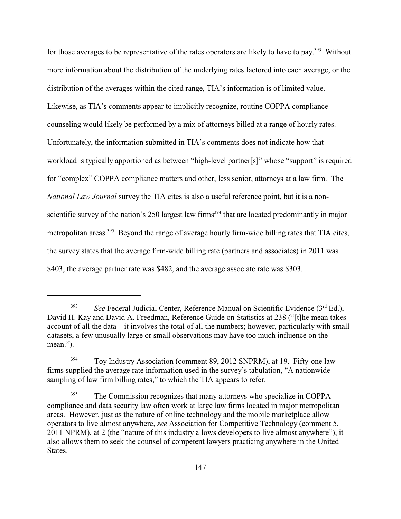for those averages to be representative of the rates operators are likely to have to pay.<sup>393</sup> Without more information about the distribution of the underlying rates factored into each average, or the distribution of the averages within the cited range, TIA's information is of limited value. Likewise, as TIA's comments appear to implicitly recognize, routine COPPA compliance counseling would likely be performed by a mix of attorneys billed at a range of hourly rates. Unfortunately, the information submitted in TIA's comments does not indicate how that workload is typically apportioned as between "high-level partner[s]" whose "support" is required for "complex" COPPA compliance matters and other, less senior, attorneys at a law firm. The *National Law Journal* survey the TIA cites is also a useful reference point, but it is a nonscientific survey of the nation's 250 largest law firms<sup> $394$ </sup> that are located predominantly in major metropolitan areas.<sup> $395$ </sup> Beyond the range of average hourly firm-wide billing rates that TIA cites, the survey states that the average firm-wide billing rate (partners and associates) in 2011 was \$403, the average partner rate was \$482, and the average associate rate was \$303.

<sup>&</sup>lt;sup>393</sup> *See* Federal Judicial Center, Reference Manual on Scientific Evidence  $(3<sup>rd</sup> Ed.)$ , David H. Kay and David A. Freedman, Reference Guide on Statistics at 238 ("[t]he mean takes account of all the data – it involves the total of all the numbers; however, particularly with small datasets, a few unusually large or small observations may have too much influence on the mean.").

Toy Industry Association (comment 89, 2012 SNPRM), at 19. Fifty-one law 394 firms supplied the average rate information used in the survey's tabulation, "A nationwide sampling of law firm billing rates," to which the TIA appears to refer.

The Commission recognizes that many attorneys who specialize in COPPA 395 compliance and data security law often work at large law firms located in major metropolitan areas. However, just as the nature of online technology and the mobile marketplace allow operators to live almost anywhere, *see* Association for Competitive Technology (comment 5, 2011 NPRM), at 2 (the "nature of this industry allows developers to live almost anywhere"), it also allows them to seek the counsel of competent lawyers practicing anywhere in the United States.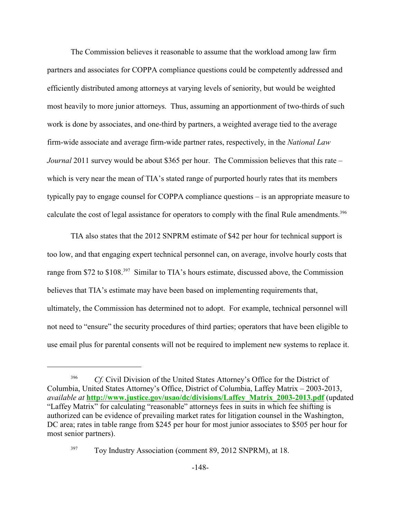The Commission believes it reasonable to assume that the workload among law firm partners and associates for COPPA compliance questions could be competently addressed and efficiently distributed among attorneys at varying levels of seniority, but would be weighted most heavily to more junior attorneys. Thus, assuming an apportionment of two-thirds of such work is done by associates, and one-third by partners, a weighted average tied to the average firm-wide associate and average firm-wide partner rates, respectively, in the *National Law Journal* 2011 survey would be about \$365 per hour. The Commission believes that this rate – which is very near the mean of TIA's stated range of purported hourly rates that its members typically pay to engage counsel for COPPA compliance questions – is an appropriate measure to calculate the cost of legal assistance for operators to comply with the final Rule amendments.<sup>396</sup>

TIA also states that the 2012 SNPRM estimate of \$42 per hour for technical support is too low, and that engaging expert technical personnel can, on average, involve hourly costs that range from \$72 to  $$108<sup>397</sup>$  Similar to TIA's hours estimate, discussed above, the Commission believes that TIA's estimate may have been based on implementing requirements that, ultimately, the Commission has determined not to adopt. For example, technical personnel will not need to "ensure" the security procedures of third parties; operators that have been eligible to use email plus for parental consents will not be required to implement new systems to replace it.

<sup>&</sup>lt;sup>396</sup> *Cf.* Civil Division of the United States Attorney's Office for the District of Columbia, United States Attorney's Office, District of Columbia, Laffey Matrix – 2003-2013, *available at* **[http://www.justice.gov/usao/dc/divisions/Laffey\\_Matrix\\_2003-2013.pdf](http://www.justice.gov/usao/dc/divisions/Laffey_Matrix_2003-2013.pdf)** (updated "Laffey Matrix" for calculating "reasonable" attorneys fees in suits in which fee shifting is authorized can be evidence of prevailing market rates for litigation counsel in the Washington, DC area; rates in table range from \$245 per hour for most junior associates to \$505 per hour for most senior partners).

 $T_{\text{OY}}$  Toy Industry Association (comment 89, 2012 SNPRM), at 18.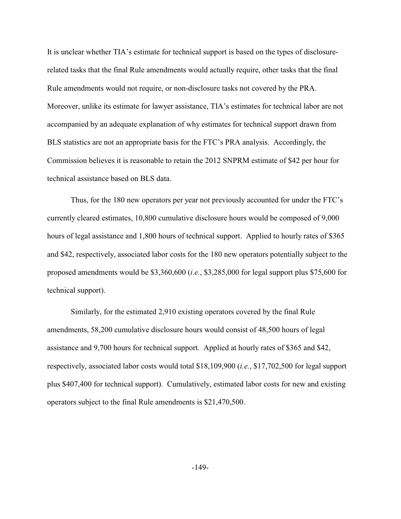It is unclear whether TIA's estimate for technical support is based on the types of disclosurerelated tasks that the final Rule amendments would actually require, other tasks that the final Rule amendments would not require, or non-disclosure tasks not covered by the PRA. Moreover, unlike its estimate for lawyer assistance, TIA's estimates for technical labor are not accompanied by an adequate explanation of why estimates for technical support drawn from BLS statistics are not an appropriate basis for the FTC's PRA analysis. Accordingly, the Commission believes it is reasonable to retain the 2012 SNPRM estimate of \$42 per hour for technical assistance based on BLS data.

Thus, for the 180 new operators per year not previously accounted for under the FTC's currently cleared estimates, 10,800 cumulative disclosure hours would be composed of 9,000 hours of legal assistance and 1,800 hours of technical support. Applied to hourly rates of \$365 and \$42, respectively, associated labor costs for the 180 new operators potentially subject to the proposed amendments would be \$3,360,600 (*i.e.*, \$3,285,000 for legal support plus \$75,600 for technical support).

Similarly, for the estimated 2,910 existing operators covered by the final Rule amendments, 58,200 cumulative disclosure hours would consist of 48,500 hours of legal assistance and 9,700 hours for technical support. Applied at hourly rates of \$365 and \$42, respectively, associated labor costs would total \$18,109,900 (*i.e.*, \$17,702,500 for legal support plus \$407,400 for technical support). Cumulatively, estimated labor costs for new and existing operators subject to the final Rule amendments is \$21,470,500.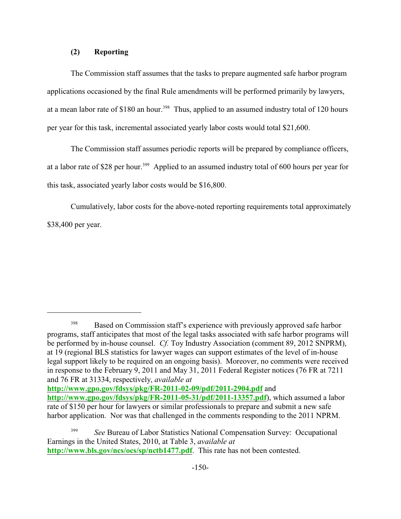#### **(2) Reporting**

The Commission staff assumes that the tasks to prepare augmented safe harbor program applications occasioned by the final Rule amendments will be performed primarily by lawyers, at a mean labor rate of  $$180$  an hour.<sup>398</sup> Thus, applied to an assumed industry total of 120 hours per year for this task, incremental associated yearly labor costs would total \$21,600.

The Commission staff assumes periodic reports will be prepared by compliance officers, at a labor rate of \$28 per hour.<sup>399</sup> Applied to an assumed industry total of 600 hours per year for this task, associated yearly labor costs would be \$16,800.

Cumulatively, labor costs for the above-noted reporting requirements total approximately \$38,400 per year.

**<http://www.gpo.gov/fdsys/pkg/FR-2011-02-09/pdf/2011-2904.pdf>** and **<http://www.gpo.gov/fdsys/pkg/FR-2011-05-31/pdf/2011-13357.pdf>**), which assumed a labor

<sup>&</sup>lt;sup>398</sup> Based on Commission staff's experience with previously approved safe harbor programs, staff anticipates that most of the legal tasks associated with safe harbor programs will be performed by in-house counsel. *Cf.* Toy Industry Association (comment 89, 2012 SNPRM), at 19 (regional BLS statistics for lawyer wages can support estimates of the level of in-house legal support likely to be required on an ongoing basis). Moreover, no comments were received in response to the February 9, 2011 and May 31, 2011 Federal Register notices (76 FR at 7211 and 76 FR at 31334, respectively, *available at*

rate of \$150 per hour for lawyers or similar professionals to prepare and submit a new safe harbor application. Nor was that challenged in the comments responding to the 2011 NPRM.

<sup>&</sup>lt;sup>399</sup> See Bureau of Labor Statistics National Compensation Survey: Occupational Earnings in the United States, 2010, at Table 3, *available at* **<http://www.bls.gov/ncs/ocs/sp/nctb1477.pdf>**. This rate has not been contested.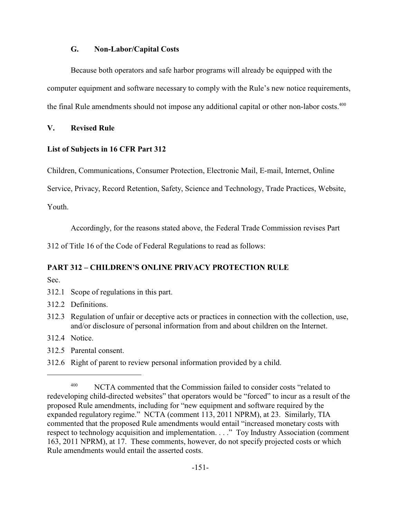#### **G. Non-Labor/Capital Costs**

Because both operators and safe harbor programs will already be equipped with the computer equipment and software necessary to comply with the Rule's new notice requirements, the final Rule amendments should not impose any additional capital or other non-labor costs.<sup>400</sup>

#### **V. Revised Rule**

#### **List of Subjects in 16 CFR Part 312**

Children, Communications, Consumer Protection, Electronic Mail, E-mail, Internet, Online

Service, Privacy, Record Retention, Safety, Science and Technology, Trade Practices, Website,

Youth.

Accordingly, for the reasons stated above, the Federal Trade Commission revises Part

312 of Title 16 of the Code of Federal Regulations to read as follows:

# **PART 312 – CHILDREN'S ONLINE PRIVACY PROTECTION RULE**

Sec.

- 312.1 Scope of regulations in this part.
- 312.2 Definitions.
- 312.3 Regulation of unfair or deceptive acts or practices in connection with the collection, use, and/or disclosure of personal information from and about children on the Internet.
- 312.4 Notice.
- 312.5 Parental consent.
- 312.6 Right of parent to review personal information provided by a child.

 $^{400}$  NCTA commented that the Commission failed to consider costs "related to redeveloping child-directed websites" that operators would be "forced" to incur as a result of the proposed Rule amendments, including for "new equipment and software required by the expanded regulatory regime." NCTA (comment 113, 2011 NPRM), at 23. Similarly, TIA commented that the proposed Rule amendments would entail "increased monetary costs with respect to technology acquisition and implementation. . . ." Toy Industry Association (comment 163, 2011 NPRM), at 17. These comments, however, do not specify projected costs or which Rule amendments would entail the asserted costs.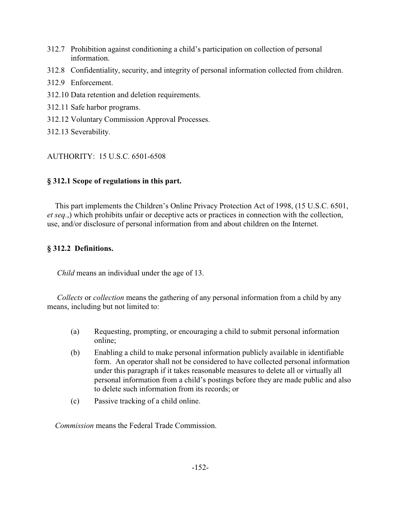- 312.7 Prohibition against conditioning a child's participation on collection of personal information.
- 312.8 Confidentiality, security, and integrity of personal information collected from children.
- 312.9 Enforcement.
- 312.10 Data retention and deletion requirements.
- 312.11 Safe harbor programs.
- 312.12 Voluntary Commission Approval Processes.
- 312.13 Severability.

# AUTHORITY: 15 U.S.C. 6501-6508

# **§ 312.1 Scope of regulations in this part.**

This part implements the Children's Online Privacy Protection Act of 1998, (15 U.S.C. 6501, *et seq.*,) which prohibits unfair or deceptive acts or practices in connection with the collection, use, and/or disclosure of personal information from and about children on the Internet.

# **§ 312.2 Definitions.**

*Child* means an individual under the age of 13.

 *Collects* or *collection* means the gathering of any personal information from a child by any means, including but not limited to:

- (a) Requesting, prompting, or encouraging a child to submit personal information online;
- (b) Enabling a child to make personal information publicly available in identifiable form. An operator shall not be considered to have collected personal information under this paragraph if it takes reasonable measures to delete all or virtually all personal information from a child's postings before they are made public and also to delete such information from its records; or
- (c) Passive tracking of a child online.

*Commission* means the Federal Trade Commission.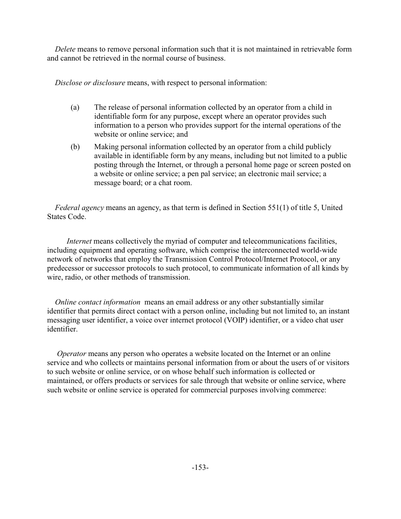*Delete* means to remove personal information such that it is not maintained in retrievable form and cannot be retrieved in the normal course of business.

*Disclose or disclosure* means, with respect to personal information:

- (a) The release of personal information collected by an operator from a child in identifiable form for any purpose, except where an operator provides such information to a person who provides support for the internal operations of the website or online service; and
- (b) Making personal information collected by an operator from a child publicly available in identifiable form by any means, including but not limited to a public posting through the Internet, or through a personal home page or screen posted on a website or online service; a pen pal service; an electronic mail service; a message board; or a chat room.

 *Federal agency* means an agency, as that term is defined in Section 551(1) of title 5, United States Code.

 *Internet* means collectively the myriad of computer and telecommunications facilities, including equipment and operating software, which comprise the interconnected world-wide network of networks that employ the Transmission Control Protocol/Internet Protocol, or any predecessor or successor protocols to such protocol, to communicate information of all kinds by wire, radio, or other methods of transmission.

 *Online contact information* means an email address or any other substantially similar identifier that permits direct contact with a person online, including but not limited to, an instant messaging user identifier, a voice over internet protocol (VOIP) identifier, or a video chat user identifier.

*Operator* means any person who operates a website located on the Internet or an online service and who collects or maintains personal information from or about the users of or visitors to such website or online service, or on whose behalf such information is collected or maintained, or offers products or services for sale through that website or online service, where such website or online service is operated for commercial purposes involving commerce: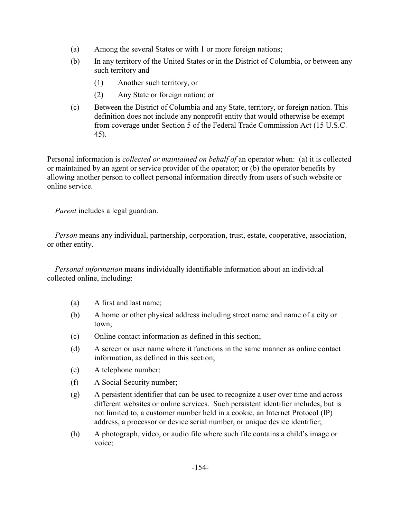- (a) Among the several States or with 1 or more foreign nations;
- (b) In any territory of the United States or in the District of Columbia, or between any such territory and
	- (1) Another such territory, or
	- (2) Any State or foreign nation; or
- (c) Between the District of Columbia and any State, territory, or foreign nation. This definition does not include any nonprofit entity that would otherwise be exempt from coverage under Section 5 of the Federal Trade Commission Act (15 U.S.C. 45).

Personal information is *collected or maintained on behalf of* an operator when: (a) it is collected or maintained by an agent or service provider of the operator; or (b) the operator benefits by allowing another person to collect personal information directly from users of such website or online service.

*Parent* includes a legal guardian.

 *Person* means any individual, partnership, corporation, trust, estate, cooperative, association, or other entity.

 *Personal information* means individually identifiable information about an individual collected online, including:

- (a) A first and last name;
- (b) A home or other physical address including street name and name of a city or town;
- (c) Online contact information as defined in this section;
- (d) A screen or user name where it functions in the same manner as online contact information, as defined in this section;
- (e) A telephone number;
- (f) A Social Security number;
- (g) A persistent identifier that can be used to recognize a user over time and across different websites or online services. Such persistent identifier includes, but is not limited to, a customer number held in a cookie, an Internet Protocol (IP) address, a processor or device serial number, or unique device identifier;
- (h) A photograph, video, or audio file where such file contains a child's image or voice;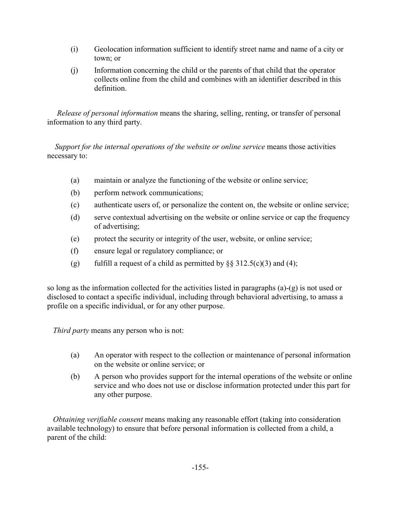- (i) Geolocation information sufficient to identify street name and name of a city or town; or
- (j) Information concerning the child or the parents of that child that the operator collects online from the child and combines with an identifier described in this definition.

 *Release of personal information* means the sharing, selling, renting, or transfer of personal information to any third party.

 *Support for the internal operations of the website or online service* means those activities necessary to:

- (a) maintain or analyze the functioning of the website or online service;
- (b) perform network communications;
- (c) authenticate users of, or personalize the content on, the website or online service;
- (d) serve contextual advertising on the website or online service or cap the frequency of advertising;
- (e) protect the security or integrity of the user, website, or online service;
- (f) ensure legal or regulatory compliance; or
- (g) fulfill a request of a child as permitted by  $\S$ § 312.5(c)(3) and (4);

so long as the information collected for the activities listed in paragraphs (a)-(g) is not used or disclosed to contact a specific individual, including through behavioral advertising, to amass a profile on a specific individual, or for any other purpose.

*Third party* means any person who is not:

- (a) An operator with respect to the collection or maintenance of personal information on the website or online service; or
- (b) A person who provides support for the internal operations of the website or online service and who does not use or disclose information protected under this part for any other purpose.

 *Obtaining verifiable consent* means making any reasonable effort (taking into consideration available technology) to ensure that before personal information is collected from a child, a parent of the child: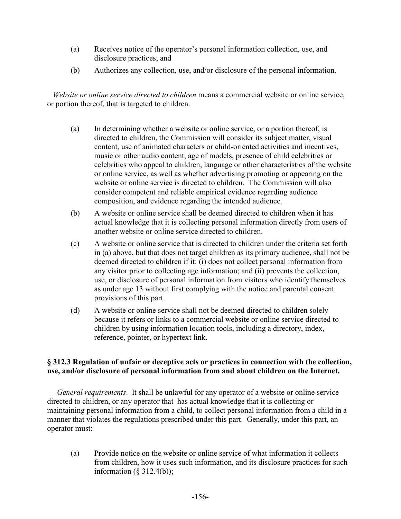- (a) Receives notice of the operator's personal information collection, use, and disclosure practices; and
- (b) Authorizes any collection, use, and/or disclosure of the personal information.

 *Website or online service directed to children* means a commercial website or online service, or portion thereof, that is targeted to children.

- (a) In determining whether a website or online service, or a portion thereof, is directed to children, the Commission will consider its subject matter, visual content, use of animated characters or child-oriented activities and incentives, music or other audio content, age of models, presence of child celebrities or celebrities who appeal to children, language or other characteristics of the website or online service, as well as whether advertising promoting or appearing on the website or online service is directed to children. The Commission will also consider competent and reliable empirical evidence regarding audience composition, and evidence regarding the intended audience.
- (b) A website or online service shall be deemed directed to children when it has actual knowledge that it is collecting personal information directly from users of another website or online service directed to children.
- (c) A website or online service that is directed to children under the criteria set forth in (a) above, but that does not target children as its primary audience, shall not be deemed directed to children if it: (i) does not collect personal information from any visitor prior to collecting age information; and (ii) prevents the collection, use, or disclosure of personal information from visitors who identify themselves as under age 13 without first complying with the notice and parental consent provisions of this part.
- (d) A website or online service shall not be deemed directed to children solely because it refers or links to a commercial website or online service directed to children by using information location tools, including a directory, index, reference, pointer, or hypertext link.

#### **§ 312.3 Regulation of unfair or deceptive acts or practices in connection with the collection, use, and/or disclosure of personal information from and about children on the Internet.**

 *General requirements*. It shall be unlawful for any operator of a website or online service directed to children, or any operator that has actual knowledge that it is collecting or maintaining personal information from a child, to collect personal information from a child in a manner that violates the regulations prescribed under this part. Generally, under this part, an operator must:

(a) Provide notice on the website or online service of what information it collects from children, how it uses such information, and its disclosure practices for such information  $(\S$  312.4(b));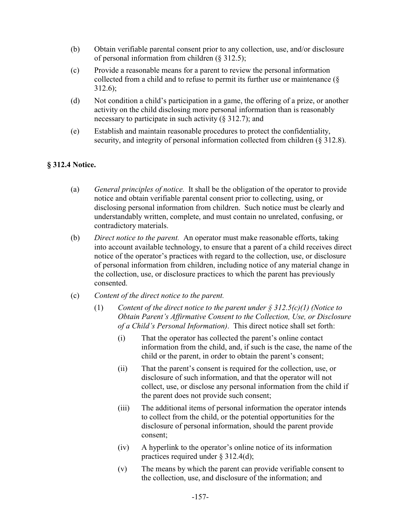- (b) Obtain verifiable parental consent prior to any collection, use, and/or disclosure of personal information from children (§ 312.5);
- (c) Provide a reasonable means for a parent to review the personal information collected from a child and to refuse to permit its further use or maintenance (§ 312.6);
- (d) Not condition a child's participation in a game, the offering of a prize, or another activity on the child disclosing more personal information than is reasonably necessary to participate in such activity  $(\S 312.7)$ ; and
- (e) Establish and maintain reasonable procedures to protect the confidentiality, security, and integrity of personal information collected from children (§ 312.8).

# **§ 312.4 Notice.**

- (a) *General principles of notice.* It shall be the obligation of the operator to provide notice and obtain verifiable parental consent prior to collecting, using, or disclosing personal information from children. Such notice must be clearly and understandably written, complete, and must contain no unrelated, confusing, or contradictory materials.
- (b) *Direct notice to the parent.* An operator must make reasonable efforts, taking into account available technology, to ensure that a parent of a child receives direct notice of the operator's practices with regard to the collection, use, or disclosure of personal information from children, including notice of any material change in the collection, use, or disclosure practices to which the parent has previously consented.
- (c) *Content of the direct notice to the parent.* 
	- (1) *Content of the direct notice to the parent under § 312.5(c)(1) (Notice to Obtain Parent's Affirmative Consent to the Collection, Use, or Disclosure of a Child's Personal Information)*. This direct notice shall set forth:
		- (i) That the operator has collected the parent's online contact information from the child, and, if such is the case, the name of the child or the parent, in order to obtain the parent's consent;
		- (ii) That the parent's consent is required for the collection, use, or disclosure of such information, and that the operator will not collect, use, or disclose any personal information from the child if the parent does not provide such consent;
		- (iii) The additional items of personal information the operator intends to collect from the child, or the potential opportunities for the disclosure of personal information, should the parent provide consent;
		- (iv) A hyperlink to the operator's online notice of its information practices required under § 312.4(d);
		- (v) The means by which the parent can provide verifiable consent to the collection, use, and disclosure of the information; and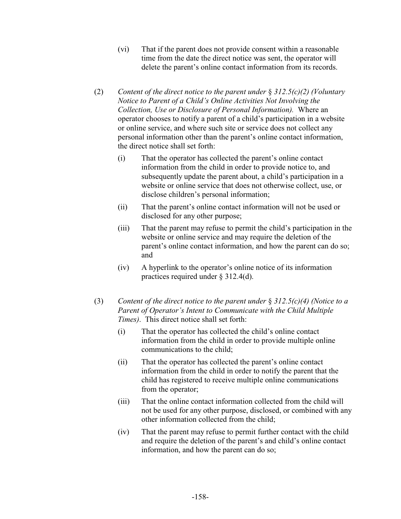- (vi) That if the parent does not provide consent within a reasonable time from the date the direct notice was sent, the operator will delete the parent's online contact information from its records.
- (2) *Content of the direct notice to the parent under* § *312.5(c)(2) (Voluntary Notice to Parent of a Child's Online Activities Not Involving the Collection, Use or Disclosure of Personal Information).* Where an operator chooses to notify a parent of a child's participation in a website or online service, and where such site or service does not collect any personal information other than the parent's online contact information, the direct notice shall set forth:
	- (i) That the operator has collected the parent's online contact information from the child in order to provide notice to, and subsequently update the parent about, a child's participation in a website or online service that does not otherwise collect, use, or disclose children's personal information;
	- (ii) That the parent's online contact information will not be used or disclosed for any other purpose;
	- (iii) That the parent may refuse to permit the child's participation in the website or online service and may require the deletion of the parent's online contact information, and how the parent can do so; and
	- (iv) A hyperlink to the operator's online notice of its information practices required under § 312.4(d).
- (3) *Content of the direct notice to the parent under* § *312.5(c)(4) (Notice to a Parent of Operator's Intent to Communicate with the Child Multiple Times)*. This direct notice shall set forth:
	- (i) That the operator has collected the child's online contact information from the child in order to provide multiple online communications to the child;
	- (ii) That the operator has collected the parent's online contact information from the child in order to notify the parent that the child has registered to receive multiple online communications from the operator;
	- (iii) That the online contact information collected from the child will not be used for any other purpose, disclosed, or combined with any other information collected from the child;
	- (iv) That the parent may refuse to permit further contact with the child and require the deletion of the parent's and child's online contact information, and how the parent can do so;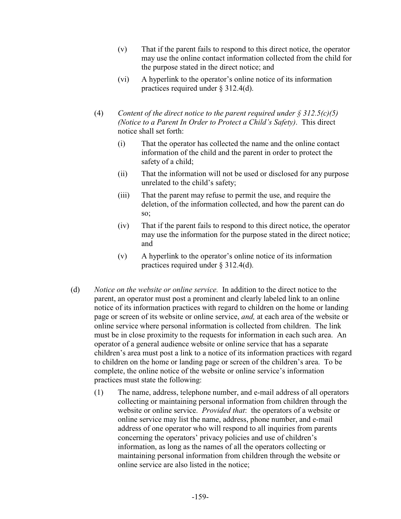- (v) That if the parent fails to respond to this direct notice, the operator may use the online contact information collected from the child for the purpose stated in the direct notice; and
- (vi) A hyperlink to the operator's online notice of its information practices required under § 312.4(d).
- (4) *Content of the direct notice to the parent required under § 312.5(c)(5) (Notice to a Parent In Order to Protect a Child's Safety)*. This direct notice shall set forth:
	- (i) That the operator has collected the name and the online contact information of the child and the parent in order to protect the safety of a child;
	- (ii) That the information will not be used or disclosed for any purpose unrelated to the child's safety;
	- (iii) That the parent may refuse to permit the use, and require the deletion, of the information collected, and how the parent can do so;
	- (iv) That if the parent fails to respond to this direct notice, the operator may use the information for the purpose stated in the direct notice; and
	- (v) A hyperlink to the operator's online notice of its information practices required under § 312.4(d).
- (d) *Notice on the website or online service.* In addition to the direct notice to the parent, an operator must post a prominent and clearly labeled link to an online notice of its information practices with regard to children on the home or landing page or screen of its website or online service, *and,* at each area of the website or online service where personal information is collected from children. The link must be in close proximity to the requests for information in each such area. An operator of a general audience website or online service that has a separate children's area must post a link to a notice of its information practices with regard to children on the home or landing page or screen of the children's area. To be complete, the online notice of the website or online service's information practices must state the following:
	- (1) The name, address, telephone number, and e-mail address of all operators collecting or maintaining personal information from children through the website or online service. *Provided that*: the operators of a website or online service may list the name, address, phone number, and e-mail address of one operator who will respond to all inquiries from parents concerning the operators' privacy policies and use of children's information, as long as the names of all the operators collecting or maintaining personal information from children through the website or online service are also listed in the notice;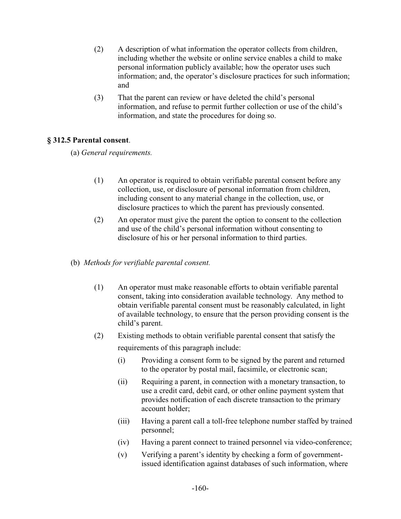- (2) A description of what information the operator collects from children, including whether the website or online service enables a child to make personal information publicly available; how the operator uses such information; and, the operator's disclosure practices for such information; and
- (3) That the parent can review or have deleted the child's personal information, and refuse to permit further collection or use of the child's information, and state the procedures for doing so.

### **§ 312.5 Parental consent**.

(a) *General requirements.*

- (1) An operator is required to obtain verifiable parental consent before any collection, use, or disclosure of personal information from children, including consent to any material change in the collection, use, or disclosure practices to which the parent has previously consented.
- (2) An operator must give the parent the option to consent to the collection and use of the child's personal information without consenting to disclosure of his or her personal information to third parties.
- (b) *Methods for verifiable parental consent.*
	- (1) An operator must make reasonable efforts to obtain verifiable parental consent, taking into consideration available technology. Any method to obtain verifiable parental consent must be reasonably calculated, in light of available technology, to ensure that the person providing consent is the child's parent.
	- (2) Existing methods to obtain verifiable parental consent that satisfy the requirements of this paragraph include:
		- (i) Providing a consent form to be signed by the parent and returned to the operator by postal mail, facsimile, or electronic scan;
		- (ii) Requiring a parent, in connection with a monetary transaction, to use a credit card, debit card, or other online payment system that provides notification of each discrete transaction to the primary account holder;
		- (iii) Having a parent call a toll-free telephone number staffed by trained personnel;
		- (iv) Having a parent connect to trained personnel via video-conference;
		- (v) Verifying a parent's identity by checking a form of governmentissued identification against databases of such information, where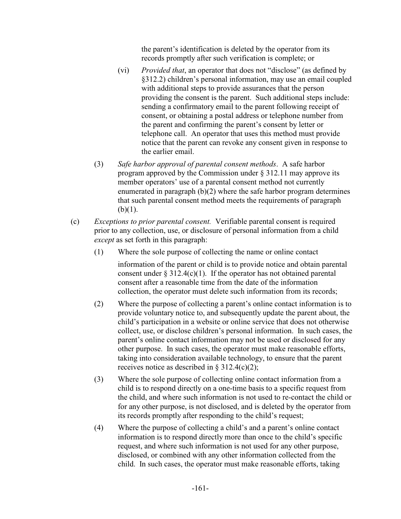the parent's identification is deleted by the operator from its records promptly after such verification is complete; or

- (vi) *Provided that*, an operator that does not "disclose" (as defined by §312.2) children's personal information, may use an email coupled with additional steps to provide assurances that the person providing the consent is the parent. Such additional steps include: sending a confirmatory email to the parent following receipt of consent, or obtaining a postal address or telephone number from the parent and confirming the parent's consent by letter or telephone call. An operator that uses this method must provide notice that the parent can revoke any consent given in response to the earlier email.
- (3) *Safe harbor approval of parental consent methods*. A safe harbor program approved by the Commission under § 312.11 may approve its member operators' use of a parental consent method not currently enumerated in paragraph (b)(2) where the safe harbor program determines that such parental consent method meets the requirements of paragraph  $(b)(1)$ .
- (c) *Exceptions to prior parental consent.* Verifiable parental consent is required prior to any collection, use, or disclosure of personal information from a child *except* as set forth in this paragraph:
	- (1) Where the sole purpose of collecting the name or online contact

information of the parent or child is to provide notice and obtain parental consent under  $\S 312.4(c)(1)$ . If the operator has not obtained parental consent after a reasonable time from the date of the information collection, the operator must delete such information from its records;

- (2) Where the purpose of collecting a parent's online contact information is to provide voluntary notice to, and subsequently update the parent about, the child's participation in a website or online service that does not otherwise collect, use, or disclose children's personal information. In such cases, the parent's online contact information may not be used or disclosed for any other purpose. In such cases, the operator must make reasonable efforts, taking into consideration available technology, to ensure that the parent receives notice as described in  $\S$  312.4(c)(2);
- (3) Where the sole purpose of collecting online contact information from a child is to respond directly on a one-time basis to a specific request from the child, and where such information is not used to re-contact the child or for any other purpose, is not disclosed, and is deleted by the operator from its records promptly after responding to the child's request;
- (4) Where the purpose of collecting a child's and a parent's online contact information is to respond directly more than once to the child's specific request, and where such information is not used for any other purpose, disclosed, or combined with any other information collected from the child. In such cases, the operator must make reasonable efforts, taking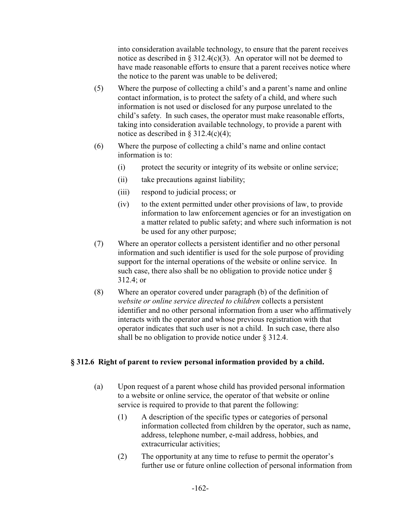into consideration available technology, to ensure that the parent receives notice as described in  $\S 312.4(c)(3)$ . An operator will not be deemed to have made reasonable efforts to ensure that a parent receives notice where the notice to the parent was unable to be delivered;

- (5) Where the purpose of collecting a child's and a parent's name and online contact information, is to protect the safety of a child, and where such information is not used or disclosed for any purpose unrelated to the child's safety. In such cases, the operator must make reasonable efforts, taking into consideration available technology, to provide a parent with notice as described in  $\S$  312.4(c)(4);
- (6) Where the purpose of collecting a child's name and online contact information is to:
	- (i) protect the security or integrity of its website or online service;
	- (ii) take precautions against liability;
	- (iii) respond to judicial process; or
	- (iv) to the extent permitted under other provisions of law, to provide information to law enforcement agencies or for an investigation on a matter related to public safety; and where such information is not be used for any other purpose;
- (7) Where an operator collects a persistent identifier and no other personal information and such identifier is used for the sole purpose of providing support for the internal operations of the website or online service. In such case, there also shall be no obligation to provide notice under § 312.4; or
- (8) Where an operator covered under paragraph (b) of the definition of *website or online service directed to children* collects a persistent identifier and no other personal information from a user who affirmatively interacts with the operator and whose previous registration with that operator indicates that such user is not a child. In such case, there also shall be no obligation to provide notice under § 312.4.

### **§ 312.6 Right of parent to review personal information provided by a child.**

- (a) Upon request of a parent whose child has provided personal information to a website or online service, the operator of that website or online service is required to provide to that parent the following:
	- (1) A description of the specific types or categories of personal information collected from children by the operator, such as name, address, telephone number, e-mail address, hobbies, and extracurricular activities;
	- (2) The opportunity at any time to refuse to permit the operator's further use or future online collection of personal information from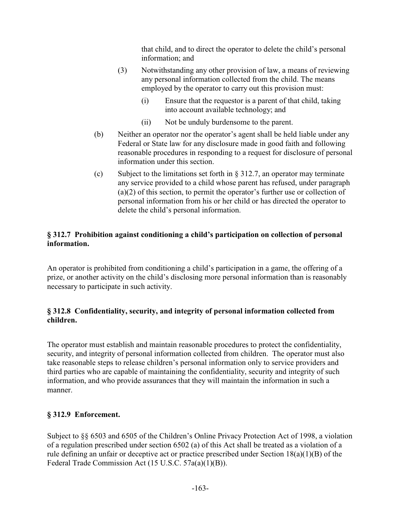that child, and to direct the operator to delete the child's personal information; and

- (3) Notwithstanding any other provision of law, a means of reviewing any personal information collected from the child. The means employed by the operator to carry out this provision must:
	- (i) Ensure that the requestor is a parent of that child, taking into account available technology; and
	- (ii) Not be unduly burdensome to the parent.
- (b) Neither an operator nor the operator's agent shall be held liable under any Federal or State law for any disclosure made in good faith and following reasonable procedures in responding to a request for disclosure of personal information under this section.
- (c) Subject to the limitations set forth in  $\S 312.7$ , an operator may terminate any service provided to a child whose parent has refused, under paragraph (a)(2) of this section, to permit the operator's further use or collection of personal information from his or her child or has directed the operator to delete the child's personal information.

# **§ 312.7 Prohibition against conditioning a child's participation on collection of personal information.**

An operator is prohibited from conditioning a child's participation in a game, the offering of a prize, or another activity on the child's disclosing more personal information than is reasonably necessary to participate in such activity.

# **§ 312.8 Confidentiality, security, and integrity of personal information collected from children.**

The operator must establish and maintain reasonable procedures to protect the confidentiality, security, and integrity of personal information collected from children. The operator must also take reasonable steps to release children's personal information only to service providers and third parties who are capable of maintaining the confidentiality, security and integrity of such information, and who provide assurances that they will maintain the information in such a manner.

# **§ 312.9 Enforcement.**

Subject to §§ 6503 and 6505 of the Children's Online Privacy Protection Act of 1998, a violation of a regulation prescribed under section 6502 (a) of this Act shall be treated as a violation of a rule defining an unfair or deceptive act or practice prescribed under Section 18(a)(1)(B) of the Federal Trade Commission Act (15 U.S.C. 57a(a)(1)(B)).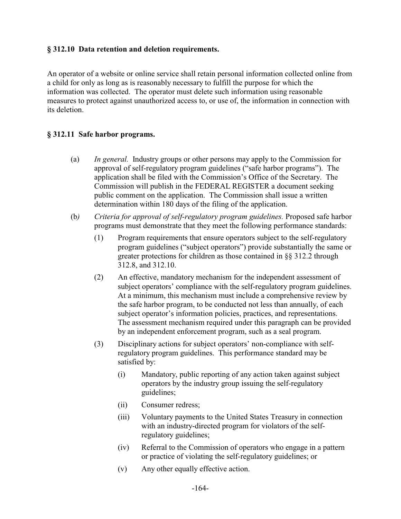### **§ 312.10 Data retention and deletion requirements.**

An operator of a website or online service shall retain personal information collected online from a child for only as long as is reasonably necessary to fulfill the purpose for which the information was collected. The operator must delete such information using reasonable measures to protect against unauthorized access to, or use of, the information in connection with its deletion.

#### **§ 312.11 Safe harbor programs.**

- (a) *In general.* Industry groups or other persons may apply to the Commission for approval of self-regulatory program guidelines ("safe harbor programs"). The application shall be filed with the Commission's Office of the Secretary. The Commission will publish in the FEDERAL REGISTER a document seeking public comment on the application. The Commission shall issue a written determination within 180 days of the filing of the application.
- (b*) Criteria for approval of self-regulatory program guidelines.* Proposed safe harbor programs must demonstrate that they meet the following performance standards:
	- (1) Program requirements that ensure operators subject to the self-regulatory program guidelines ("subject operators") provide substantially the same or greater protections for children as those contained in §§ 312.2 through 312.8, and 312.10.
	- (2) An effective, mandatory mechanism for the independent assessment of subject operators' compliance with the self-regulatory program guidelines. At a minimum, this mechanism must include a comprehensive review by the safe harbor program, to be conducted not less than annually, of each subject operator's information policies, practices, and representations. The assessment mechanism required under this paragraph can be provided by an independent enforcement program, such as a seal program.
	- (3) Disciplinary actions for subject operators' non-compliance with selfregulatory program guidelines. This performance standard may be satisfied by:
		- (i) Mandatory, public reporting of any action taken against subject operators by the industry group issuing the self-regulatory guidelines;
		- (ii) Consumer redress;
		- (iii) Voluntary payments to the United States Treasury in connection with an industry-directed program for violators of the selfregulatory guidelines;
		- (iv) Referral to the Commission of operators who engage in a pattern or practice of violating the self-regulatory guidelines; or
		- (v) Any other equally effective action.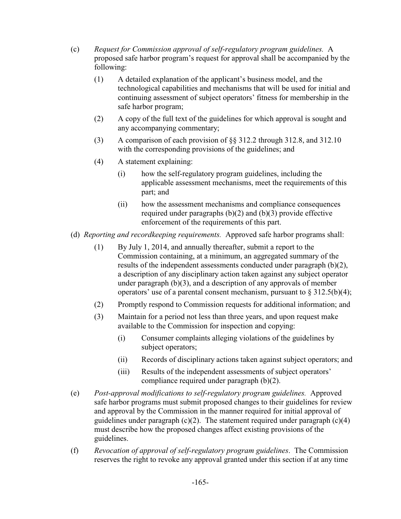- (c) *Request for Commission approval of self-regulatory program guidelines.* A proposed safe harbor program's request for approval shall be accompanied by the following:
	- (1) A detailed explanation of the applicant's business model, and the technological capabilities and mechanisms that will be used for initial and continuing assessment of subject operators' fitness for membership in the safe harbor program;
	- (2) A copy of the full text of the guidelines for which approval is sought and any accompanying commentary;
	- (3) A comparison of each provision of §§ 312.2 through 312.8, and 312.10 with the corresponding provisions of the guidelines; and
	- (4) A statement explaining:
		- (i) how the self-regulatory program guidelines, including the applicable assessment mechanisms, meet the requirements of this part; and
		- (ii) how the assessment mechanisms and compliance consequences required under paragraphs (b)(2) and (b)(3) provide effective enforcement of the requirements of this part.
- (d) *Reporting and recordkeeping requirements.* Approved safe harbor programs shall:
	- (1) By July 1, 2014, and annually thereafter, submit a report to the Commission containing, at a minimum, an aggregated summary of the results of the independent assessments conducted under paragraph (b)(2), a description of any disciplinary action taken against any subject operator under paragraph (b)(3), and a description of any approvals of member operators' use of a parental consent mechanism, pursuant to  $\S 312.5(b)(4)$ ;
	- (2) Promptly respond to Commission requests for additional information; and
	- (3) Maintain for a period not less than three years, and upon request make available to the Commission for inspection and copying:
		- (i) Consumer complaints alleging violations of the guidelines by subject operators;
		- (ii) Records of disciplinary actions taken against subject operators; and
		- (iii) Results of the independent assessments of subject operators' compliance required under paragraph (b)(2).
- (e) *Post-approval modifications to self-regulatory program guidelines.* Approved safe harbor programs must submit proposed changes to their guidelines for review and approval by the Commission in the manner required for initial approval of guidelines under paragraph  $(c)(2)$ . The statement required under paragraph  $(c)(4)$ must describe how the proposed changes affect existing provisions of the guidelines.
- (f) *Revocation of approval of self-regulatory program guidelines*. The Commission reserves the right to revoke any approval granted under this section if at any time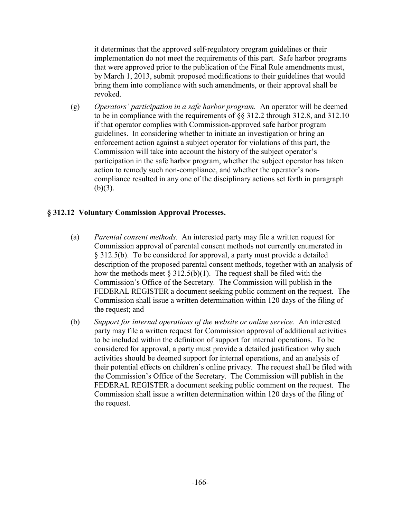it determines that the approved self-regulatory program guidelines or their implementation do not meet the requirements of this part. Safe harbor programs that were approved prior to the publication of the Final Rule amendments must, by March 1, 2013, submit proposed modifications to their guidelines that would bring them into compliance with such amendments, or their approval shall be revoked.

(g) *Operators' participation in a safe harbor program.* An operator will be deemed to be in compliance with the requirements of §§ 312.2 through 312.8, and 312.10 if that operator complies with Commission-approved safe harbor program guidelines. In considering whether to initiate an investigation or bring an enforcement action against a subject operator for violations of this part, the Commission will take into account the history of the subject operator's participation in the safe harbor program, whether the subject operator has taken action to remedy such non-compliance, and whether the operator's noncompliance resulted in any one of the disciplinary actions set forth in paragraph  $(b)(3)$ .

### **§ 312.12 Voluntary Commission Approval Processes.**

- (a) *Parental consent methods.* An interested party may file a written request for Commission approval of parental consent methods not currently enumerated in § 312.5(b). To be considered for approval, a party must provide a detailed description of the proposed parental consent methods, together with an analysis of how the methods meet  $\S 312.5(b)(1)$ . The request shall be filed with the Commission's Office of the Secretary. The Commission will publish in the FEDERAL REGISTER a document seeking public comment on the request. The Commission shall issue a written determination within 120 days of the filing of the request; and
- (b) *Support for internal operations of the website or online service.* An interested party may file a written request for Commission approval of additional activities to be included within the definition of support for internal operations. To be considered for approval, a party must provide a detailed justification why such activities should be deemed support for internal operations, and an analysis of their potential effects on children's online privacy. The request shall be filed with the Commission's Office of the Secretary. The Commission will publish in the FEDERAL REGISTER a document seeking public comment on the request. The Commission shall issue a written determination within 120 days of the filing of the request.